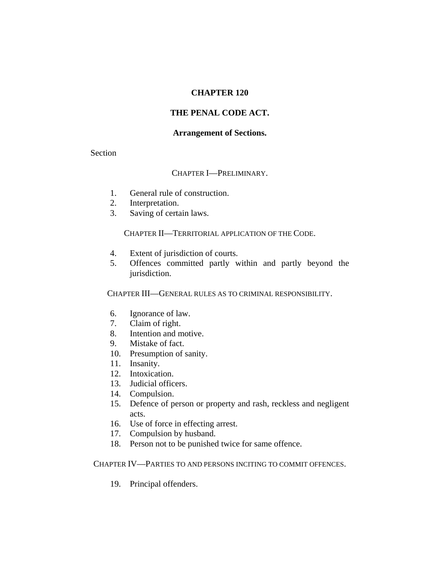#### **CHAPTER 120**

# **THE PENAL CODE ACT.**

#### **Arrangement of Sections.**

Section

## CHAPTER I—PRELIMINARY.

- 1. General rule of construction.
- 2. Interpretation.
- 3. Saving of certain laws.

CHAPTER II—TERRITORIAL APPLICATION OF THE CODE.

- 4. Extent of jurisdiction of courts.
- 5. Offences committed partly within and partly beyond the jurisdiction.

CHAPTER III—GENERAL RULES AS TO CRIMINAL RESPONSIBILITY.

- 6. Ignorance of law.
- 7. Claim of right.
- 8. Intention and motive.
- 9. Mistake of fact.
- 10. Presumption of sanity.
- 11. Insanity.
- 12. Intoxication.
- 13. Judicial officers.
- 14. Compulsion.
- 15. Defence of person or property and rash, reckless and negligent acts.
- 16. Use of force in effecting arrest.
- 17. Compulsion by husband.
- 18. Person not to be punished twice for same offence.

CHAPTER IV—PARTIES TO AND PERSONS INCITING TO COMMIT OFFENCES.

19. Principal offenders.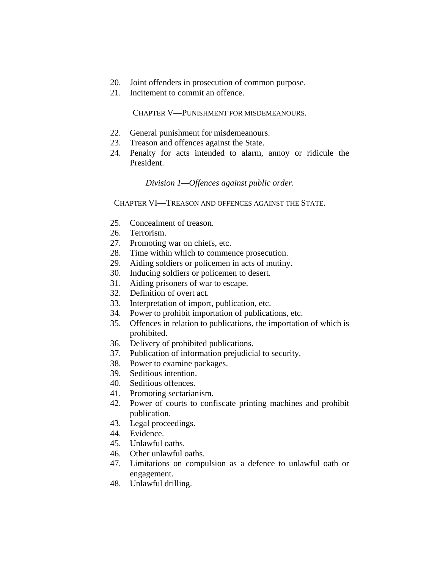- 20. Joint offenders in prosecution of common purpose.
- 21. Incitement to commit an offence.

CHAPTER V—PUNISHMENT FOR MISDEMEANOURS.

- 22. General punishment for misdemeanours.
- 23. Treason and offences against the State.
- 24. Penalty for acts intended to alarm, annoy or ridicule the President.

*Division 1—Offences against public order.*

CHAPTER VI—TREASON AND OFFENCES AGAINST THE STATE.

- 25. Concealment of treason.
- 26. Terrorism.
- 27. Promoting war on chiefs, etc.
- 28. Time within which to commence prosecution.
- 29. Aiding soldiers or policemen in acts of mutiny.
- 30. Inducing soldiers or policemen to desert.
- 31. Aiding prisoners of war to escape.
- 32. Definition of overt act.
- 33. Interpretation of import, publication, etc.
- 34. Power to prohibit importation of publications, etc.
- 35. Offences in relation to publications, the importation of which is prohibited.
- 36. Delivery of prohibited publications.
- 37. Publication of information prejudicial to security.
- 38. Power to examine packages.
- 39. Seditious intention.
- 40. Seditious offences.
- 41. Promoting sectarianism.
- 42. Power of courts to confiscate printing machines and prohibit publication.
- 43. Legal proceedings.
- 44. Evidence.
- 45. Unlawful oaths.
- 46. Other unlawful oaths.
- 47. Limitations on compulsion as a defence to unlawful oath or engagement.
- 48. Unlawful drilling.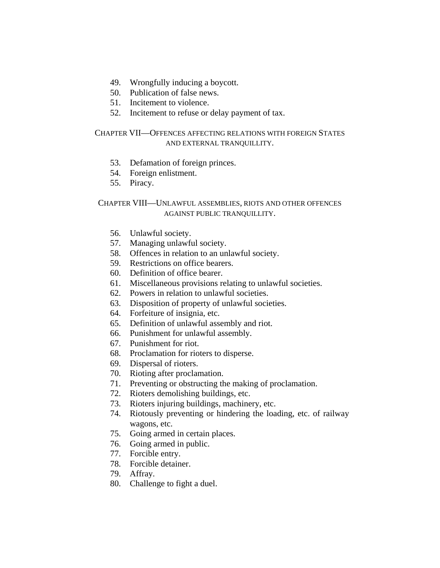- 49. Wrongfully inducing a boycott.
- 50. Publication of false news.
- 51. Incitement to violence.
- 52. Incitement to refuse or delay payment of tax.

# CHAPTER VII—OFFENCES AFFECTING RELATIONS WITH FOREIGN STATES AND EXTERNAL TRANQUILLITY.

- 53. Defamation of foreign princes.
- 54. Foreign enlistment.
- 55. Piracy.

# CHAPTER VIII—UNLAWFUL ASSEMBLIES, RIOTS AND OTHER OFFENCES AGAINST PUBLIC TRANQUILLITY.

- 56. Unlawful society.
- 57. Managing unlawful society.
- 58. Offences in relation to an unlawful society.
- 59. Restrictions on office bearers.
- 60. Definition of office bearer.
- 61. Miscellaneous provisions relating to unlawful societies.
- 62. Powers in relation to unlawful societies.
- 63. Disposition of property of unlawful societies.
- 64. Forfeiture of insignia, etc.
- 65. Definition of unlawful assembly and riot.
- 66. Punishment for unlawful assembly.
- 67. Punishment for riot.
- 68. Proclamation for rioters to disperse.
- 69. Dispersal of rioters.
- 70. Rioting after proclamation.
- 71. Preventing or obstructing the making of proclamation.
- 72. Rioters demolishing buildings, etc.
- 73. Rioters injuring buildings, machinery, etc.
- 74. Riotously preventing or hindering the loading, etc. of railway wagons, etc.
- 75. Going armed in certain places.
- 76. Going armed in public.
- 77. Forcible entry.
- 78. Forcible detainer.
- 79. Affray.
- 80. Challenge to fight a duel.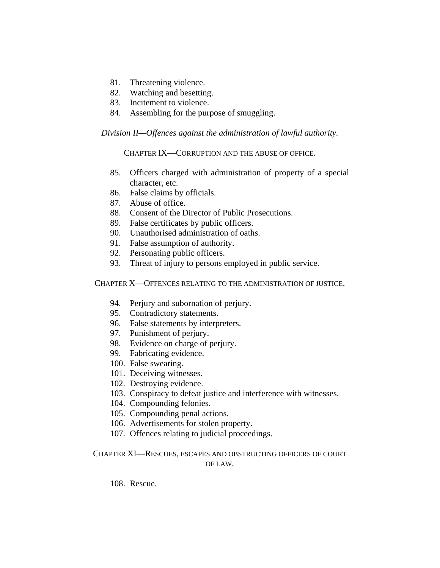- 81. Threatening violence.
- 82. Watching and besetting.
- 83. Incitement to violence.
- 84. Assembling for the purpose of smuggling.

*Division II—Offences against the administration of lawful authority.*

CHAPTER IX—CORRUPTION AND THE ABUSE OF OFFICE.

- 85. Officers charged with administration of property of a special character, etc.
- 86. False claims by officials.
- 87. Abuse of office.
- 88. Consent of the Director of Public Prosecutions.
- 89. False certificates by public officers.
- 90. Unauthorised administration of oaths.
- 91. False assumption of authority.
- 92. Personating public officers.
- 93. Threat of injury to persons employed in public service.

CHAPTER X—OFFENCES RELATING TO THE ADMINISTRATION OF JUSTICE.

- 94. Perjury and subornation of perjury.
- 95. Contradictory statements.
- 96. False statements by interpreters.
- 97. Punishment of perjury.
- 98. Evidence on charge of perjury.
- 99. Fabricating evidence.
- 100. False swearing.
- 101. Deceiving witnesses.
- 102. Destroying evidence.
- 103. Conspiracy to defeat justice and interference with witnesses.
- 104. Compounding felonies.
- 105. Compounding penal actions.
- 106. Advertisements for stolen property.
- 107. Offences relating to judicial proceedings.

CHAPTER XI—RESCUES, ESCAPES AND OBSTRUCTING OFFICERS OF COURT OF LAW.

108. Rescue.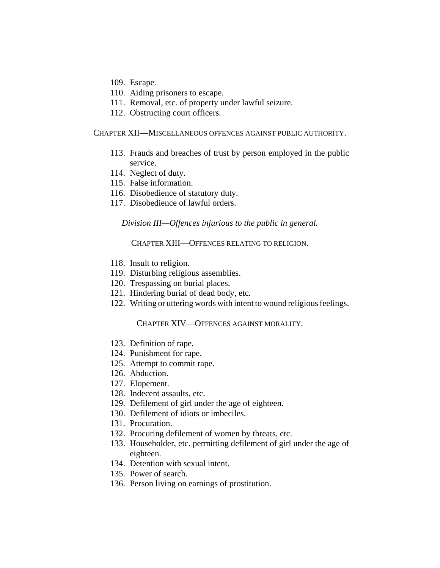- 109. Escape.
- 110. Aiding prisoners to escape.
- 111. Removal, etc. of property under lawful seizure.
- 112. Obstructing court officers.

CHAPTER XII—MISCELLANEOUS OFFENCES AGAINST PUBLIC AUTHORITY.

- 113. Frauds and breaches of trust by person employed in the public service.
- 114. Neglect of duty.
- 115. False information.
- 116. Disobedience of statutory duty.
- 117. Disobedience of lawful orders.

*Division III—Offences injurious to the public in general.*

CHAPTER XIII—OFFENCES RELATING TO RELIGION.

- 118. Insult to religion.
- 119. Disturbing religious assemblies.
- 120. Trespassing on burial places.
- 121. Hindering burial of dead body, etc.
- 122. Writing or uttering words with intent to wound religious feelings.

CHAPTER XIV—OFFENCES AGAINST MORALITY.

- 123. Definition of rape.
- 124. Punishment for rape.
- 125. Attempt to commit rape.
- 126. Abduction.
- 127. Elopement.
- 128. Indecent assaults, etc.
- 129. Defilement of girl under the age of eighteen.
- 130. Defilement of idiots or imbeciles.
- 131. Procuration.
- 132. Procuring defilement of women by threats, etc.
- 133. Householder, etc. permitting defilement of girl under the age of eighteen.
- 134. Detention with sexual intent.
- 135. Power of search.
- 136. Person living on earnings of prostitution.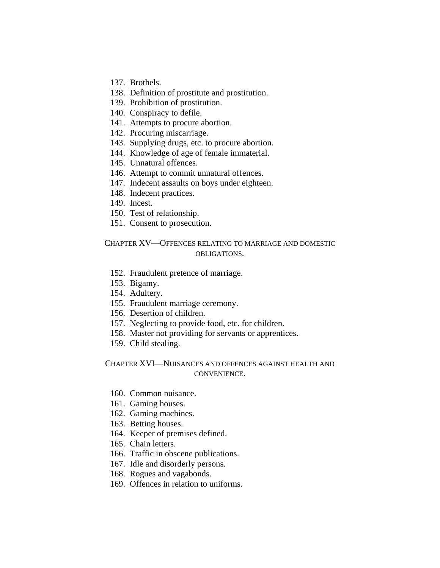- 137. Brothels.
- 138. Definition of prostitute and prostitution.
- 139. Prohibition of prostitution.
- 140. Conspiracy to defile.
- 141. Attempts to procure abortion.
- 142. Procuring miscarriage.
- 143. Supplying drugs, etc. to procure abortion.
- 144. Knowledge of age of female immaterial.
- 145. Unnatural offences.
- 146. Attempt to commit unnatural offences.
- 147. Indecent assaults on boys under eighteen.
- 148. Indecent practices.
- 149. Incest.
- 150. Test of relationship.
- 151. Consent to prosecution.

#### CHAPTER XV—OFFENCES RELATING TO MARRIAGE AND DOMESTIC OBLIGATIONS.

- 152. Fraudulent pretence of marriage.
- 153. Bigamy.
- 154. Adultery.
- 155. Fraudulent marriage ceremony.
- 156. Desertion of children.
- 157. Neglecting to provide food, etc. for children.
- 158. Master not providing for servants or apprentices.
- 159. Child stealing.

#### CHAPTER XVI—NUISANCES AND OFFENCES AGAINST HEALTH AND CONVENIENCE.

- 160. Common nuisance.
- 161. Gaming houses.
- 162. Gaming machines.
- 163. Betting houses.
- 164. Keeper of premises defined.
- 165. Chain letters.
- 166. Traffic in obscene publications.
- 167. Idle and disorderly persons.
- 168. Rogues and vagabonds.
- 169. Offences in relation to uniforms.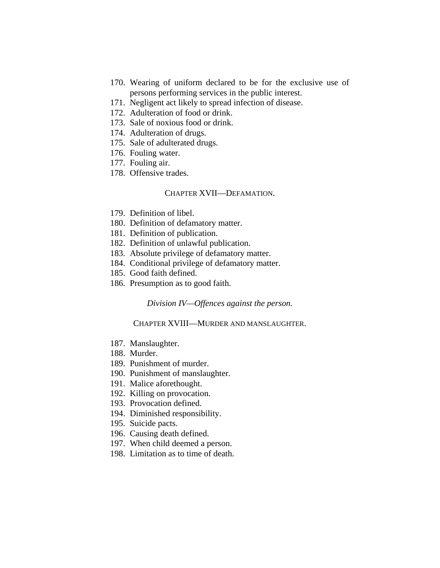- 170. Wearing of uniform declared to be for the exclusive use of persons performing services in the public interest.
- 171. Negligent act likely to spread infection of disease.
- 172. Adulteration of food or drink.
- 173. Sale of noxious food or drink.
- 174. Adulteration of drugs.
- 175. Sale of adulterated drugs.
- 176. Fouling water.
- 177. Fouling air.
- 178. Offensive trades.

#### CHAPTER XVII—DEFAMATION.

- 179. Definition of libel.
- 180. Definition of defamatory matter.
- 181. Definition of publication.
- 182. Definition of unlawful publication.
- 183. Absolute privilege of defamatory matter.
- 184. Conditional privilege of defamatory matter.
- 185. Good faith defined.
- 186. Presumption as to good faith.

*Division IV—Offences against the person.*

CHAPTER XVIII—MURDER AND MANSLAUGHTER.

- 187. Manslaughter.
- 188. Murder.
- 189. Punishment of murder.
- 190. Punishment of manslaughter.
- 191. Malice aforethought.
- 192. Killing on provocation.
- 193. Provocation defined.
- 194. Diminished responsibility.
- 195. Suicide pacts.
- 196. Causing death defined.
- 197. When child deemed a person.
- 198. Limitation as to time of death.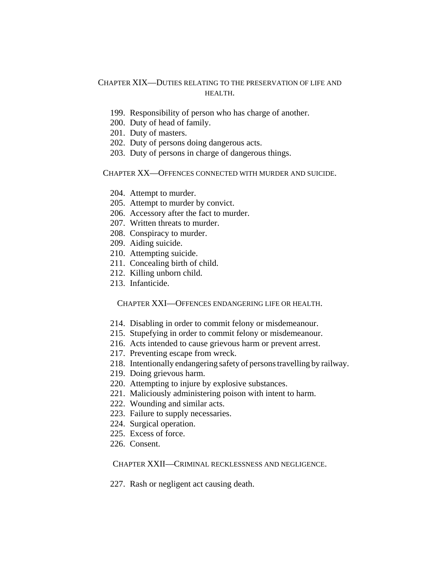## CHAPTER XIX—DUTIES RELATING TO THE PRESERVATION OF LIFE AND HEALTH.

- 199. Responsibility of person who has charge of another.
- 200. Duty of head of family.
- 201. Duty of masters.
- 202. Duty of persons doing dangerous acts.
- 203. Duty of persons in charge of dangerous things.

CHAPTER XX—OFFENCES CONNECTED WITH MURDER AND SUICIDE.

- 204. Attempt to murder.
- 205. Attempt to murder by convict.
- 206. Accessory after the fact to murder.
- 207. Written threats to murder.
- 208. Conspiracy to murder.
- 209. Aiding suicide.
- 210. Attempting suicide.
- 211. Concealing birth of child.
- 212. Killing unborn child.
- 213. Infanticide.

#### CHAPTER XXI—OFFENCES ENDANGERING LIFE OR HEALTH.

- 214. Disabling in order to commit felony or misdemeanour.
- 215. Stupefying in order to commit felony or misdemeanour.
- 216. Acts intended to cause grievous harm or prevent arrest.
- 217. Preventing escape from wreck.
- 218. Intentionally endangering safety of persons travelling by railway.
- 219. Doing grievous harm.
- 220. Attempting to injure by explosive substances.
- 221. Maliciously administering poison with intent to harm.
- 222. Wounding and similar acts.
- 223. Failure to supply necessaries.
- 224. Surgical operation.
- 225. Excess of force.
- 226. Consent.

CHAPTER XXII—CRIMINAL RECKLESSNESS AND NEGLIGENCE.

227. Rash or negligent act causing death.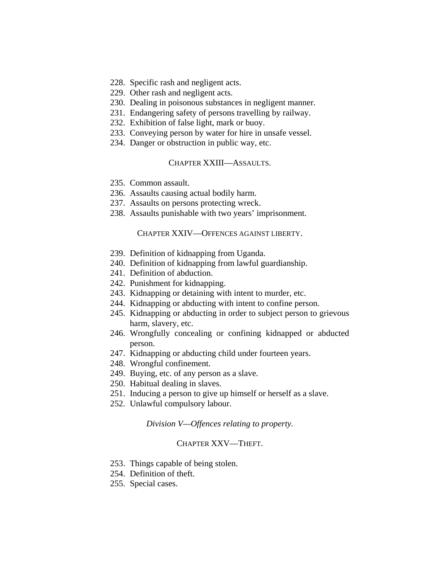- 228. Specific rash and negligent acts.
- 229. Other rash and negligent acts.
- 230. Dealing in poisonous substances in negligent manner.
- 231. Endangering safety of persons travelling by railway.
- 232. Exhibition of false light, mark or buoy.
- 233. Conveying person by water for hire in unsafe vessel.
- 234. Danger or obstruction in public way, etc.

#### CHAPTER XXIII—ASSAULTS.

- 235. Common assault.
- 236. Assaults causing actual bodily harm.
- 237. Assaults on persons protecting wreck.
- 238. Assaults punishable with two years' imprisonment.

#### CHAPTER XXIV—OFFENCES AGAINST LIBERTY.

- 239. Definition of kidnapping from Uganda.
- 240. Definition of kidnapping from lawful guardianship.
- 241. Definition of abduction.
- 242. Punishment for kidnapping.
- 243. Kidnapping or detaining with intent to murder, etc.
- 244. Kidnapping or abducting with intent to confine person.
- 245. Kidnapping or abducting in order to subject person to grievous harm, slavery, etc.
- 246. Wrongfully concealing or confining kidnapped or abducted person.
- 247. Kidnapping or abducting child under fourteen years.
- 248. Wrongful confinement.
- 249. Buying, etc. of any person as a slave.
- 250. Habitual dealing in slaves.
- 251. Inducing a person to give up himself or herself as a slave.
- 252. Unlawful compulsory labour.

## *Division V—Offences relating to property.*

## CHAPTER XXV—THEFT.

- 253. Things capable of being stolen.
- 254. Definition of theft.
- 255. Special cases.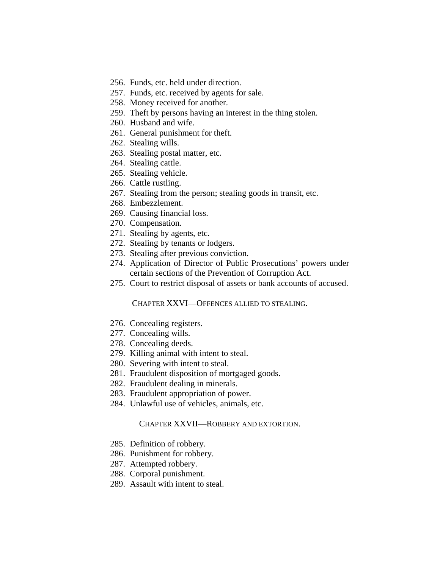- 256. Funds, etc. held under direction.
- 257. Funds, etc. received by agents for sale.
- 258. Money received for another.
- 259. Theft by persons having an interest in the thing stolen.
- 260. Husband and wife.
- 261. General punishment for theft.
- 262. Stealing wills.
- 263. Stealing postal matter, etc.
- 264. Stealing cattle.
- 265. Stealing vehicle.
- 266. Cattle rustling.
- 267. Stealing from the person; stealing goods in transit, etc.
- 268. Embezzlement.
- 269. Causing financial loss.
- 270. Compensation.
- 271. Stealing by agents, etc.
- 272. Stealing by tenants or lodgers.
- 273. Stealing after previous conviction.
- 274. Application of Director of Public Prosecutions' powers under certain sections of the Prevention of Corruption Act.
- 275. Court to restrict disposal of assets or bank accounts of accused.

#### CHAPTER XXVI—OFFENCES ALLIED TO STEALING.

- 276. Concealing registers.
- 277. Concealing wills.
- 278. Concealing deeds.
- 279. Killing animal with intent to steal.
- 280. Severing with intent to steal.
- 281. Fraudulent disposition of mortgaged goods.
- 282. Fraudulent dealing in minerals.
- 283. Fraudulent appropriation of power.
- 284. Unlawful use of vehicles, animals, etc.

# CHAPTER XXVII—ROBBERY AND EXTORTION.

- 285. Definition of robbery.
- 286. Punishment for robbery.
- 287. Attempted robbery.
- 288. Corporal punishment.
- 289. Assault with intent to steal.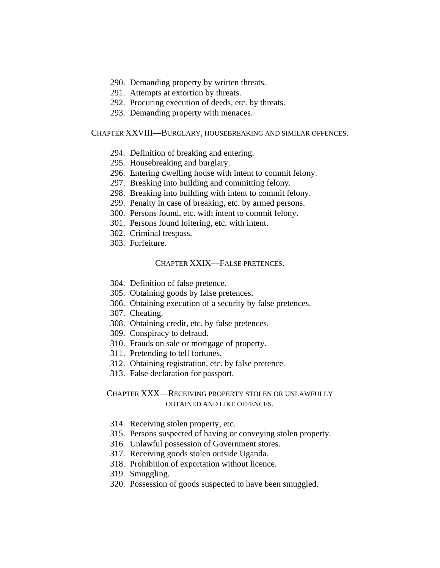- 290. Demanding property by written threats.
- 291. Attempts at extortion by threats.
- 292. Procuring execution of deeds, etc. by threats.
- 293. Demanding property with menaces.

#### CHAPTER XXVIII—BURGLARY, HOUSEBREAKING AND SIMILAR OFFENCES.

- 294. Definition of breaking and entering.
- 295. Housebreaking and burglary.
- 296. Entering dwelling house with intent to commit felony.
- 297. Breaking into building and committing felony.
- 298. Breaking into building with intent to commit felony.
- 299. Penalty in case of breaking, etc. by armed persons.
- 300. Persons found, etc. with intent to commit felony.
- 301. Persons found loitering, etc. with intent.
- 302. Criminal trespass.
- 303. Forfeiture.

#### CHAPTER XXIX—FALSE PRETENCES.

- 304. Definition of false pretence.
- 305. Obtaining goods by false pretences.
- 306. Obtaining execution of a security by false pretences.
- 307. Cheating.
- 308. Obtaining credit, etc. by false pretences.
- 309. Conspiracy to defraud.
- 310. Frauds on sale or mortgage of property.
- 311. Pretending to tell fortunes.
- 312. Obtaining registration, etc. by false pretence.
- 313. False declaration for passport.

#### CHAPTER XXX—RECEIVING PROPERTY STOLEN OR UNLAWFULLY OBTAINED AND LIKE OFFENCES.

- 314. Receiving stolen property, etc.
- 315. Persons suspected of having or conveying stolen property.
- 316. Unlawful possession of Government stores.
- 317. Receiving goods stolen outside Uganda.
- 318. Prohibition of exportation without licence.
- 319. Smuggling.
- 320. Possession of goods suspected to have been smuggled.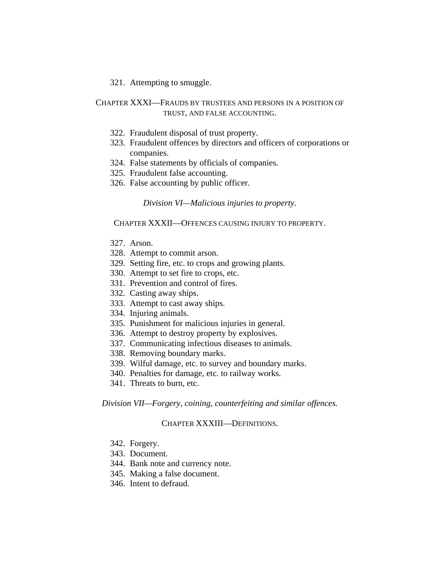#### 321. Attempting to smuggle.

## CHAPTER XXXI—FRAUDS BY TRUSTEES AND PERSONS IN A POSITION OF TRUST, AND FALSE ACCOUNTING.

- 322. Fraudulent disposal of trust property.
- 323. Fraudulent offences by directors and officers of corporations or companies.
- 324. False statements by officials of companies.
- 325. Fraudulent false accounting.
- 326. False accounting by public officer.

*Division VI—Malicious injuries to property.*

CHAPTER XXXII—OFFENCES CAUSING INJURY TO PROPERTY.

- 327. Arson.
- 328. Attempt to commit arson.
- 329. Setting fire, etc. to crops and growing plants.
- 330. Attempt to set fire to crops, etc.
- 331. Prevention and control of fires.
- 332. Casting away ships.
- 333. Attempt to cast away ships.
- 334. Injuring animals.
- 335. Punishment for malicious injuries in general.
- 336. Attempt to destroy property by explosives.
- 337. Communicating infectious diseases to animals.
- 338. Removing boundary marks.
- 339. Wilful damage, etc. to survey and boundary marks.
- 340. Penalties for damage, etc. to railway works.
- 341. Threats to burn, etc.

*Division VII—Forgery, coining, counterfeiting and similar offences.*

#### CHAPTER XXXIII—DEFINITIONS.

- 342. Forgery.
- 343. Document.
- 344. Bank note and currency note.
- 345. Making a false document.
- 346. Intent to defraud.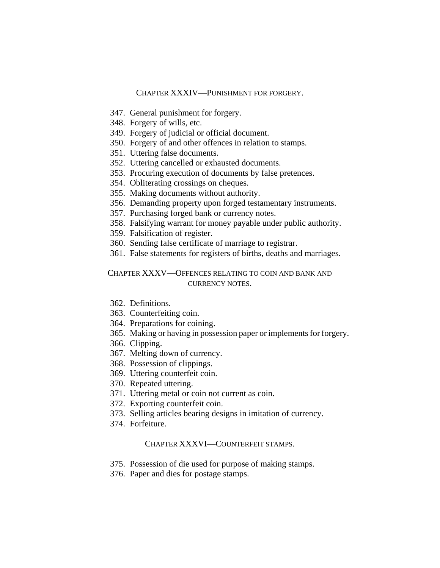#### CHAPTER XXXIV—PUNISHMENT FOR FORGERY.

- 347. General punishment for forgery.
- 348. Forgery of wills, etc.
- 349. Forgery of judicial or official document.
- 350. Forgery of and other offences in relation to stamps.
- 351. Uttering false documents.
- 352. Uttering cancelled or exhausted documents.
- 353. Procuring execution of documents by false pretences.
- 354. Obliterating crossings on cheques.
- 355. Making documents without authority.
- 356. Demanding property upon forged testamentary instruments.
- 357. Purchasing forged bank or currency notes.
- 358. Falsifying warrant for money payable under public authority.
- 359. Falsification of register.
- 360. Sending false certificate of marriage to registrar.
- 361. False statements for registers of births, deaths and marriages.

#### CHAPTER XXXV—OFFENCES RELATING TO COIN AND BANK AND CURRENCY NOTES.

- 362. Definitions.
- 363. Counterfeiting coin.
- 364. Preparations for coining.
- 365. Making or having in possession paper or implements for forgery.
- 366. Clipping.
- 367. Melting down of currency.
- 368. Possession of clippings.
- 369. Uttering counterfeit coin.
- 370. Repeated uttering.
- 371. Uttering metal or coin not current as coin.
- 372. Exporting counterfeit coin.
- 373. Selling articles bearing designs in imitation of currency.
- 374. Forfeiture.

#### CHAPTER XXXVI—COUNTERFEIT STAMPS.

- 375. Possession of die used for purpose of making stamps.
- 376. Paper and dies for postage stamps.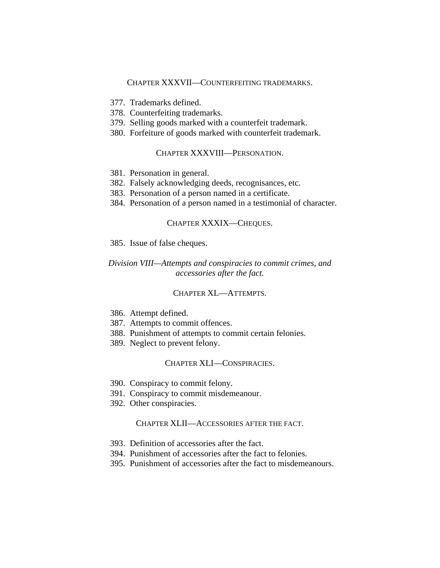#### CHAPTER XXXVII—COUNTERFEITING TRADEMARKS.

- 377. Trademarks defined.
- 378. Counterfeiting trademarks.
- 379. Selling goods marked with a counterfeit trademark.
- 380. Forfeiture of goods marked with counterfeit trademark.

#### CHAPTER XXXVIII—PERSONATION.

- 381. Personation in general.
- 382. Falsely acknowledging deeds, recognisances, etc.
- 383. Personation of a person named in a certificate.
- 384. Personation of a person named in a testimonial of character.

#### CHAPTER XXXIX—CHEQUES.

385. Issue of false cheques.

#### *Division VIII—Attempts and conspiracies to commit crimes, and accessories after the fact.*

#### CHAPTER XL—ATTEMPTS.

- 386. Attempt defined.
- 387. Attempts to commit offences.
- 388. Punishment of attempts to commit certain felonies.
- 389. Neglect to prevent felony.

#### CHAPTER XLI—CONSPIRACIES.

- 390. Conspiracy to commit felony.
- 391. Conspiracy to commit misdemeanour.
- 392. Other conspiracies.

## CHAPTER XLII—ACCESSORIES AFTER THE FACT.

- 393. Definition of accessories after the fact.
- 394. Punishment of accessories after the fact to felonies.
- 395. Punishment of accessories after the fact to misdemeanours.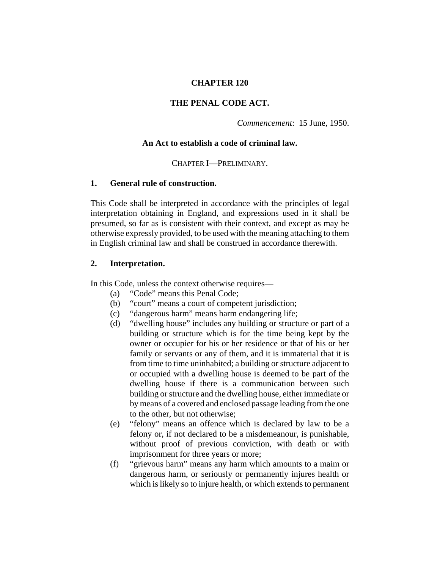## **CHAPTER 120**

#### **THE PENAL CODE ACT.**

*Commencement*: 15 June, 1950.

#### **An Act to establish a code of criminal law.**

#### CHAPTER I—PRELIMINARY.

#### **1. General rule of construction.**

This Code shall be interpreted in accordance with the principles of legal interpretation obtaining in England, and expressions used in it shall be presumed, so far as is consistent with their context, and except as may be otherwise expressly provided, to be used with the meaning attaching to them in English criminal law and shall be construed in accordance therewith.

#### **2. Interpretation.**

In this Code, unless the context otherwise requires—

- (a) "Code" means this Penal Code;
- (b) "court" means a court of competent jurisdiction;
- (c) "dangerous harm" means harm endangering life;
- (d) "dwelling house" includes any building or structure or part of a building or structure which is for the time being kept by the owner or occupier for his or her residence or that of his or her family or servants or any of them, and it is immaterial that it is from time to time uninhabited; a building or structure adjacent to or occupied with a dwelling house is deemed to be part of the dwelling house if there is a communication between such building or structure and the dwelling house, either immediate or by means of a covered and enclosed passage leading from the one to the other, but not otherwise;
- (e) "felony" means an offence which is declared by law to be a felony or, if not declared to be a misdemeanour, is punishable, without proof of previous conviction, with death or with imprisonment for three years or more;
- (f) "grievous harm" means any harm which amounts to a maim or dangerous harm, or seriously or permanently injures health or which is likely so to injure health, or which extends to permanent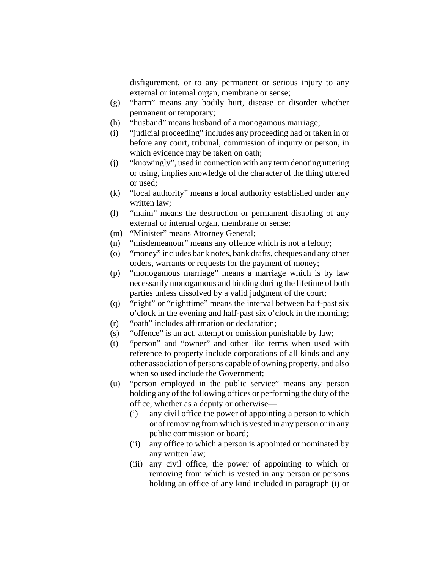disfigurement, or to any permanent or serious injury to any external or internal organ, membrane or sense;

- (g) "harm" means any bodily hurt, disease or disorder whether permanent or temporary;
- (h) "husband" means husband of a monogamous marriage;
- (i) "judicial proceeding" includes any proceeding had or taken in or before any court, tribunal, commission of inquiry or person, in which evidence may be taken on oath;
- (j) "knowingly", used in connection with any term denoting uttering or using, implies knowledge of the character of the thing uttered or used;
- (k) "local authority" means a local authority established under any written law;
- (l) "maim" means the destruction or permanent disabling of any external or internal organ, membrane or sense;
- (m) "Minister" means Attorney General;
- (n) "misdemeanour" means any offence which is not a felony;
- (o) "money" includes bank notes, bank drafts, cheques and any other orders, warrants or requests for the payment of money;
- (p) "monogamous marriage" means a marriage which is by law necessarily monogamous and binding during the lifetime of both parties unless dissolved by a valid judgment of the court;
- (q) "night" or "nighttime" means the interval between half-past six o'clock in the evening and half-past six o'clock in the morning;
- (r) "oath" includes affirmation or declaration;
- (s) "offence" is an act, attempt or omission punishable by law;
- (t) "person" and "owner" and other like terms when used with reference to property include corporations of all kinds and any other association of persons capable of owning property, and also when so used include the Government;
- (u) "person employed in the public service" means any person holding any of the following offices or performing the duty of the office, whether as a deputy or otherwise—
	- (i) any civil office the power of appointing a person to which or of removing from which is vested in any person or in any public commission or board;
	- (ii) any office to which a person is appointed or nominated by any written law;
	- (iii) any civil office, the power of appointing to which or removing from which is vested in any person or persons holding an office of any kind included in paragraph (i) or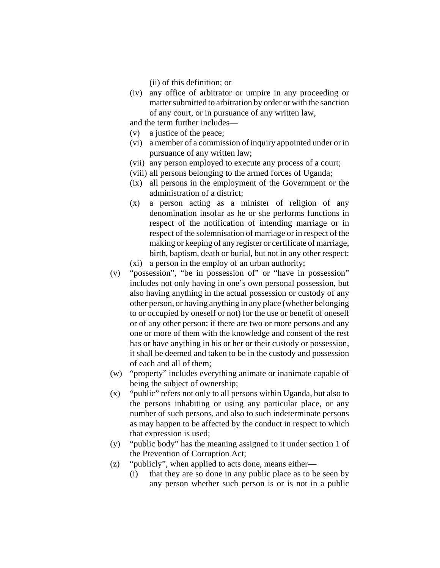- (ii) of this definition; or
- (iv) any office of arbitrator or umpire in any proceeding or matter submitted to arbitration by order or with the sanction of any court, or in pursuance of any written law,

and the term further includes—

- (v) a justice of the peace;
- (vi) a member of a commission of inquiry appointed under or in pursuance of any written law;
- (vii) any person employed to execute any process of a court;
- (viii) all persons belonging to the armed forces of Uganda;
- (ix) all persons in the employment of the Government or the administration of a district;
- (x) a person acting as a minister of religion of any denomination insofar as he or she performs functions in respect of the notification of intending marriage or in respect of the solemnisation of marriage or in respect of the making or keeping of any register or certificate of marriage, birth, baptism, death or burial, but not in any other respect;
- (xi) a person in the employ of an urban authority;
- (v) "possession", "be in possession of" or "have in possession" includes not only having in one's own personal possession, but also having anything in the actual possession or custody of any other person, or having anything in any place (whether belonging to or occupied by oneself or not) for the use or benefit of oneself or of any other person; if there are two or more persons and any one or more of them with the knowledge and consent of the rest has or have anything in his or her or their custody or possession, it shall be deemed and taken to be in the custody and possession of each and all of them;
- (w) "property" includes everything animate or inanimate capable of being the subject of ownership;
- (x) "public" refers not only to all persons within Uganda, but also to the persons inhabiting or using any particular place, or any number of such persons, and also to such indeterminate persons as may happen to be affected by the conduct in respect to which that expression is used;
- (y) "public body" has the meaning assigned to it under section 1 of the Prevention of Corruption Act;
- (z) "publicly", when applied to acts done, means either—
	- (i) that they are so done in any public place as to be seen by any person whether such person is or is not in a public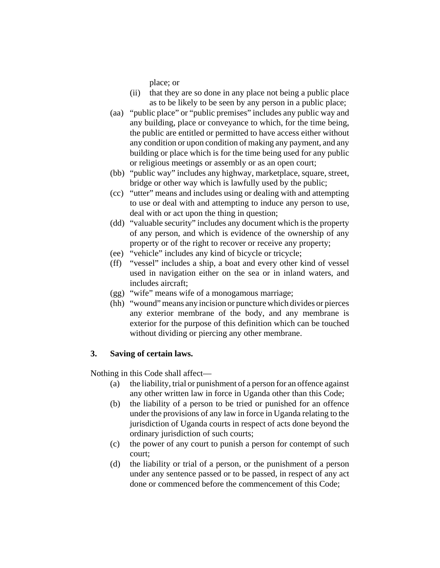place; or

- (ii) that they are so done in any place not being a public place as to be likely to be seen by any person in a public place;
- (aa) "public place" or "public premises" includes any public way and any building, place or conveyance to which, for the time being, the public are entitled or permitted to have access either without any condition or upon condition of making any payment, and any building or place which is for the time being used for any public or religious meetings or assembly or as an open court;
- (bb) "public way" includes any highway, marketplace, square, street, bridge or other way which is lawfully used by the public;
- (cc) "utter" means and includes using or dealing with and attempting to use or deal with and attempting to induce any person to use, deal with or act upon the thing in question;
- (dd) "valuable security" includes any document which is the property of any person, and which is evidence of the ownership of any property or of the right to recover or receive any property;
- (ee) "vehicle" includes any kind of bicycle or tricycle;
- (ff) "vessel" includes a ship, a boat and every other kind of vessel used in navigation either on the sea or in inland waters, and includes aircraft;
- (gg) "wife" means wife of a monogamous marriage;
- (hh) "wound" means any incision or puncture which divides or pierces any exterior membrane of the body, and any membrane is exterior for the purpose of this definition which can be touched without dividing or piercing any other membrane.

## **3. Saving of certain laws.**

Nothing in this Code shall affect—

- (a) the liability, trial or punishment of a person for an offence against any other written law in force in Uganda other than this Code;
- (b) the liability of a person to be tried or punished for an offence under the provisions of any law in force in Uganda relating to the jurisdiction of Uganda courts in respect of acts done beyond the ordinary jurisdiction of such courts;
- (c) the power of any court to punish a person for contempt of such court;
- (d) the liability or trial of a person, or the punishment of a person under any sentence passed or to be passed, in respect of any act done or commenced before the commencement of this Code;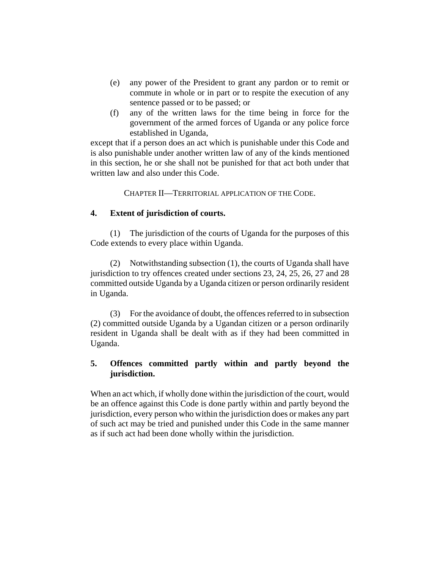- (e) any power of the President to grant any pardon or to remit or commute in whole or in part or to respite the execution of any sentence passed or to be passed; or
- (f) any of the written laws for the time being in force for the government of the armed forces of Uganda or any police force established in Uganda,

except that if a person does an act which is punishable under this Code and is also punishable under another written law of any of the kinds mentioned in this section, he or she shall not be punished for that act both under that written law and also under this Code.

CHAPTER II—TERRITORIAL APPLICATION OF THE CODE.

## **4. Extent of jurisdiction of courts.**

(1) The jurisdiction of the courts of Uganda for the purposes of this Code extends to every place within Uganda.

(2) Notwithstanding subsection (1), the courts of Uganda shall have jurisdiction to try offences created under sections 23, 24, 25, 26, 27 and 28 committed outside Uganda by a Uganda citizen or person ordinarily resident in Uganda.

(3) For the avoidance of doubt, the offences referred to in subsection (2) committed outside Uganda by a Ugandan citizen or a person ordinarily resident in Uganda shall be dealt with as if they had been committed in Uganda.

# **5. Offences committed partly within and partly beyond the jurisdiction.**

When an act which, if wholly done within the jurisdiction of the court, would be an offence against this Code is done partly within and partly beyond the jurisdiction, every person who within the jurisdiction does or makes any part of such act may be tried and punished under this Code in the same manner as if such act had been done wholly within the jurisdiction.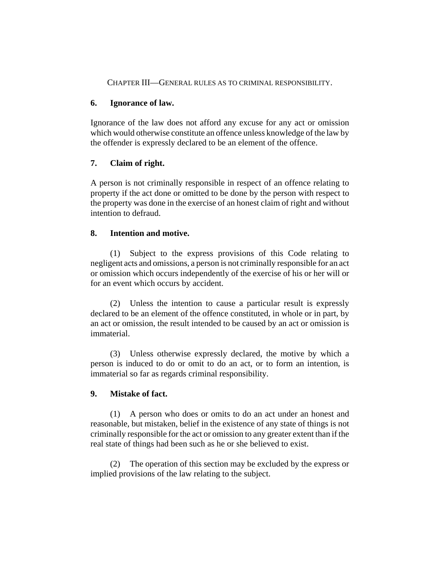## CHAPTER III—GENERAL RULES AS TO CRIMINAL RESPONSIBILITY.

#### **6. Ignorance of law.**

Ignorance of the law does not afford any excuse for any act or omission which would otherwise constitute an offence unless knowledge of the law by the offender is expressly declared to be an element of the offence.

## **7. Claim of right.**

A person is not criminally responsible in respect of an offence relating to property if the act done or omitted to be done by the person with respect to the property was done in the exercise of an honest claim of right and without intention to defraud.

## **8. Intention and motive.**

(1) Subject to the express provisions of this Code relating to negligent acts and omissions, a person is not criminally responsible for an act or omission which occurs independently of the exercise of his or her will or for an event which occurs by accident.

(2) Unless the intention to cause a particular result is expressly declared to be an element of the offence constituted, in whole or in part, by an act or omission, the result intended to be caused by an act or omission is immaterial.

(3) Unless otherwise expressly declared, the motive by which a person is induced to do or omit to do an act, or to form an intention, is immaterial so far as regards criminal responsibility.

## **9. Mistake of fact.**

(1) A person who does or omits to do an act under an honest and reasonable, but mistaken, belief in the existence of any state of things is not criminally responsible for the act or omission to any greater extent than if the real state of things had been such as he or she believed to exist.

(2) The operation of this section may be excluded by the express or implied provisions of the law relating to the subject.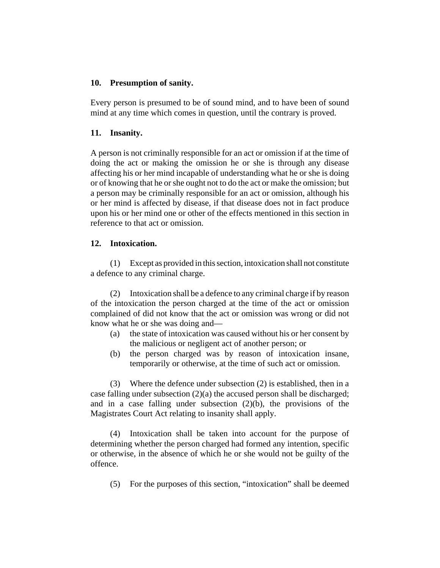#### **10. Presumption of sanity.**

Every person is presumed to be of sound mind, and to have been of sound mind at any time which comes in question, until the contrary is proved.

#### **11. Insanity.**

A person is not criminally responsible for an act or omission if at the time of doing the act or making the omission he or she is through any disease affecting his or her mind incapable of understanding what he or she is doing or of knowing that he or she ought not to do the act or make the omission; but a person may be criminally responsible for an act or omission, although his or her mind is affected by disease, if that disease does not in fact produce upon his or her mind one or other of the effects mentioned in this section in reference to that act or omission.

## **12. Intoxication.**

(1) Except as provided in this section, intoxication shall not constitute a defence to any criminal charge.

(2) Intoxication shall be a defence to any criminal charge if by reason of the intoxication the person charged at the time of the act or omission complained of did not know that the act or omission was wrong or did not know what he or she was doing and—

- (a) the state of intoxication was caused without his or her consent by the malicious or negligent act of another person; or
- (b) the person charged was by reason of intoxication insane, temporarily or otherwise, at the time of such act or omission.

(3) Where the defence under subsection (2) is established, then in a case falling under subsection (2)(a) the accused person shall be discharged; and in a case falling under subsection (2)(b), the provisions of the Magistrates Court Act relating to insanity shall apply.

(4) Intoxication shall be taken into account for the purpose of determining whether the person charged had formed any intention, specific or otherwise, in the absence of which he or she would not be guilty of the offence.

(5) For the purposes of this section, "intoxication" shall be deemed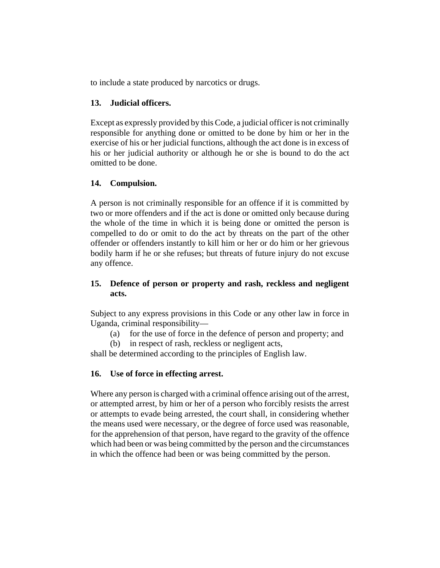to include a state produced by narcotics or drugs.

# **13. Judicial officers.**

Except as expressly provided by this Code, a judicial officer is not criminally responsible for anything done or omitted to be done by him or her in the exercise of his or her judicial functions, although the act done is in excess of his or her judicial authority or although he or she is bound to do the act omitted to be done.

# **14. Compulsion.**

A person is not criminally responsible for an offence if it is committed by two or more offenders and if the act is done or omitted only because during the whole of the time in which it is being done or omitted the person is compelled to do or omit to do the act by threats on the part of the other offender or offenders instantly to kill him or her or do him or her grievous bodily harm if he or she refuses; but threats of future injury do not excuse any offence.

# **15. Defence of person or property and rash, reckless and negligent acts.**

Subject to any express provisions in this Code or any other law in force in Uganda, criminal responsibility—

- (a) for the use of force in the defence of person and property; and
- (b) in respect of rash, reckless or negligent acts,

shall be determined according to the principles of English law.

# **16. Use of force in effecting arrest.**

Where any person is charged with a criminal offence arising out of the arrest, or attempted arrest, by him or her of a person who forcibly resists the arrest or attempts to evade being arrested, the court shall, in considering whether the means used were necessary, or the degree of force used was reasonable, for the apprehension of that person, have regard to the gravity of the offence which had been or was being committed by the person and the circumstances in which the offence had been or was being committed by the person.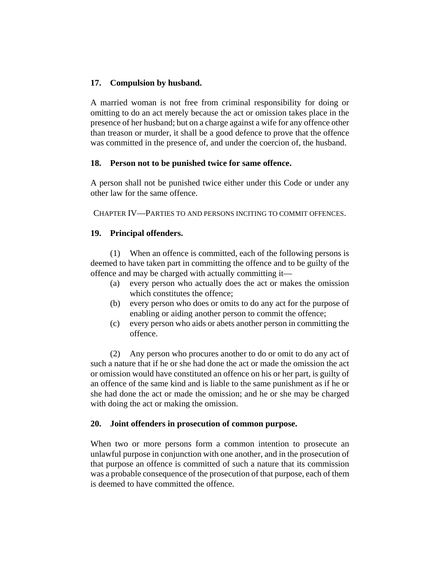# **17. Compulsion by husband.**

A married woman is not free from criminal responsibility for doing or omitting to do an act merely because the act or omission takes place in the presence of her husband; but on a charge against a wife for any offence other than treason or murder, it shall be a good defence to prove that the offence was committed in the presence of, and under the coercion of, the husband.

## **18. Person not to be punished twice for same offence.**

A person shall not be punished twice either under this Code or under any other law for the same offence.

CHAPTER IV—PARTIES TO AND PERSONS INCITING TO COMMIT OFFENCES.

## **19. Principal offenders.**

(1) When an offence is committed, each of the following persons is deemed to have taken part in committing the offence and to be guilty of the offence and may be charged with actually committing it—

- (a) every person who actually does the act or makes the omission which constitutes the offence;
- (b) every person who does or omits to do any act for the purpose of enabling or aiding another person to commit the offence;
- (c) every person who aids or abets another person in committing the offence.

(2) Any person who procures another to do or omit to do any act of such a nature that if he or she had done the act or made the omission the act or omission would have constituted an offence on his or her part, is guilty of an offence of the same kind and is liable to the same punishment as if he or she had done the act or made the omission; and he or she may be charged with doing the act or making the omission.

## **20. Joint offenders in prosecution of common purpose.**

When two or more persons form a common intention to prosecute an unlawful purpose in conjunction with one another, and in the prosecution of that purpose an offence is committed of such a nature that its commission was a probable consequence of the prosecution of that purpose, each of them is deemed to have committed the offence.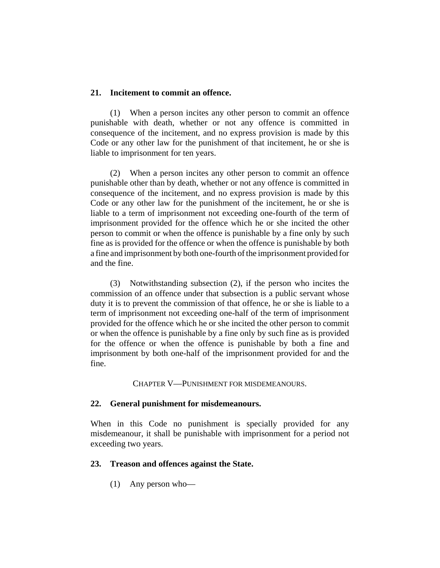#### **21. Incitement to commit an offence.**

(1) When a person incites any other person to commit an offence punishable with death, whether or not any offence is committed in consequence of the incitement, and no express provision is made by this Code or any other law for the punishment of that incitement, he or she is liable to imprisonment for ten years.

(2) When a person incites any other person to commit an offence punishable other than by death, whether or not any offence is committed in consequence of the incitement, and no express provision is made by this Code or any other law for the punishment of the incitement, he or she is liable to a term of imprisonment not exceeding one-fourth of the term of imprisonment provided for the offence which he or she incited the other person to commit or when the offence is punishable by a fine only by such fine as is provided for the offence or when the offence is punishable by both a fine and imprisonment by both one-fourth of the imprisonment provided for and the fine.

(3) Notwithstanding subsection (2), if the person who incites the commission of an offence under that subsection is a public servant whose duty it is to prevent the commission of that offence, he or she is liable to a term of imprisonment not exceeding one-half of the term of imprisonment provided for the offence which he or she incited the other person to commit or when the offence is punishable by a fine only by such fine as is provided for the offence or when the offence is punishable by both a fine and imprisonment by both one-half of the imprisonment provided for and the fine.

CHAPTER V—PUNISHMENT FOR MISDEMEANOURS.

## **22. General punishment for misdemeanours.**

When in this Code no punishment is specially provided for any misdemeanour, it shall be punishable with imprisonment for a period not exceeding two years.

## **23. Treason and offences against the State.**

(1) Any person who—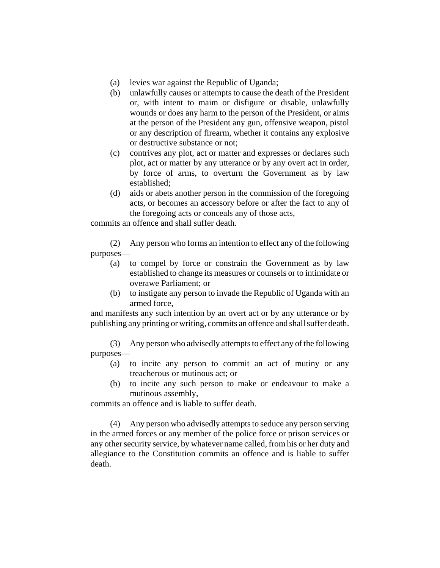- (a) levies war against the Republic of Uganda;
- (b) unlawfully causes or attempts to cause the death of the President or, with intent to maim or disfigure or disable, unlawfully wounds or does any harm to the person of the President, or aims at the person of the President any gun, offensive weapon, pistol or any description of firearm, whether it contains any explosive or destructive substance or not;
- (c) contrives any plot, act or matter and expresses or declares such plot, act or matter by any utterance or by any overt act in order, by force of arms, to overturn the Government as by law established;
- (d) aids or abets another person in the commission of the foregoing acts, or becomes an accessory before or after the fact to any of the foregoing acts or conceals any of those acts,

commits an offence and shall suffer death.

(2) Any person who forms an intention to effect any of the following purposes—

- (a) to compel by force or constrain the Government as by law established to change its measures or counsels or to intimidate or overawe Parliament; or
- (b) to instigate any person to invade the Republic of Uganda with an armed force,

and manifests any such intention by an overt act or by any utterance or by publishing any printing or writing, commits an offence and shall suffer death.

(3) Any person who advisedly attempts to effect any of the following purposes—

- (a) to incite any person to commit an act of mutiny or any treacherous or mutinous act; or
- (b) to incite any such person to make or endeavour to make a mutinous assembly,

commits an offence and is liable to suffer death.

(4) Any person who advisedly attempts to seduce any person serving in the armed forces or any member of the police force or prison services or any other security service, by whatever name called, from his or her duty and allegiance to the Constitution commits an offence and is liable to suffer death.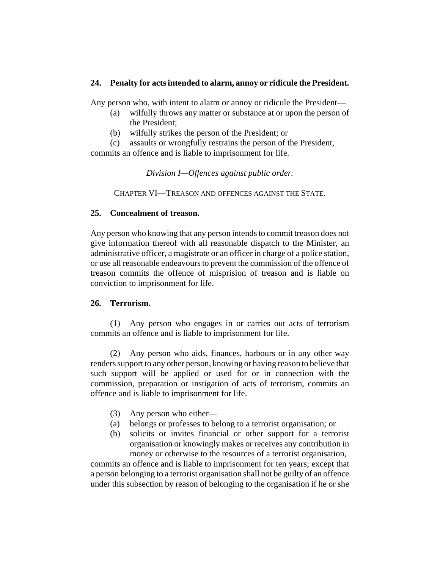## **24. Penalty for acts intended to alarm, annoy or ridicule the President.**

Any person who, with intent to alarm or annoy or ridicule the President—

- (a) wilfully throws any matter or substance at or upon the person of the President;
- (b) wilfully strikes the person of the President; or
- (c) assaults or wrongfully restrains the person of the President,

commits an offence and is liable to imprisonment for life.

*Division I—Offences against public order.*

CHAPTER VI—TREASON AND OFFENCES AGAINST THE STATE.

## **25. Concealment of treason.**

Any person who knowing that any person intends to commit treason does not give information thereof with all reasonable dispatch to the Minister, an administrative officer, a magistrate or an officer in charge of a police station, or use all reasonable endeavours to prevent the commission of the offence of treason commits the offence of misprision of treason and is liable on conviction to imprisonment for life.

## **26. Terrorism.**

(1) Any person who engages in or carries out acts of terrorism commits an offence and is liable to imprisonment for life.

(2) Any person who aids, finances, harbours or in any other way renders support to any other person, knowing or having reason to believe that such support will be applied or used for or in connection with the commission, preparation or instigation of acts of terrorism, commits an offence and is liable to imprisonment for life.

- (3) Any person who either—
- (a) belongs or professes to belong to a terrorist organisation; or
- (b) solicits or invites financial or other support for a terrorist organisation or knowingly makes or receives any contribution in money or otherwise to the resources of a terrorist organisation,

commits an offence and is liable to imprisonment for ten years; except that a person belonging to a terrorist organisation shall not be guilty of an offence under this subsection by reason of belonging to the organisation if he or she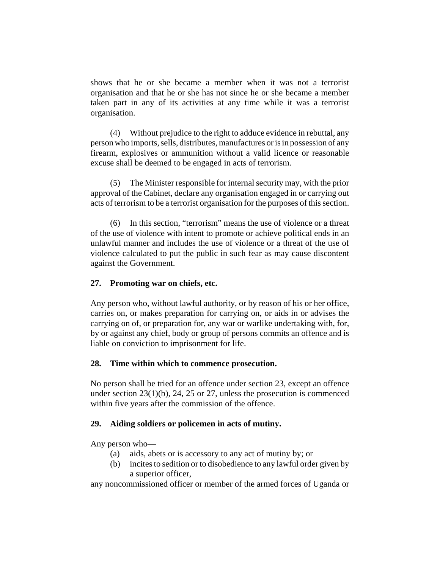shows that he or she became a member when it was not a terrorist organisation and that he or she has not since he or she became a member taken part in any of its activities at any time while it was a terrorist organisation.

(4) Without prejudice to the right to adduce evidence in rebuttal, any person who imports, sells, distributes, manufactures or is in possession of any firearm, explosives or ammunition without a valid licence or reasonable excuse shall be deemed to be engaged in acts of terrorism.

(5) The Minister responsible for internal security may, with the prior approval of the Cabinet, declare any organisation engaged in or carrying out acts of terrorism to be a terrorist organisation for the purposes of this section.

(6) In this section, "terrorism" means the use of violence or a threat of the use of violence with intent to promote or achieve political ends in an unlawful manner and includes the use of violence or a threat of the use of violence calculated to put the public in such fear as may cause discontent against the Government.

## **27. Promoting war on chiefs, etc.**

Any person who, without lawful authority, or by reason of his or her office, carries on, or makes preparation for carrying on, or aids in or advises the carrying on of, or preparation for, any war or warlike undertaking with, for, by or against any chief, body or group of persons commits an offence and is liable on conviction to imprisonment for life.

## **28. Time within which to commence prosecution.**

No person shall be tried for an offence under section 23, except an offence under section 23(1)(b), 24, 25 or 27, unless the prosecution is commenced within five years after the commission of the offence.

# **29. Aiding soldiers or policemen in acts of mutiny.**

Any person who—

- (a) aids, abets or is accessory to any act of mutiny by; or
- (b) incites to sedition or to disobedience to any lawful order given by a superior officer,

any noncommissioned officer or member of the armed forces of Uganda or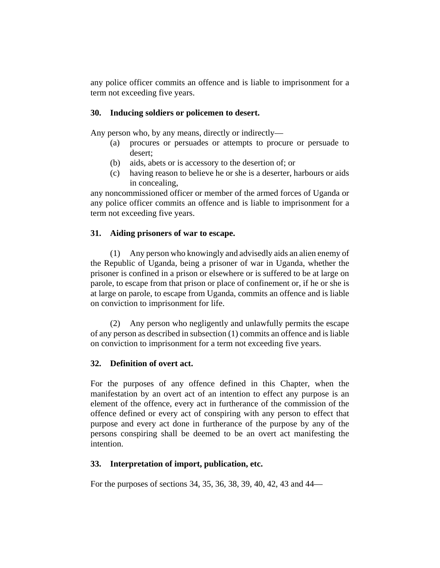any police officer commits an offence and is liable to imprisonment for a term not exceeding five years.

# **30. Inducing soldiers or policemen to desert.**

Any person who, by any means, directly or indirectly—

- (a) procures or persuades or attempts to procure or persuade to desert;
- (b) aids, abets or is accessory to the desertion of; or
- (c) having reason to believe he or she is a deserter, harbours or aids in concealing,

any noncommissioned officer or member of the armed forces of Uganda or any police officer commits an offence and is liable to imprisonment for a term not exceeding five years.

# **31. Aiding prisoners of war to escape.**

(1) Any person who knowingly and advisedly aids an alien enemy of the Republic of Uganda, being a prisoner of war in Uganda, whether the prisoner is confined in a prison or elsewhere or is suffered to be at large on parole, to escape from that prison or place of confinement or, if he or she is at large on parole, to escape from Uganda, commits an offence and is liable on conviction to imprisonment for life.

(2) Any person who negligently and unlawfully permits the escape of any person as described in subsection (1) commits an offence and is liable on conviction to imprisonment for a term not exceeding five years.

# **32. Definition of overt act.**

For the purposes of any offence defined in this Chapter, when the manifestation by an overt act of an intention to effect any purpose is an element of the offence, every act in furtherance of the commission of the offence defined or every act of conspiring with any person to effect that purpose and every act done in furtherance of the purpose by any of the persons conspiring shall be deemed to be an overt act manifesting the intention.

# **33. Interpretation of import, publication, etc.**

For the purposes of sections 34, 35, 36, 38, 39, 40, 42, 43 and 44—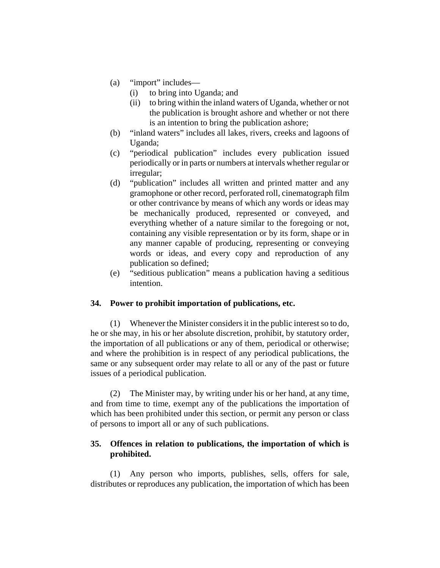- (a) "import" includes—
	- (i) to bring into Uganda; and
	- (ii) to bring within the inland waters of Uganda, whether or not the publication is brought ashore and whether or not there is an intention to bring the publication ashore;
- (b) "inland waters" includes all lakes, rivers, creeks and lagoons of Uganda;
- (c) "periodical publication" includes every publication issued periodically or in parts or numbers at intervals whether regular or irregular;
- (d) "publication" includes all written and printed matter and any gramophone or other record, perforated roll, cinematograph film or other contrivance by means of which any words or ideas may be mechanically produced, represented or conveyed, and everything whether of a nature similar to the foregoing or not, containing any visible representation or by its form, shape or in any manner capable of producing, representing or conveying words or ideas, and every copy and reproduction of any publication so defined;
- (e) "seditious publication" means a publication having a seditious intention.

## **34. Power to prohibit importation of publications, etc.**

(1) Whenever the Minister considers it in the public interest so to do, he or she may, in his or her absolute discretion, prohibit, by statutory order, the importation of all publications or any of them, periodical or otherwise; and where the prohibition is in respect of any periodical publications, the same or any subsequent order may relate to all or any of the past or future issues of a periodical publication.

(2) The Minister may, by writing under his or her hand, at any time, and from time to time, exempt any of the publications the importation of which has been prohibited under this section, or permit any person or class of persons to import all or any of such publications.

# **35. Offences in relation to publications, the importation of which is prohibited.**

(1) Any person who imports, publishes, sells, offers for sale, distributes or reproduces any publication, the importation of which has been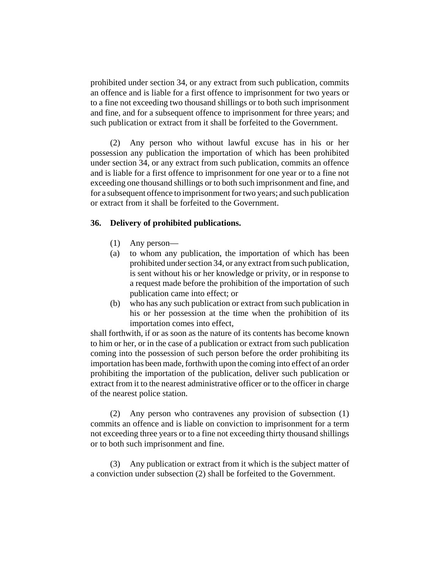prohibited under section 34, or any extract from such publication, commits an offence and is liable for a first offence to imprisonment for two years or to a fine not exceeding two thousand shillings or to both such imprisonment and fine, and for a subsequent offence to imprisonment for three years; and such publication or extract from it shall be forfeited to the Government.

(2) Any person who without lawful excuse has in his or her possession any publication the importation of which has been prohibited under section 34, or any extract from such publication, commits an offence and is liable for a first offence to imprisonment for one year or to a fine not exceeding one thousand shillings or to both such imprisonment and fine, and for a subsequent offence to imprisonment for two years; and such publication or extract from it shall be forfeited to the Government.

## **36. Delivery of prohibited publications.**

- (1) Any person—
- (a) to whom any publication, the importation of which has been prohibited under section 34, or any extract from such publication, is sent without his or her knowledge or privity, or in response to a request made before the prohibition of the importation of such publication came into effect; or
- (b) who has any such publication or extract from such publication in his or her possession at the time when the prohibition of its importation comes into effect,

shall forthwith, if or as soon as the nature of its contents has become known to him or her, or in the case of a publication or extract from such publication coming into the possession of such person before the order prohibiting its importation has been made, forthwith upon the coming into effect of an order prohibiting the importation of the publication, deliver such publication or extract from it to the nearest administrative officer or to the officer in charge of the nearest police station.

(2) Any person who contravenes any provision of subsection (1) commits an offence and is liable on conviction to imprisonment for a term not exceeding three years or to a fine not exceeding thirty thousand shillings or to both such imprisonment and fine.

(3) Any publication or extract from it which is the subject matter of a conviction under subsection (2) shall be forfeited to the Government.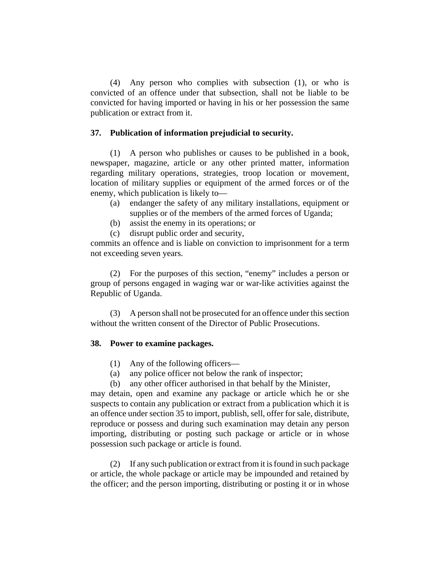(4) Any person who complies with subsection (1), or who is convicted of an offence under that subsection, shall not be liable to be convicted for having imported or having in his or her possession the same publication or extract from it.

#### **37. Publication of information prejudicial to security.**

(1) A person who publishes or causes to be published in a book, newspaper, magazine, article or any other printed matter, information regarding military operations, strategies, troop location or movement, location of military supplies or equipment of the armed forces or of the enemy, which publication is likely to—

- (a) endanger the safety of any military installations, equipment or supplies or of the members of the armed forces of Uganda;
- (b) assist the enemy in its operations; or
- (c) disrupt public order and security,

commits an offence and is liable on conviction to imprisonment for a term not exceeding seven years.

(2) For the purposes of this section, "enemy" includes a person or group of persons engaged in waging war or war-like activities against the Republic of Uganda.

(3) A person shall not be prosecuted for an offence under this section without the written consent of the Director of Public Prosecutions.

## **38. Power to examine packages.**

- (1) Any of the following officers—
- (a) any police officer not below the rank of inspector;
- (b) any other officer authorised in that behalf by the Minister,

may detain, open and examine any package or article which he or she suspects to contain any publication or extract from a publication which it is an offence under section 35 to import, publish, sell, offer for sale, distribute, reproduce or possess and during such examination may detain any person importing, distributing or posting such package or article or in whose possession such package or article is found.

(2) If any such publication or extract from it is found in such package or article, the whole package or article may be impounded and retained by the officer; and the person importing, distributing or posting it or in whose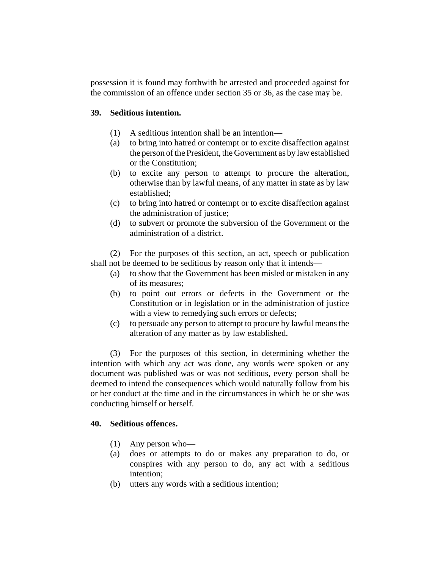possession it is found may forthwith be arrested and proceeded against for the commission of an offence under section 35 or 36, as the case may be.

# **39. Seditious intention.**

- (1) A seditious intention shall be an intention—
- (a) to bring into hatred or contempt or to excite disaffection against the person of the President, the Government as by law established or the Constitution;
- (b) to excite any person to attempt to procure the alteration, otherwise than by lawful means, of any matter in state as by law established;
- (c) to bring into hatred or contempt or to excite disaffection against the administration of justice;
- (d) to subvert or promote the subversion of the Government or the administration of a district.

(2) For the purposes of this section, an act, speech or publication shall not be deemed to be seditious by reason only that it intends—

- (a) to show that the Government has been misled or mistaken in any of its measures;
- (b) to point out errors or defects in the Government or the Constitution or in legislation or in the administration of justice with a view to remedying such errors or defects;
- (c) to persuade any person to attempt to procure by lawful means the alteration of any matter as by law established.

(3) For the purposes of this section, in determining whether the intention with which any act was done, any words were spoken or any document was published was or was not seditious, every person shall be deemed to intend the consequences which would naturally follow from his or her conduct at the time and in the circumstances in which he or she was conducting himself or herself.

## **40. Seditious offences.**

- (1) Any person who—
- (a) does or attempts to do or makes any preparation to do, or conspires with any person to do, any act with a seditious intention;
- (b) utters any words with a seditious intention;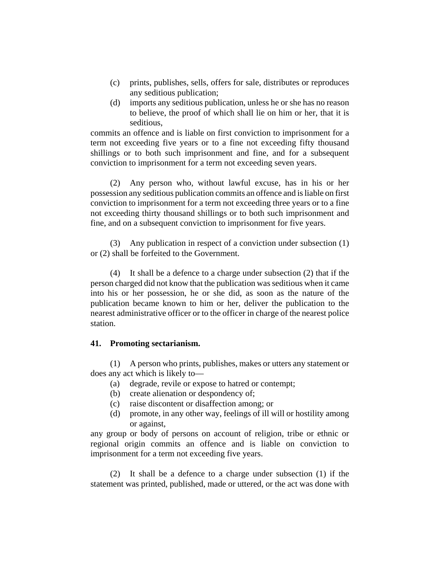- (c) prints, publishes, sells, offers for sale, distributes or reproduces any seditious publication;
- (d) imports any seditious publication, unless he or she has no reason to believe, the proof of which shall lie on him or her, that it is seditious,

commits an offence and is liable on first conviction to imprisonment for a term not exceeding five years or to a fine not exceeding fifty thousand shillings or to both such imprisonment and fine, and for a subsequent conviction to imprisonment for a term not exceeding seven years.

(2) Any person who, without lawful excuse, has in his or her possession any seditious publication commits an offence and is liable on first conviction to imprisonment for a term not exceeding three years or to a fine not exceeding thirty thousand shillings or to both such imprisonment and fine, and on a subsequent conviction to imprisonment for five years.

(3) Any publication in respect of a conviction under subsection (1) or (2) shall be forfeited to the Government.

(4) It shall be a defence to a charge under subsection (2) that if the person charged did not know that the publication was seditious when it came into his or her possession, he or she did, as soon as the nature of the publication became known to him or her, deliver the publication to the nearest administrative officer or to the officer in charge of the nearest police station.

## **41. Promoting sectarianism.**

(1) A person who prints, publishes, makes or utters any statement or does any act which is likely to—

- (a) degrade, revile or expose to hatred or contempt;
- (b) create alienation or despondency of;
- (c) raise discontent or disaffection among; or
- (d) promote, in any other way, feelings of ill will or hostility among or against,

any group or body of persons on account of religion, tribe or ethnic or regional origin commits an offence and is liable on conviction to imprisonment for a term not exceeding five years.

(2) It shall be a defence to a charge under subsection (1) if the statement was printed, published, made or uttered, or the act was done with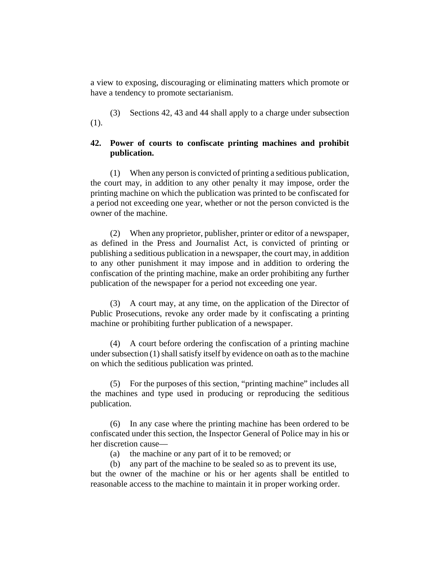a view to exposing, discouraging or eliminating matters which promote or have a tendency to promote sectarianism.

(3) Sections 42, 43 and 44 shall apply to a charge under subsection (1).

## **42. Power of courts to confiscate printing machines and prohibit publication.**

(1) When any person is convicted of printing a seditious publication, the court may, in addition to any other penalty it may impose, order the printing machine on which the publication was printed to be confiscated for a period not exceeding one year, whether or not the person convicted is the owner of the machine.

(2) When any proprietor, publisher, printer or editor of a newspaper, as defined in the Press and Journalist Act, is convicted of printing or publishing a seditious publication in a newspaper, the court may, in addition to any other punishment it may impose and in addition to ordering the confiscation of the printing machine, make an order prohibiting any further publication of the newspaper for a period not exceeding one year.

(3) A court may, at any time, on the application of the Director of Public Prosecutions, revoke any order made by it confiscating a printing machine or prohibiting further publication of a newspaper.

(4) A court before ordering the confiscation of a printing machine under subsection (1) shall satisfy itself by evidence on oath as to the machine on which the seditious publication was printed.

(5) For the purposes of this section, "printing machine" includes all the machines and type used in producing or reproducing the seditious publication.

(6) In any case where the printing machine has been ordered to be confiscated under this section, the Inspector General of Police may in his or her discretion cause—

(a) the machine or any part of it to be removed; or

(b) any part of the machine to be sealed so as to prevent its use, but the owner of the machine or his or her agents shall be entitled to reasonable access to the machine to maintain it in proper working order.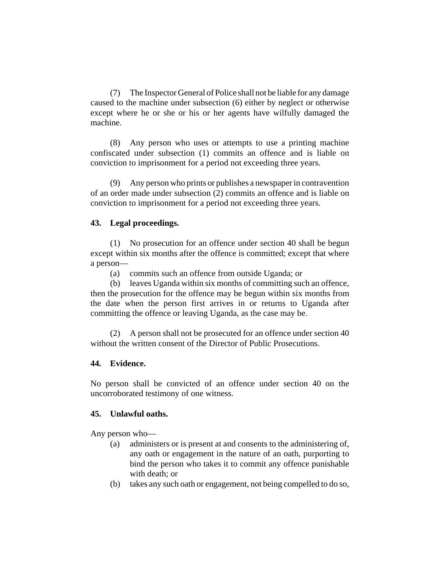(7) The Inspector General of Police shall not be liable for any damage caused to the machine under subsection (6) either by neglect or otherwise except where he or she or his or her agents have wilfully damaged the machine.

(8) Any person who uses or attempts to use a printing machine confiscated under subsection (1) commits an offence and is liable on conviction to imprisonment for a period not exceeding three years.

(9) Any person who prints or publishes a newspaper in contravention of an order made under subsection (2) commits an offence and is liable on conviction to imprisonment for a period not exceeding three years.

## **43. Legal proceedings.**

(1) No prosecution for an offence under section 40 shall be begun except within six months after the offence is committed; except that where a person—

(a) commits such an offence from outside Uganda; or

(b) leaves Uganda within six months of committing such an offence, then the prosecution for the offence may be begun within six months from the date when the person first arrives in or returns to Uganda after committing the offence or leaving Uganda, as the case may be.

(2) A person shall not be prosecuted for an offence under section 40 without the written consent of the Director of Public Prosecutions.

## **44. Evidence.**

No person shall be convicted of an offence under section 40 on the uncorroborated testimony of one witness.

## **45. Unlawful oaths.**

Any person who—

- (a) administers or is present at and consents to the administering of, any oath or engagement in the nature of an oath, purporting to bind the person who takes it to commit any offence punishable with death; or
- (b) takes any such oath or engagement, not being compelled to do so,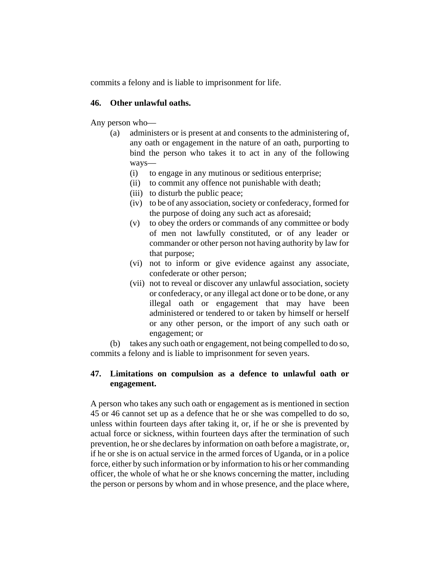commits a felony and is liable to imprisonment for life.

#### **46. Other unlawful oaths.**

Any person who—

- (a) administers or is present at and consents to the administering of, any oath or engagement in the nature of an oath, purporting to bind the person who takes it to act in any of the following ways—
	- (i) to engage in any mutinous or seditious enterprise;
	- (ii) to commit any offence not punishable with death;
	- (iii) to disturb the public peace;
	- (iv) to be of any association, society or confederacy, formed for the purpose of doing any such act as aforesaid;
	- (v) to obey the orders or commands of any committee or body of men not lawfully constituted, or of any leader or commander or other person not having authority by law for that purpose;
	- (vi) not to inform or give evidence against any associate, confederate or other person;
	- (vii) not to reveal or discover any unlawful association, society or confederacy, or any illegal act done or to be done, or any illegal oath or engagement that may have been administered or tendered to or taken by himself or herself or any other person, or the import of any such oath or engagement; or

(b) takes any such oath or engagement, not being compelled to do so, commits a felony and is liable to imprisonment for seven years.

# **47. Limitations on compulsion as a defence to unlawful oath or engagement.**

A person who takes any such oath or engagement as is mentioned in section 45 or 46 cannot set up as a defence that he or she was compelled to do so, unless within fourteen days after taking it, or, if he or she is prevented by actual force or sickness, within fourteen days after the termination of such prevention, he or she declares by information on oath before a magistrate, or, if he or she is on actual service in the armed forces of Uganda, or in a police force, either by such information or by information to his or her commanding officer, the whole of what he or she knows concerning the matter, including the person or persons by whom and in whose presence, and the place where,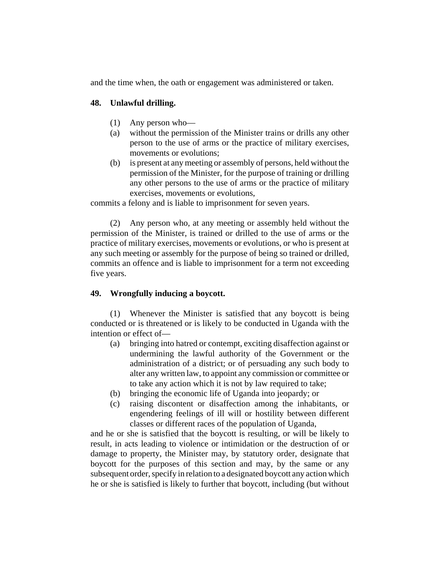and the time when, the oath or engagement was administered or taken.

## **48. Unlawful drilling.**

- (1) Any person who—
- (a) without the permission of the Minister trains or drills any other person to the use of arms or the practice of military exercises, movements or evolutions;
- (b) is present at any meeting or assembly of persons, held without the permission of the Minister, for the purpose of training or drilling any other persons to the use of arms or the practice of military exercises, movements or evolutions,

commits a felony and is liable to imprisonment for seven years.

(2) Any person who, at any meeting or assembly held without the permission of the Minister, is trained or drilled to the use of arms or the practice of military exercises, movements or evolutions, or who is present at any such meeting or assembly for the purpose of being so trained or drilled, commits an offence and is liable to imprisonment for a term not exceeding five years.

## **49. Wrongfully inducing a boycott.**

(1) Whenever the Minister is satisfied that any boycott is being conducted or is threatened or is likely to be conducted in Uganda with the intention or effect of—

- (a) bringing into hatred or contempt, exciting disaffection against or undermining the lawful authority of the Government or the administration of a district; or of persuading any such body to alter any written law, to appoint any commission or committee or to take any action which it is not by law required to take;
- (b) bringing the economic life of Uganda into jeopardy; or
- (c) raising discontent or disaffection among the inhabitants, or engendering feelings of ill will or hostility between different classes or different races of the population of Uganda,

and he or she is satisfied that the boycott is resulting, or will be likely to result, in acts leading to violence or intimidation or the destruction of or damage to property, the Minister may, by statutory order, designate that boycott for the purposes of this section and may, by the same or any subsequent order, specify in relation to a designated boycott any action which he or she is satisfied is likely to further that boycott, including (but without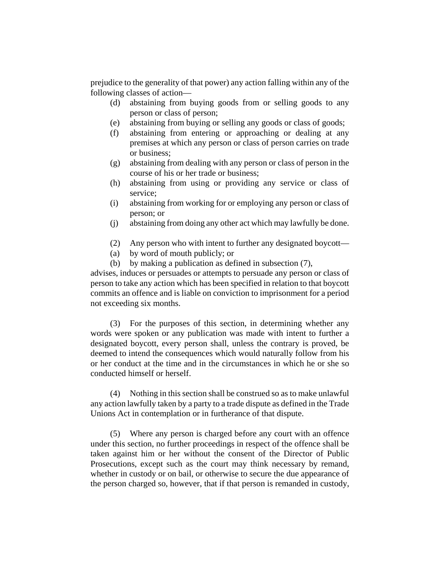prejudice to the generality of that power) any action falling within any of the following classes of action—

- (d) abstaining from buying goods from or selling goods to any person or class of person;
- (e) abstaining from buying or selling any goods or class of goods;
- (f) abstaining from entering or approaching or dealing at any premises at which any person or class of person carries on trade or business;
- (g) abstaining from dealing with any person or class of person in the course of his or her trade or business;
- (h) abstaining from using or providing any service or class of service;
- (i) abstaining from working for or employing any person or class of person; or
- (j) abstaining from doing any other act which may lawfully be done.
- (2) Any person who with intent to further any designated boycott—
- (a) by word of mouth publicly; or
- (b) by making a publication as defined in subsection (7),

advises, induces or persuades or attempts to persuade any person or class of person to take any action which has been specified in relation to that boycott commits an offence and is liable on conviction to imprisonment for a period not exceeding six months.

(3) For the purposes of this section, in determining whether any words were spoken or any publication was made with intent to further a designated boycott, every person shall, unless the contrary is proved, be deemed to intend the consequences which would naturally follow from his or her conduct at the time and in the circumstances in which he or she so conducted himself or herself.

(4) Nothing in this section shall be construed so as to make unlawful any action lawfully taken by a party to a trade dispute as defined in the Trade Unions Act in contemplation or in furtherance of that dispute.

(5) Where any person is charged before any court with an offence under this section, no further proceedings in respect of the offence shall be taken against him or her without the consent of the Director of Public Prosecutions, except such as the court may think necessary by remand, whether in custody or on bail, or otherwise to secure the due appearance of the person charged so, however, that if that person is remanded in custody,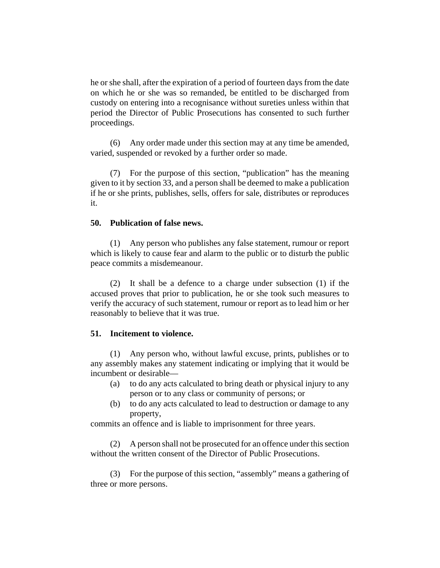he or she shall, after the expiration of a period of fourteen days from the date on which he or she was so remanded, be entitled to be discharged from custody on entering into a recognisance without sureties unless within that period the Director of Public Prosecutions has consented to such further proceedings.

(6) Any order made under this section may at any time be amended, varied, suspended or revoked by a further order so made.

(7) For the purpose of this section, "publication" has the meaning given to it by section 33, and a person shall be deemed to make a publication if he or she prints, publishes, sells, offers for sale, distributes or reproduces it.

#### **50. Publication of false news.**

(1) Any person who publishes any false statement, rumour or report which is likely to cause fear and alarm to the public or to disturb the public peace commits a misdemeanour.

(2) It shall be a defence to a charge under subsection (1) if the accused proves that prior to publication, he or she took such measures to verify the accuracy of such statement, rumour or report as to lead him or her reasonably to believe that it was true.

## **51. Incitement to violence.**

(1) Any person who, without lawful excuse, prints, publishes or to any assembly makes any statement indicating or implying that it would be incumbent or desirable—

- (a) to do any acts calculated to bring death or physical injury to any person or to any class or community of persons; or
- (b) to do any acts calculated to lead to destruction or damage to any property,

commits an offence and is liable to imprisonment for three years.

(2) A person shall not be prosecuted for an offence under this section without the written consent of the Director of Public Prosecutions.

(3) For the purpose of this section, "assembly" means a gathering of three or more persons.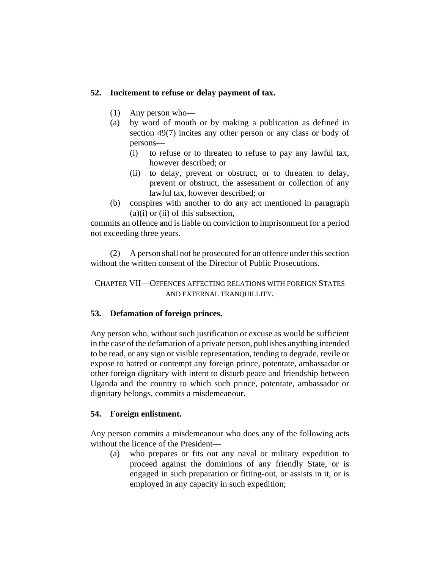# **52. Incitement to refuse or delay payment of tax.**

- (1) Any person who—
- (a) by word of mouth or by making a publication as defined in section 49(7) incites any other person or any class or body of persons—
	- (i) to refuse or to threaten to refuse to pay any lawful tax, however described; or
	- (ii) to delay, prevent or obstruct, or to threaten to delay, prevent or obstruct, the assessment or collection of any lawful tax, however described; or
- (b) conspires with another to do any act mentioned in paragraph  $(a)(i)$  or  $(ii)$  of this subsection,

commits an offence and is liable on conviction to imprisonment for a period not exceeding three years.

(2) A person shall not be prosecuted for an offence under this section without the written consent of the Director of Public Prosecutions.

CHAPTER VII—OFFENCES AFFECTING RELATIONS WITH FOREIGN STATES AND EXTERNAL TRANQUILLITY.

# **53. Defamation of foreign princes.**

Any person who, without such justification or excuse as would be sufficient in the case of the defamation of a private person, publishes anything intended to be read, or any sign or visible representation, tending to degrade, revile or expose to hatred or contempt any foreign prince, potentate, ambassador or other foreign dignitary with intent to disturb peace and friendship between Uganda and the country to which such prince, potentate, ambassador or dignitary belongs, commits a misdemeanour.

## **54. Foreign enlistment.**

Any person commits a misdemeanour who does any of the following acts without the licence of the President—

(a) who prepares or fits out any naval or military expedition to proceed against the dominions of any friendly State, or is engaged in such preparation or fitting-out, or assists in it, or is employed in any capacity in such expedition;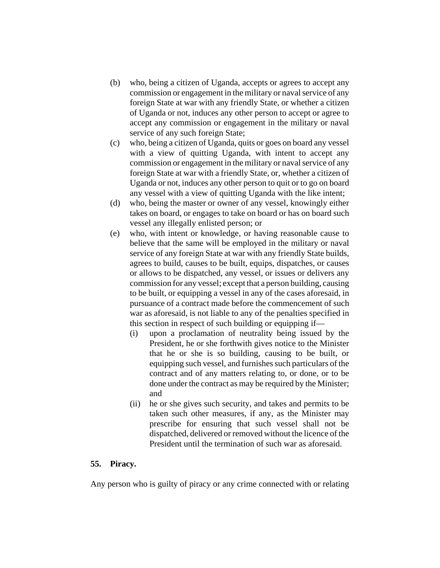- (b) who, being a citizen of Uganda, accepts or agrees to accept any commission or engagement in the military or naval service of any foreign State at war with any friendly State, or whether a citizen of Uganda or not, induces any other person to accept or agree to accept any commission or engagement in the military or naval service of any such foreign State;
- (c) who, being a citizen of Uganda, quits or goes on board any vessel with a view of quitting Uganda, with intent to accept any commission or engagement in the military or naval service of any foreign State at war with a friendly State, or, whether a citizen of Uganda or not, induces any other person to quit or to go on board any vessel with a view of quitting Uganda with the like intent;
- (d) who, being the master or owner of any vessel, knowingly either takes on board, or engages to take on board or has on board such vessel any illegally enlisted person; or
- (e) who, with intent or knowledge, or having reasonable cause to believe that the same will be employed in the military or naval service of any foreign State at war with any friendly State builds, agrees to build, causes to be built, equips, dispatches, or causes or allows to be dispatched, any vessel, or issues or delivers any commission for any vessel; except that a person building, causing to be built, or equipping a vessel in any of the cases aforesaid, in pursuance of a contract made before the commencement of such war as aforesaid, is not liable to any of the penalties specified in this section in respect of such building or equipping if—
	- (i) upon a proclamation of neutrality being issued by the President, he or she forthwith gives notice to the Minister that he or she is so building, causing to be built, or equipping such vessel, and furnishes such particulars of the contract and of any matters relating to, or done, or to be done under the contract as may be required by the Minister; and
	- (ii) he or she gives such security, and takes and permits to be taken such other measures, if any, as the Minister may prescribe for ensuring that such vessel shall not be dispatched, delivered or removed without the licence of the President until the termination of such war as aforesaid.

#### **55. Piracy.**

Any person who is guilty of piracy or any crime connected with or relating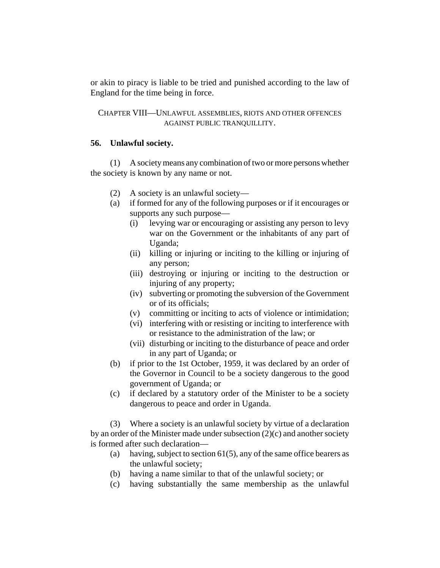or akin to piracy is liable to be tried and punished according to the law of England for the time being in force.

CHAPTER VIII—UNLAWFUL ASSEMBLIES, RIOTS AND OTHER OFFENCES AGAINST PUBLIC TRANQUILLITY.

#### **56. Unlawful society.**

(1) A society means any combination of two or more persons whether the society is known by any name or not.

- (2) A society is an unlawful society—
- (a) if formed for any of the following purposes or if it encourages or supports any such purpose—
	- (i) levying war or encouraging or assisting any person to levy war on the Government or the inhabitants of any part of Uganda;
	- (ii) killing or injuring or inciting to the killing or injuring of any person;
	- (iii) destroying or injuring or inciting to the destruction or injuring of any property;
	- (iv) subverting or promoting the subversion of the Government or of its officials;
	- (v) committing or inciting to acts of violence or intimidation;
	- (vi) interfering with or resisting or inciting to interference with or resistance to the administration of the law; or
	- (vii) disturbing or inciting to the disturbance of peace and order in any part of Uganda; or
- (b) if prior to the 1st October, 1959, it was declared by an order of the Governor in Council to be a society dangerous to the good government of Uganda; or
- (c) if declared by a statutory order of the Minister to be a society dangerous to peace and order in Uganda.

(3) Where a society is an unlawful society by virtue of a declaration by an order of the Minister made under subsection (2)(c) and another society is formed after such declaration—

- (a) having, subject to section  $61(5)$ , any of the same office bearers as the unlawful society;
- (b) having a name similar to that of the unlawful society; or
- (c) having substantially the same membership as the unlawful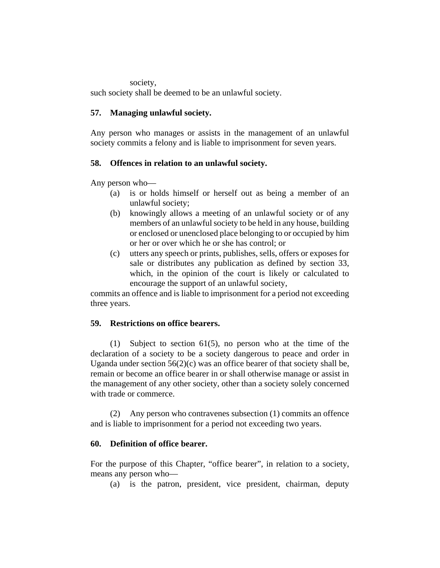society,

such society shall be deemed to be an unlawful society.

## **57. Managing unlawful society.**

Any person who manages or assists in the management of an unlawful society commits a felony and is liable to imprisonment for seven years.

## **58. Offences in relation to an unlawful society.**

Any person who—

- (a) is or holds himself or herself out as being a member of an unlawful society;
- (b) knowingly allows a meeting of an unlawful society or of any members of an unlawful society to be held in any house, building or enclosed or unenclosed place belonging to or occupied by him or her or over which he or she has control; or
- (c) utters any speech or prints, publishes, sells, offers or exposes for sale or distributes any publication as defined by section 33, which, in the opinion of the court is likely or calculated to encourage the support of an unlawful society,

commits an offence and is liable to imprisonment for a period not exceeding three years.

## **59. Restrictions on office bearers.**

(1) Subject to section 61(5), no person who at the time of the declaration of a society to be a society dangerous to peace and order in Uganda under section 56(2)(c) was an office bearer of that society shall be, remain or become an office bearer in or shall otherwise manage or assist in the management of any other society, other than a society solely concerned with trade or commerce.

(2) Any person who contravenes subsection (1) commits an offence and is liable to imprisonment for a period not exceeding two years.

#### **60. Definition of office bearer.**

For the purpose of this Chapter, "office bearer", in relation to a society, means any person who—

(a) is the patron, president, vice president, chairman, deputy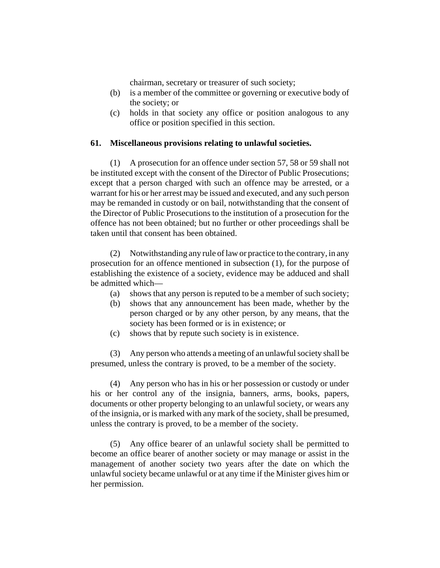chairman, secretary or treasurer of such society;

- (b) is a member of the committee or governing or executive body of the society; or
- (c) holds in that society any office or position analogous to any office or position specified in this section.

### **61. Miscellaneous provisions relating to unlawful societies.**

(1) A prosecution for an offence under section 57, 58 or 59 shall not be instituted except with the consent of the Director of Public Prosecutions; except that a person charged with such an offence may be arrested, or a warrant for his or her arrest may be issued and executed, and any such person may be remanded in custody or on bail, notwithstanding that the consent of the Director of Public Prosecutions to the institution of a prosecution for the offence has not been obtained; but no further or other proceedings shall be taken until that consent has been obtained.

(2) Notwithstanding any rule of law or practice to the contrary, in any prosecution for an offence mentioned in subsection (1), for the purpose of establishing the existence of a society, evidence may be adduced and shall be admitted which—

- (a) shows that any person is reputed to be a member of such society;
- (b) shows that any announcement has been made, whether by the person charged or by any other person, by any means, that the society has been formed or is in existence; or
- (c) shows that by repute such society is in existence.

(3) Any person who attends a meeting of an unlawful society shall be presumed, unless the contrary is proved, to be a member of the society.

(4) Any person who has in his or her possession or custody or under his or her control any of the insignia, banners, arms, books, papers, documents or other property belonging to an unlawful society, or wears any of the insignia, or is marked with any mark of the society, shall be presumed, unless the contrary is proved, to be a member of the society.

(5) Any office bearer of an unlawful society shall be permitted to become an office bearer of another society or may manage or assist in the management of another society two years after the date on which the unlawful society became unlawful or at any time if the Minister gives him or her permission.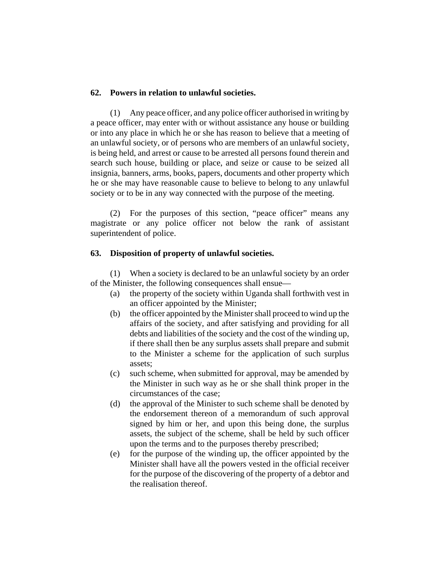### **62. Powers in relation to unlawful societies.**

(1) Any peace officer, and any police officer authorised in writing by a peace officer, may enter with or without assistance any house or building or into any place in which he or she has reason to believe that a meeting of an unlawful society, or of persons who are members of an unlawful society, is being held, and arrest or cause to be arrested all persons found therein and search such house, building or place, and seize or cause to be seized all insignia, banners, arms, books, papers, documents and other property which he or she may have reasonable cause to believe to belong to any unlawful society or to be in any way connected with the purpose of the meeting.

(2) For the purposes of this section, "peace officer" means any magistrate or any police officer not below the rank of assistant superintendent of police.

### **63. Disposition of property of unlawful societies.**

(1) When a society is declared to be an unlawful society by an order of the Minister, the following consequences shall ensue—

- (a) the property of the society within Uganda shall forthwith vest in an officer appointed by the Minister;
- (b) the officer appointed by the Minister shall proceed to wind up the affairs of the society, and after satisfying and providing for all debts and liabilities of the society and the cost of the winding up, if there shall then be any surplus assets shall prepare and submit to the Minister a scheme for the application of such surplus assets;
- (c) such scheme, when submitted for approval, may be amended by the Minister in such way as he or she shall think proper in the circumstances of the case;
- (d) the approval of the Minister to such scheme shall be denoted by the endorsement thereon of a memorandum of such approval signed by him or her, and upon this being done, the surplus assets, the subject of the scheme, shall be held by such officer upon the terms and to the purposes thereby prescribed;
- (e) for the purpose of the winding up, the officer appointed by the Minister shall have all the powers vested in the official receiver for the purpose of the discovering of the property of a debtor and the realisation thereof.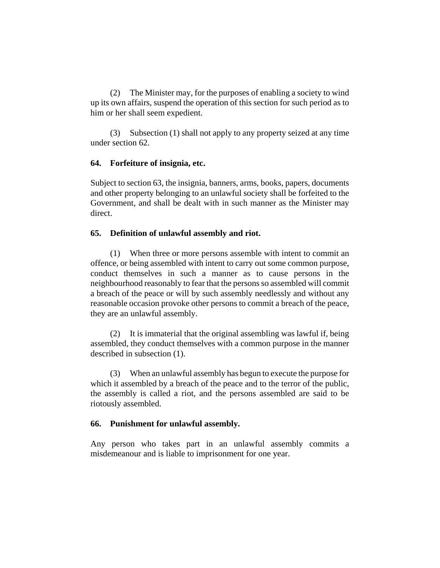(2) The Minister may, for the purposes of enabling a society to wind up its own affairs, suspend the operation of this section for such period as to him or her shall seem expedient.

(3) Subsection (1) shall not apply to any property seized at any time under section 62.

### **64. Forfeiture of insignia, etc.**

Subject to section 63, the insignia, banners, arms, books, papers, documents and other property belonging to an unlawful society shall be forfeited to the Government, and shall be dealt with in such manner as the Minister may direct.

## **65. Definition of unlawful assembly and riot.**

(1) When three or more persons assemble with intent to commit an offence, or being assembled with intent to carry out some common purpose, conduct themselves in such a manner as to cause persons in the neighbourhood reasonably to fear that the persons so assembled will commit a breach of the peace or will by such assembly needlessly and without any reasonable occasion provoke other persons to commit a breach of the peace, they are an unlawful assembly.

(2) It is immaterial that the original assembling was lawful if, being assembled, they conduct themselves with a common purpose in the manner described in subsection (1).

(3) When an unlawful assembly has begun to execute the purpose for which it assembled by a breach of the peace and to the terror of the public, the assembly is called a riot, and the persons assembled are said to be riotously assembled.

## **66. Punishment for unlawful assembly.**

Any person who takes part in an unlawful assembly commits a misdemeanour and is liable to imprisonment for one year.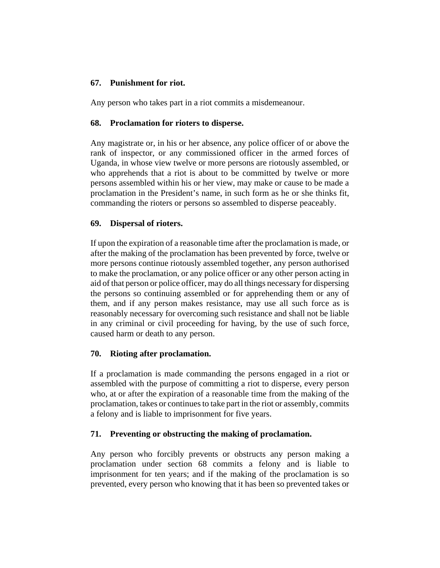# **67. Punishment for riot.**

Any person who takes part in a riot commits a misdemeanour.

## **68. Proclamation for rioters to disperse.**

Any magistrate or, in his or her absence, any police officer of or above the rank of inspector, or any commissioned officer in the armed forces of Uganda, in whose view twelve or more persons are riotously assembled, or who apprehends that a riot is about to be committed by twelve or more persons assembled within his or her view, may make or cause to be made a proclamation in the President's name, in such form as he or she thinks fit, commanding the rioters or persons so assembled to disperse peaceably.

## **69. Dispersal of rioters.**

If upon the expiration of a reasonable time after the proclamation is made, or after the making of the proclamation has been prevented by force, twelve or more persons continue riotously assembled together, any person authorised to make the proclamation, or any police officer or any other person acting in aid of that person or police officer, may do all things necessary for dispersing the persons so continuing assembled or for apprehending them or any of them, and if any person makes resistance, may use all such force as is reasonably necessary for overcoming such resistance and shall not be liable in any criminal or civil proceeding for having, by the use of such force, caused harm or death to any person.

# **70. Rioting after proclamation.**

If a proclamation is made commanding the persons engaged in a riot or assembled with the purpose of committing a riot to disperse, every person who, at or after the expiration of a reasonable time from the making of the proclamation, takes or continues to take part in the riot or assembly, commits a felony and is liable to imprisonment for five years.

# **71. Preventing or obstructing the making of proclamation.**

Any person who forcibly prevents or obstructs any person making a proclamation under section 68 commits a felony and is liable to imprisonment for ten years; and if the making of the proclamation is so prevented, every person who knowing that it has been so prevented takes or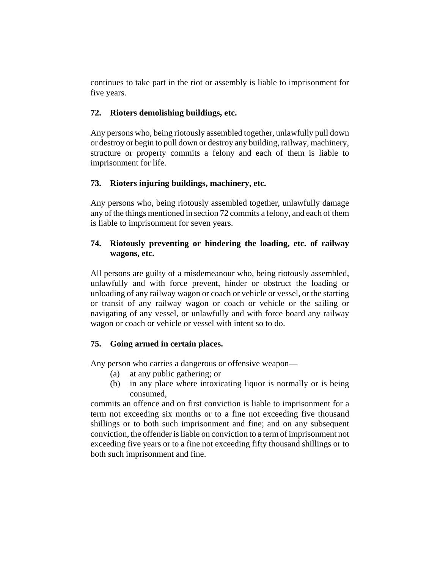continues to take part in the riot or assembly is liable to imprisonment for five years.

# **72. Rioters demolishing buildings, etc.**

Any persons who, being riotously assembled together, unlawfully pull down or destroy or begin to pull down or destroy any building, railway, machinery, structure or property commits a felony and each of them is liable to imprisonment for life.

# **73. Rioters injuring buildings, machinery, etc.**

Any persons who, being riotously assembled together, unlawfully damage any of the things mentioned in section 72 commits a felony, and each of them is liable to imprisonment for seven years.

# **74. Riotously preventing or hindering the loading, etc. of railway wagons, etc.**

All persons are guilty of a misdemeanour who, being riotously assembled, unlawfully and with force prevent, hinder or obstruct the loading or unloading of any railway wagon or coach or vehicle or vessel, or the starting or transit of any railway wagon or coach or vehicle or the sailing or navigating of any vessel, or unlawfully and with force board any railway wagon or coach or vehicle or vessel with intent so to do.

# **75. Going armed in certain places.**

Any person who carries a dangerous or offensive weapon—

- (a) at any public gathering; or
- (b) in any place where intoxicating liquor is normally or is being consumed,

commits an offence and on first conviction is liable to imprisonment for a term not exceeding six months or to a fine not exceeding five thousand shillings or to both such imprisonment and fine; and on any subsequent conviction, the offender is liable on conviction to a term of imprisonment not exceeding five years or to a fine not exceeding fifty thousand shillings or to both such imprisonment and fine.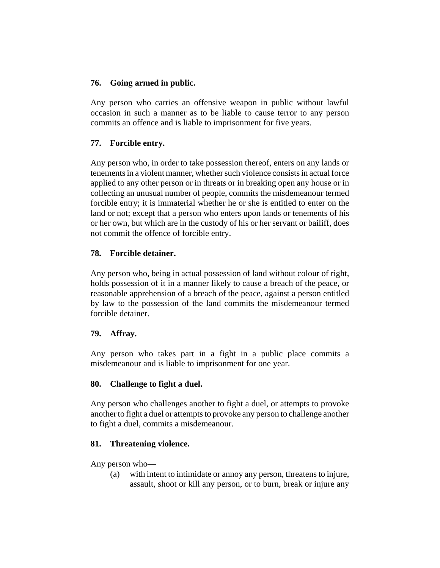## **76. Going armed in public.**

Any person who carries an offensive weapon in public without lawful occasion in such a manner as to be liable to cause terror to any person commits an offence and is liable to imprisonment for five years.

# **77. Forcible entry.**

Any person who, in order to take possession thereof, enters on any lands or tenements in a violent manner, whether such violence consists in actual force applied to any other person or in threats or in breaking open any house or in collecting an unusual number of people, commits the misdemeanour termed forcible entry; it is immaterial whether he or she is entitled to enter on the land or not; except that a person who enters upon lands or tenements of his or her own, but which are in the custody of his or her servant or bailiff, does not commit the offence of forcible entry.

## **78. Forcible detainer.**

Any person who, being in actual possession of land without colour of right, holds possession of it in a manner likely to cause a breach of the peace, or reasonable apprehension of a breach of the peace, against a person entitled by law to the possession of the land commits the misdemeanour termed forcible detainer.

## **79. Affray.**

Any person who takes part in a fight in a public place commits a misdemeanour and is liable to imprisonment for one year.

# **80. Challenge to fight a duel.**

Any person who challenges another to fight a duel, or attempts to provoke another to fight a duel or attempts to provoke any person to challenge another to fight a duel, commits a misdemeanour.

# **81. Threatening violence.**

Any person who—

(a) with intent to intimidate or annoy any person, threatens to injure, assault, shoot or kill any person, or to burn, break or injure any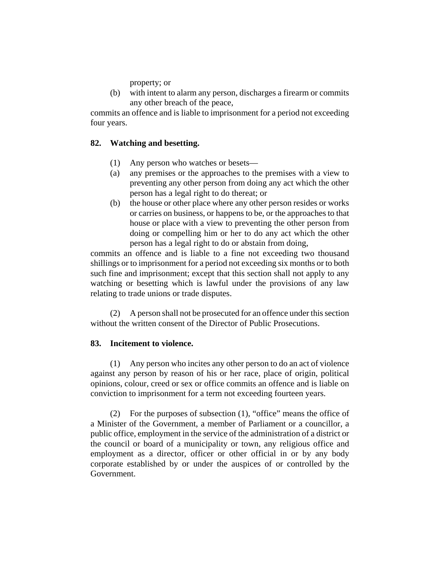property; or

(b) with intent to alarm any person, discharges a firearm or commits any other breach of the peace,

commits an offence and is liable to imprisonment for a period not exceeding four years.

## **82. Watching and besetting.**

- (1) Any person who watches or besets—
- (a) any premises or the approaches to the premises with a view to preventing any other person from doing any act which the other person has a legal right to do thereat; or
- (b) the house or other place where any other person resides or works or carries on business, or happens to be, or the approaches to that house or place with a view to preventing the other person from doing or compelling him or her to do any act which the other person has a legal right to do or abstain from doing,

commits an offence and is liable to a fine not exceeding two thousand shillings or to imprisonment for a period not exceeding six months or to both such fine and imprisonment; except that this section shall not apply to any watching or besetting which is lawful under the provisions of any law relating to trade unions or trade disputes.

(2) A person shall not be prosecuted for an offence under this section without the written consent of the Director of Public Prosecutions.

## **83. Incitement to violence.**

(1) Any person who incites any other person to do an act of violence against any person by reason of his or her race, place of origin, political opinions, colour, creed or sex or office commits an offence and is liable on conviction to imprisonment for a term not exceeding fourteen years.

(2) For the purposes of subsection (1), "office" means the office of a Minister of the Government, a member of Parliament or a councillor, a public office, employment in the service of the administration of a district or the council or board of a municipality or town, any religious office and employment as a director, officer or other official in or by any body corporate established by or under the auspices of or controlled by the Government.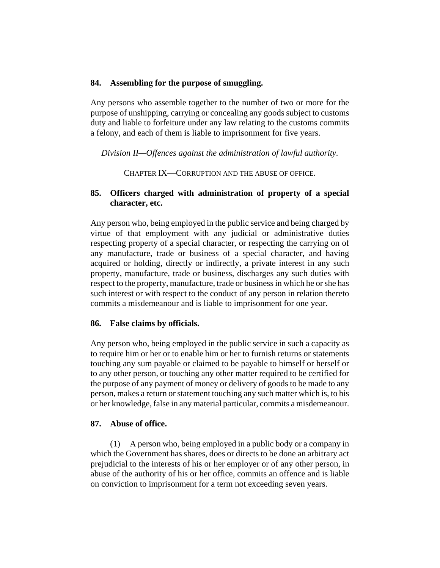## **84. Assembling for the purpose of smuggling.**

Any persons who assemble together to the number of two or more for the purpose of unshipping, carrying or concealing any goods subject to customs duty and liable to forfeiture under any law relating to the customs commits a felony, and each of them is liable to imprisonment for five years.

## *Division II—Offences against the administration of lawful authority.*

CHAPTER IX—CORRUPTION AND THE ABUSE OF OFFICE.

# **85. Officers charged with administration of property of a special character, etc.**

Any person who, being employed in the public service and being charged by virtue of that employment with any judicial or administrative duties respecting property of a special character, or respecting the carrying on of any manufacture, trade or business of a special character, and having acquired or holding, directly or indirectly, a private interest in any such property, manufacture, trade or business, discharges any such duties with respect to the property, manufacture, trade or business in which he or she has such interest or with respect to the conduct of any person in relation thereto commits a misdemeanour and is liable to imprisonment for one year.

# **86. False claims by officials.**

Any person who, being employed in the public service in such a capacity as to require him or her or to enable him or her to furnish returns or statements touching any sum payable or claimed to be payable to himself or herself or to any other person, or touching any other matter required to be certified for the purpose of any payment of money or delivery of goods to be made to any person, makes a return or statement touching any such matter which is, to his or her knowledge, false in any material particular, commits a misdemeanour.

# **87. Abuse of office.**

(1) A person who, being employed in a public body or a company in which the Government has shares, does or directs to be done an arbitrary act prejudicial to the interests of his or her employer or of any other person, in abuse of the authority of his or her office, commits an offence and is liable on conviction to imprisonment for a term not exceeding seven years.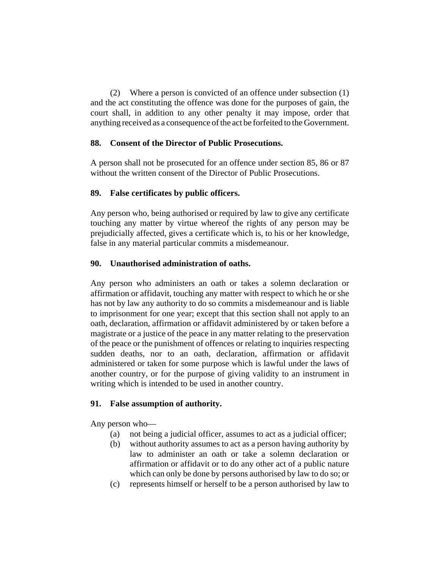(2) Where a person is convicted of an offence under subsection (1) and the act constituting the offence was done for the purposes of gain, the court shall, in addition to any other penalty it may impose, order that anything received as a consequence of the act be forfeited to the Government.

## **88. Consent of the Director of Public Prosecutions.**

A person shall not be prosecuted for an offence under section 85, 86 or 87 without the written consent of the Director of Public Prosecutions.

# **89. False certificates by public officers.**

Any person who, being authorised or required by law to give any certificate touching any matter by virtue whereof the rights of any person may be prejudicially affected, gives a certificate which is, to his or her knowledge, false in any material particular commits a misdemeanour.

# **90. Unauthorised administration of oaths.**

Any person who administers an oath or takes a solemn declaration or affirmation or affidavit, touching any matter with respect to which he or she has not by law any authority to do so commits a misdemeanour and is liable to imprisonment for one year; except that this section shall not apply to an oath, declaration, affirmation or affidavit administered by or taken before a magistrate or a justice of the peace in any matter relating to the preservation of the peace or the punishment of offences or relating to inquiries respecting sudden deaths, nor to an oath, declaration, affirmation or affidavit administered or taken for some purpose which is lawful under the laws of another country, or for the purpose of giving validity to an instrument in writing which is intended to be used in another country.

# **91. False assumption of authority.**

Any person who—

- (a) not being a judicial officer, assumes to act as a judicial officer;
- (b) without authority assumes to act as a person having authority by law to administer an oath or take a solemn declaration or affirmation or affidavit or to do any other act of a public nature which can only be done by persons authorised by law to do so; or
- (c) represents himself or herself to be a person authorised by law to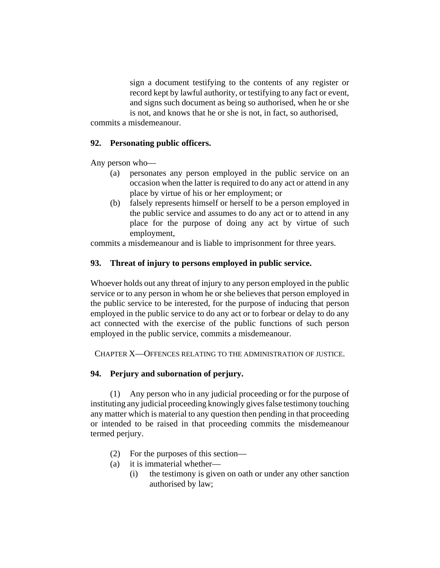sign a document testifying to the contents of any register or record kept by lawful authority, or testifying to any fact or event, and signs such document as being so authorised, when he or she is not, and knows that he or she is not, in fact, so authorised, commits a misdemeanour.

### **92. Personating public officers.**

Any person who—

- (a) personates any person employed in the public service on an occasion when the latter is required to do any act or attend in any place by virtue of his or her employment; or
- (b) falsely represents himself or herself to be a person employed in the public service and assumes to do any act or to attend in any place for the purpose of doing any act by virtue of such employment,

commits a misdemeanour and is liable to imprisonment for three years.

### **93. Threat of injury to persons employed in public service.**

Whoever holds out any threat of injury to any person employed in the public service or to any person in whom he or she believes that person employed in the public service to be interested, for the purpose of inducing that person employed in the public service to do any act or to forbear or delay to do any act connected with the exercise of the public functions of such person employed in the public service, commits a misdemeanour.

CHAPTER X—OFFENCES RELATING TO THE ADMINISTRATION OF JUSTICE.

## **94. Perjury and subornation of perjury.**

(1) Any person who in any judicial proceeding or for the purpose of instituting any judicial proceeding knowingly gives false testimony touching any matter which is material to any question then pending in that proceeding or intended to be raised in that proceeding commits the misdemeanour termed perjury.

- (2) For the purposes of this section—
- (a) it is immaterial whether—
	- (i) the testimony is given on oath or under any other sanction authorised by law;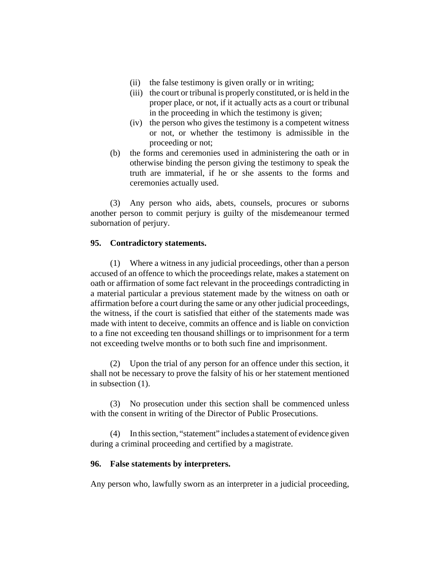- (ii) the false testimony is given orally or in writing;
- (iii) the court or tribunal is properly constituted, or is held in the proper place, or not, if it actually acts as a court or tribunal in the proceeding in which the testimony is given;
- (iv) the person who gives the testimony is a competent witness or not, or whether the testimony is admissible in the proceeding or not;
- (b) the forms and ceremonies used in administering the oath or in otherwise binding the person giving the testimony to speak the truth are immaterial, if he or she assents to the forms and ceremonies actually used.

(3) Any person who aids, abets, counsels, procures or suborns another person to commit perjury is guilty of the misdemeanour termed subornation of perjury.

#### **95. Contradictory statements.**

(1) Where a witness in any judicial proceedings, other than a person accused of an offence to which the proceedings relate, makes a statement on oath or affirmation of some fact relevant in the proceedings contradicting in a material particular a previous statement made by the witness on oath or affirmation before a court during the same or any other judicial proceedings, the witness, if the court is satisfied that either of the statements made was made with intent to deceive, commits an offence and is liable on conviction to a fine not exceeding ten thousand shillings or to imprisonment for a term not exceeding twelve months or to both such fine and imprisonment.

(2) Upon the trial of any person for an offence under this section, it shall not be necessary to prove the falsity of his or her statement mentioned in subsection (1).

(3) No prosecution under this section shall be commenced unless with the consent in writing of the Director of Public Prosecutions.

(4) In this section, "statement" includes a statement of evidence given during a criminal proceeding and certified by a magistrate.

#### **96. False statements by interpreters.**

Any person who, lawfully sworn as an interpreter in a judicial proceeding,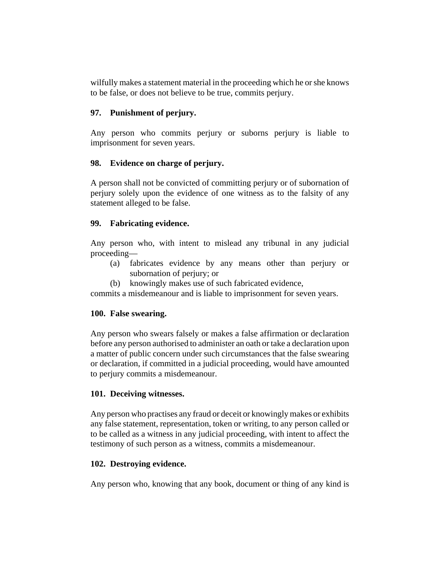wilfully makes a statement material in the proceeding which he or she knows to be false, or does not believe to be true, commits perjury.

# **97. Punishment of perjury.**

Any person who commits perjury or suborns perjury is liable to imprisonment for seven years.

## **98. Evidence on charge of perjury.**

A person shall not be convicted of committing perjury or of subornation of perjury solely upon the evidence of one witness as to the falsity of any statement alleged to be false.

## **99. Fabricating evidence.**

Any person who, with intent to mislead any tribunal in any judicial proceeding—

- (a) fabricates evidence by any means other than perjury or subornation of perjury; or
- (b) knowingly makes use of such fabricated evidence,

commits a misdemeanour and is liable to imprisonment for seven years.

# **100. False swearing.**

Any person who swears falsely or makes a false affirmation or declaration before any person authorised to administer an oath or take a declaration upon a matter of public concern under such circumstances that the false swearing or declaration, if committed in a judicial proceeding, would have amounted to perjury commits a misdemeanour.

## **101. Deceiving witnesses.**

Any person who practises any fraud or deceit or knowingly makes or exhibits any false statement, representation, token or writing, to any person called or to be called as a witness in any judicial proceeding, with intent to affect the testimony of such person as a witness, commits a misdemeanour.

## **102. Destroying evidence.**

Any person who, knowing that any book, document or thing of any kind is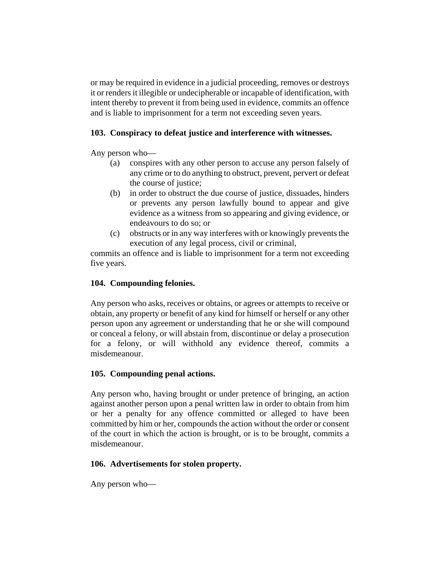or may be required in evidence in a judicial proceeding, removes or destroys it or renders it illegible or undecipherable or incapable of identification, with intent thereby to prevent it from being used in evidence, commits an offence and is liable to imprisonment for a term not exceeding seven years.

# **103. Conspiracy to defeat justice and interference with witnesses.**

Any person who—

- (a) conspires with any other person to accuse any person falsely of any crime or to do anything to obstruct, prevent, pervert or defeat the course of justice;
- (b) in order to obstruct the due course of justice, dissuades, hinders or prevents any person lawfully bound to appear and give evidence as a witness from so appearing and giving evidence, or endeavours to do so; or
- (c) obstructs or in any way interferes with or knowingly prevents the execution of any legal process, civil or criminal,

commits an offence and is liable to imprisonment for a term not exceeding five years.

# **104. Compounding felonies.**

Any person who asks, receives or obtains, or agrees or attempts to receive or obtain, any property or benefit of any kind for himself or herself or any other person upon any agreement or understanding that he or she will compound or conceal a felony, or will abstain from, discontinue or delay a prosecution for a felony, or will withhold any evidence thereof, commits a misdemeanour.

## **105. Compounding penal actions.**

Any person who, having brought or under pretence of bringing, an action against another person upon a penal written law in order to obtain from him or her a penalty for any offence committed or alleged to have been committed by him or her, compounds the action without the order or consent of the court in which the action is brought, or is to be brought, commits a misdemeanour.

## **106. Advertisements for stolen property.**

Any person who—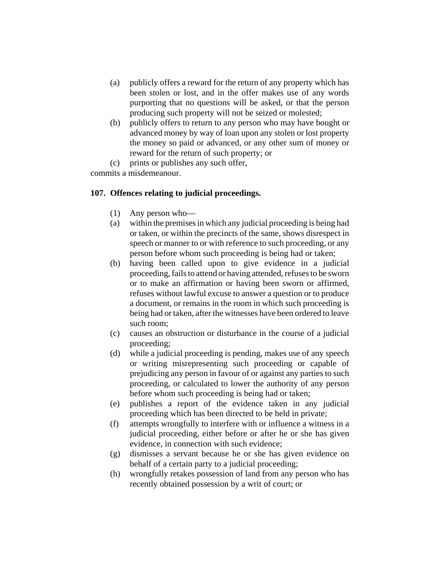- (a) publicly offers a reward for the return of any property which has been stolen or lost, and in the offer makes use of any words purporting that no questions will be asked, or that the person producing such property will not be seized or molested;
- (b) publicly offers to return to any person who may have bought or advanced money by way of loan upon any stolen or lost property the money so paid or advanced, or any other sum of money or reward for the return of such property; or
- (c) prints or publishes any such offer,

commits a misdemeanour.

### **107. Offences relating to judicial proceedings.**

- (1) Any person who—
- (a) within the premises in which any judicial proceeding is being had or taken, or within the precincts of the same, shows disrespect in speech or manner to or with reference to such proceeding, or any person before whom such proceeding is being had or taken;
- (b) having been called upon to give evidence in a judicial proceeding, fails to attend or having attended, refuses to be sworn or to make an affirmation or having been sworn or affirmed, refuses without lawful excuse to answer a question or to produce a document, or remains in the room in which such proceeding is being had or taken, after the witnesses have been ordered to leave such room;
- (c) causes an obstruction or disturbance in the course of a judicial proceeding;
- (d) while a judicial proceeding is pending, makes use of any speech or writing misrepresenting such proceeding or capable of prejudicing any person in favour of or against any parties to such proceeding, or calculated to lower the authority of any person before whom such proceeding is being had or taken;
- (e) publishes a report of the evidence taken in any judicial proceeding which has been directed to be held in private;
- (f) attempts wrongfully to interfere with or influence a witness in a judicial proceeding, either before or after he or she has given evidence, in connection with such evidence;
- (g) dismisses a servant because he or she has given evidence on behalf of a certain party to a judicial proceeding;
- (h) wrongfully retakes possession of land from any person who has recently obtained possession by a writ of court; or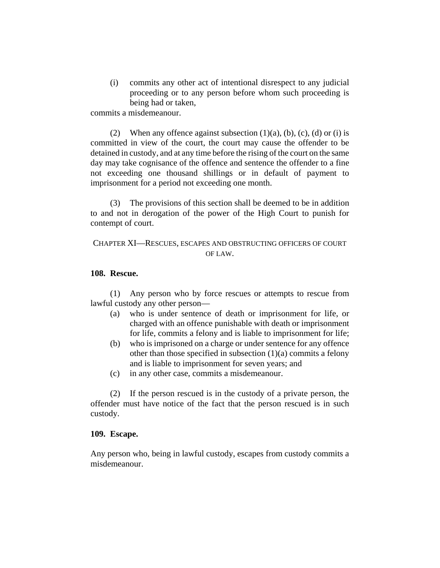(i) commits any other act of intentional disrespect to any judicial proceeding or to any person before whom such proceeding is being had or taken,

commits a misdemeanour.

(2) When any offence against subsection  $(1)(a)$ ,  $(b)$ ,  $(c)$ ,  $(d)$  or  $(i)$  is committed in view of the court, the court may cause the offender to be detained in custody, and at any time before the rising of the court on the same day may take cognisance of the offence and sentence the offender to a fine not exceeding one thousand shillings or in default of payment to imprisonment for a period not exceeding one month.

(3) The provisions of this section shall be deemed to be in addition to and not in derogation of the power of the High Court to punish for contempt of court.

## CHAPTER XI—RESCUES, ESCAPES AND OBSTRUCTING OFFICERS OF COURT OF LAW.

### **108. Rescue.**

(1) Any person who by force rescues or attempts to rescue from lawful custody any other person—

- (a) who is under sentence of death or imprisonment for life, or charged with an offence punishable with death or imprisonment for life, commits a felony and is liable to imprisonment for life;
- (b) who is imprisoned on a charge or under sentence for any offence other than those specified in subsection (1)(a) commits a felony and is liable to imprisonment for seven years; and
- (c) in any other case, commits a misdemeanour.

(2) If the person rescued is in the custody of a private person, the offender must have notice of the fact that the person rescued is in such custody.

#### **109. Escape.**

Any person who, being in lawful custody, escapes from custody commits a misdemeanour.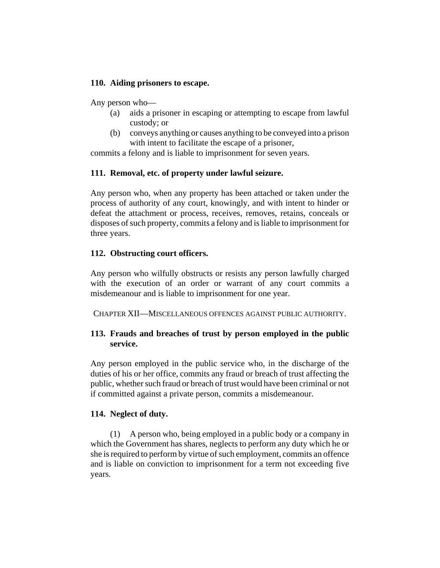## **110. Aiding prisoners to escape.**

Any person who—

- (a) aids a prisoner in escaping or attempting to escape from lawful custody; or
- (b) conveys anything or causes anything to be conveyed into a prison with intent to facilitate the escape of a prisoner,

commits a felony and is liable to imprisonment for seven years.

# **111. Removal, etc. of property under lawful seizure.**

Any person who, when any property has been attached or taken under the process of authority of any court, knowingly, and with intent to hinder or defeat the attachment or process, receives, removes, retains, conceals or disposes of such property, commits a felony and is liable to imprisonment for three years.

## **112. Obstructing court officers.**

Any person who wilfully obstructs or resists any person lawfully charged with the execution of an order or warrant of any court commits a misdemeanour and is liable to imprisonment for one year.

CHAPTER XII—MISCELLANEOUS OFFENCES AGAINST PUBLIC AUTHORITY.

# **113. Frauds and breaches of trust by person employed in the public service.**

Any person employed in the public service who, in the discharge of the duties of his or her office, commits any fraud or breach of trust affecting the public, whether such fraud or breach of trust would have been criminal or not if committed against a private person, commits a misdemeanour.

# **114. Neglect of duty.**

(1) A person who, being employed in a public body or a company in which the Government has shares, neglects to perform any duty which he or she is required to perform by virtue of such employment, commits an offence and is liable on conviction to imprisonment for a term not exceeding five years.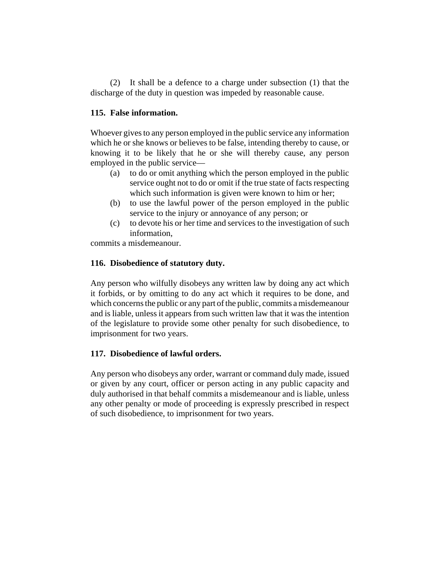(2) It shall be a defence to a charge under subsection (1) that the discharge of the duty in question was impeded by reasonable cause.

## **115. False information.**

Whoever gives to any person employed in the public service any information which he or she knows or believes to be false, intending thereby to cause, or knowing it to be likely that he or she will thereby cause, any person employed in the public service—

- (a) to do or omit anything which the person employed in the public service ought not to do or omit if the true state of facts respecting which such information is given were known to him or her;
- (b) to use the lawful power of the person employed in the public service to the injury or annoyance of any person; or
- (c) to devote his or her time and services to the investigation of such information,

commits a misdemeanour.

# **116. Disobedience of statutory duty.**

Any person who wilfully disobeys any written law by doing any act which it forbids, or by omitting to do any act which it requires to be done, and which concerns the public or any part of the public, commits a misdemeanour and is liable, unless it appears from such written law that it was the intention of the legislature to provide some other penalty for such disobedience, to imprisonment for two years.

# **117. Disobedience of lawful orders.**

Any person who disobeys any order, warrant or command duly made, issued or given by any court, officer or person acting in any public capacity and duly authorised in that behalf commits a misdemeanour and is liable, unless any other penalty or mode of proceeding is expressly prescribed in respect of such disobedience, to imprisonment for two years.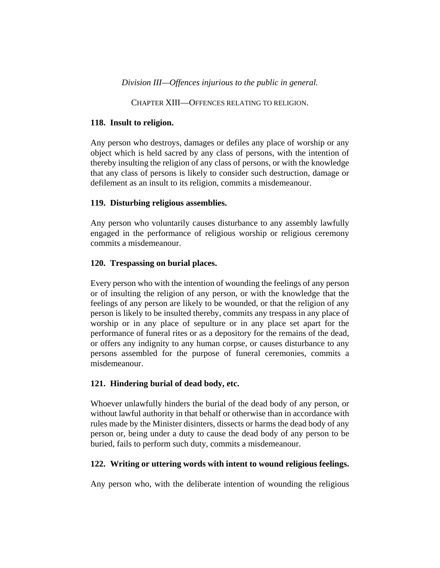*Division III—Offences injurious to the public in general.*

CHAPTER XIII—OFFENCES RELATING TO RELIGION.

## **118. Insult to religion.**

Any person who destroys, damages or defiles any place of worship or any object which is held sacred by any class of persons, with the intention of thereby insulting the religion of any class of persons, or with the knowledge that any class of persons is likely to consider such destruction, damage or defilement as an insult to its religion, commits a misdemeanour.

## **119. Disturbing religious assemblies.**

Any person who voluntarily causes disturbance to any assembly lawfully engaged in the performance of religious worship or religious ceremony commits a misdemeanour.

## **120. Trespassing on burial places.**

Every person who with the intention of wounding the feelings of any person or of insulting the religion of any person, or with the knowledge that the feelings of any person are likely to be wounded, or that the religion of any person is likely to be insulted thereby, commits any trespass in any place of worship or in any place of sepulture or in any place set apart for the performance of funeral rites or as a depository for the remains of the dead, or offers any indignity to any human corpse, or causes disturbance to any persons assembled for the purpose of funeral ceremonies, commits a misdemeanour.

# **121. Hindering burial of dead body, etc.**

Whoever unlawfully hinders the burial of the dead body of any person, or without lawful authority in that behalf or otherwise than in accordance with rules made by the Minister disinters, dissects or harms the dead body of any person or, being under a duty to cause the dead body of any person to be buried, fails to perform such duty, commits a misdemeanour.

## **122. Writing or uttering words with intent to wound religious feelings.**

Any person who, with the deliberate intention of wounding the religious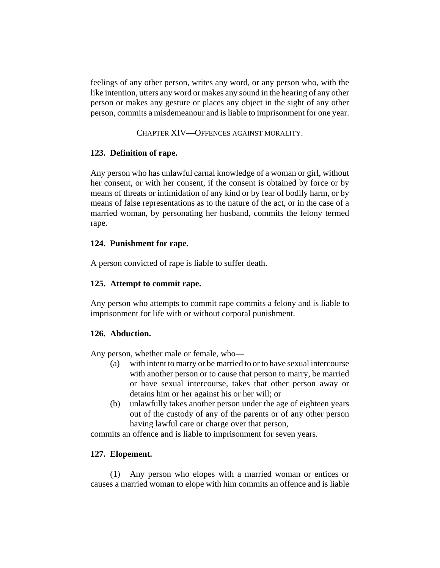feelings of any other person, writes any word, or any person who, with the like intention, utters any word or makes any sound in the hearing of any other person or makes any gesture or places any object in the sight of any other person, commits a misdemeanour and is liable to imprisonment for one year.

CHAPTER XIV—OFFENCES AGAINST MORALITY.

## **123. Definition of rape.**

Any person who has unlawful carnal knowledge of a woman or girl, without her consent, or with her consent, if the consent is obtained by force or by means of threats or intimidation of any kind or by fear of bodily harm, or by means of false representations as to the nature of the act, or in the case of a married woman, by personating her husband, commits the felony termed rape.

# **124. Punishment for rape.**

A person convicted of rape is liable to suffer death.

# **125. Attempt to commit rape.**

Any person who attempts to commit rape commits a felony and is liable to imprisonment for life with or without corporal punishment.

## **126. Abduction.**

Any person, whether male or female, who—

- (a) with intent to marry or be married to or to have sexual intercourse with another person or to cause that person to marry, be married or have sexual intercourse, takes that other person away or detains him or her against his or her will; or
- (b) unlawfully takes another person under the age of eighteen years out of the custody of any of the parents or of any other person having lawful care or charge over that person,

commits an offence and is liable to imprisonment for seven years.

# **127. Elopement.**

(1) Any person who elopes with a married woman or entices or causes a married woman to elope with him commits an offence and is liable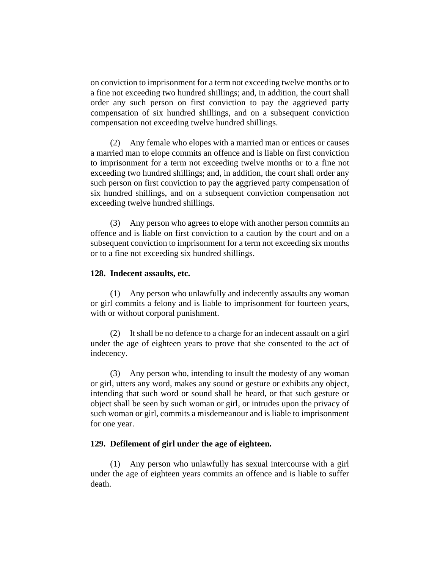on conviction to imprisonment for a term not exceeding twelve months or to a fine not exceeding two hundred shillings; and, in addition, the court shall order any such person on first conviction to pay the aggrieved party compensation of six hundred shillings, and on a subsequent conviction compensation not exceeding twelve hundred shillings.

(2) Any female who elopes with a married man or entices or causes a married man to elope commits an offence and is liable on first conviction to imprisonment for a term not exceeding twelve months or to a fine not exceeding two hundred shillings; and, in addition, the court shall order any such person on first conviction to pay the aggrieved party compensation of six hundred shillings, and on a subsequent conviction compensation not exceeding twelve hundred shillings.

(3) Any person who agrees to elope with another person commits an offence and is liable on first conviction to a caution by the court and on a subsequent conviction to imprisonment for a term not exceeding six months or to a fine not exceeding six hundred shillings.

#### **128. Indecent assaults, etc.**

(1) Any person who unlawfully and indecently assaults any woman or girl commits a felony and is liable to imprisonment for fourteen years, with or without corporal punishment.

(2) It shall be no defence to a charge for an indecent assault on a girl under the age of eighteen years to prove that she consented to the act of indecency.

(3) Any person who, intending to insult the modesty of any woman or girl, utters any word, makes any sound or gesture or exhibits any object, intending that such word or sound shall be heard, or that such gesture or object shall be seen by such woman or girl, or intrudes upon the privacy of such woman or girl, commits a misdemeanour and is liable to imprisonment for one year.

### **129. Defilement of girl under the age of eighteen.**

(1) Any person who unlawfully has sexual intercourse with a girl under the age of eighteen years commits an offence and is liable to suffer death.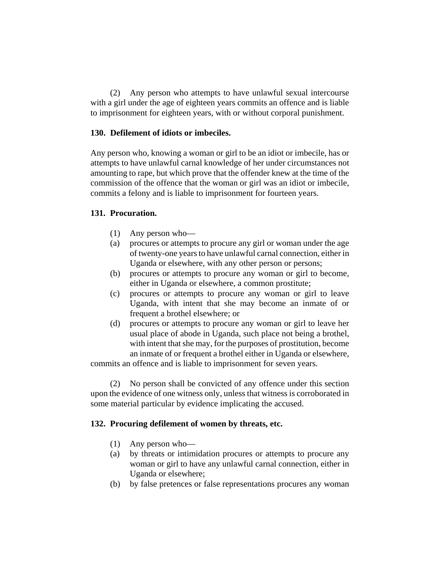(2) Any person who attempts to have unlawful sexual intercourse with a girl under the age of eighteen years commits an offence and is liable to imprisonment for eighteen years, with or without corporal punishment.

## **130. Defilement of idiots or imbeciles.**

Any person who, knowing a woman or girl to be an idiot or imbecile, has or attempts to have unlawful carnal knowledge of her under circumstances not amounting to rape, but which prove that the offender knew at the time of the commission of the offence that the woman or girl was an idiot or imbecile, commits a felony and is liable to imprisonment for fourteen years.

## **131. Procuration.**

- (1) Any person who—
- (a) procures or attempts to procure any girl or woman under the age of twenty-one years to have unlawful carnal connection, either in Uganda or elsewhere, with any other person or persons;
- (b) procures or attempts to procure any woman or girl to become, either in Uganda or elsewhere, a common prostitute;
- (c) procures or attempts to procure any woman or girl to leave Uganda, with intent that she may become an inmate of or frequent a brothel elsewhere; or
- (d) procures or attempts to procure any woman or girl to leave her usual place of abode in Uganda, such place not being a brothel, with intent that she may, for the purposes of prostitution, become an inmate of or frequent a brothel either in Uganda or elsewhere,

commits an offence and is liable to imprisonment for seven years.

(2) No person shall be convicted of any offence under this section upon the evidence of one witness only, unless that witness is corroborated in some material particular by evidence implicating the accused.

## **132. Procuring defilement of women by threats, etc.**

- (1) Any person who—
- (a) by threats or intimidation procures or attempts to procure any woman or girl to have any unlawful carnal connection, either in Uganda or elsewhere;
- (b) by false pretences or false representations procures any woman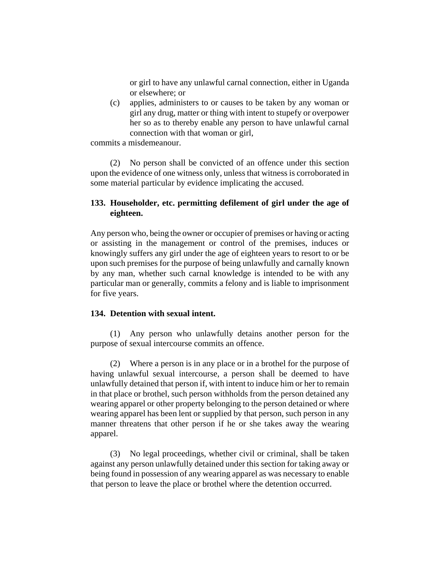or girl to have any unlawful carnal connection, either in Uganda or elsewhere; or

(c) applies, administers to or causes to be taken by any woman or girl any drug, matter or thing with intent to stupefy or overpower her so as to thereby enable any person to have unlawful carnal connection with that woman or girl,

commits a misdemeanour.

(2) No person shall be convicted of an offence under this section upon the evidence of one witness only, unless that witness is corroborated in some material particular by evidence implicating the accused.

## **133. Householder, etc. permitting defilement of girl under the age of eighteen.**

Any person who, being the owner or occupier of premises or having or acting or assisting in the management or control of the premises, induces or knowingly suffers any girl under the age of eighteen years to resort to or be upon such premises for the purpose of being unlawfully and carnally known by any man, whether such carnal knowledge is intended to be with any particular man or generally, commits a felony and is liable to imprisonment for five years.

## **134. Detention with sexual intent.**

(1) Any person who unlawfully detains another person for the purpose of sexual intercourse commits an offence.

(2) Where a person is in any place or in a brothel for the purpose of having unlawful sexual intercourse, a person shall be deemed to have unlawfully detained that person if, with intent to induce him or her to remain in that place or brothel, such person withholds from the person detained any wearing apparel or other property belonging to the person detained or where wearing apparel has been lent or supplied by that person, such person in any manner threatens that other person if he or she takes away the wearing apparel.

(3) No legal proceedings, whether civil or criminal, shall be taken against any person unlawfully detained under this section for taking away or being found in possession of any wearing apparel as was necessary to enable that person to leave the place or brothel where the detention occurred.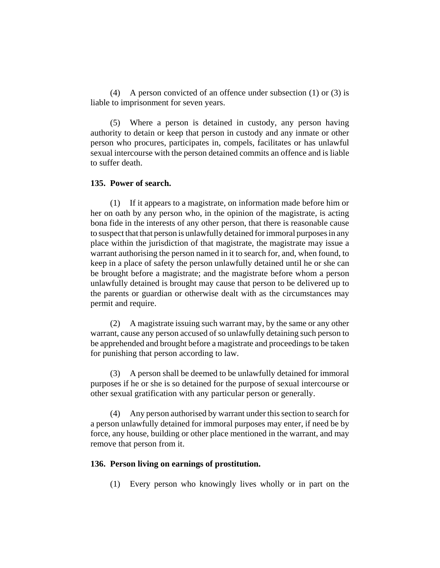(4) A person convicted of an offence under subsection (1) or (3) is liable to imprisonment for seven years.

(5) Where a person is detained in custody, any person having authority to detain or keep that person in custody and any inmate or other person who procures, participates in, compels, facilitates or has unlawful sexual intercourse with the person detained commits an offence and is liable to suffer death.

#### **135. Power of search.**

(1) If it appears to a magistrate, on information made before him or her on oath by any person who, in the opinion of the magistrate, is acting bona fide in the interests of any other person, that there is reasonable cause to suspect that that person is unlawfully detained for immoral purposes in any place within the jurisdiction of that magistrate, the magistrate may issue a warrant authorising the person named in it to search for, and, when found, to keep in a place of safety the person unlawfully detained until he or she can be brought before a magistrate; and the magistrate before whom a person unlawfully detained is brought may cause that person to be delivered up to the parents or guardian or otherwise dealt with as the circumstances may permit and require.

(2) A magistrate issuing such warrant may, by the same or any other warrant, cause any person accused of so unlawfully detaining such person to be apprehended and brought before a magistrate and proceedings to be taken for punishing that person according to law.

(3) A person shall be deemed to be unlawfully detained for immoral purposes if he or she is so detained for the purpose of sexual intercourse or other sexual gratification with any particular person or generally.

(4) Any person authorised by warrant under this section to search for a person unlawfully detained for immoral purposes may enter, if need be by force, any house, building or other place mentioned in the warrant, and may remove that person from it.

#### **136. Person living on earnings of prostitution.**

(1) Every person who knowingly lives wholly or in part on the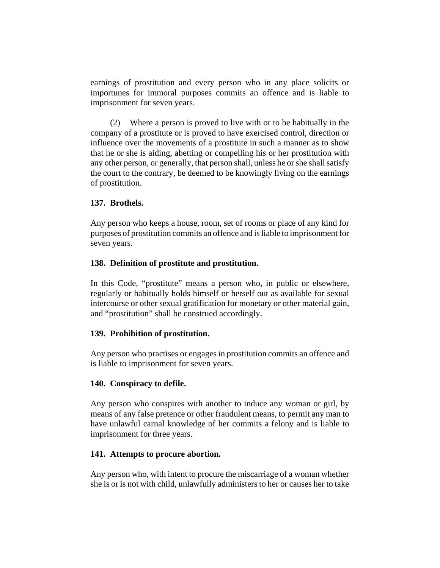earnings of prostitution and every person who in any place solicits or importunes for immoral purposes commits an offence and is liable to imprisonment for seven years.

(2) Where a person is proved to live with or to be habitually in the company of a prostitute or is proved to have exercised control, direction or influence over the movements of a prostitute in such a manner as to show that he or she is aiding, abetting or compelling his or her prostitution with any other person, or generally, that person shall, unless he or she shall satisfy the court to the contrary, be deemed to be knowingly living on the earnings of prostitution.

## **137. Brothels.**

Any person who keeps a house, room, set of rooms or place of any kind for purposes of prostitution commits an offence and is liable to imprisonment for seven years.

## **138. Definition of prostitute and prostitution.**

In this Code, "prostitute" means a person who, in public or elsewhere, regularly or habitually holds himself or herself out as available for sexual intercourse or other sexual gratification for monetary or other material gain, and "prostitution" shall be construed accordingly.

## **139. Prohibition of prostitution.**

Any person who practises or engages in prostitution commits an offence and is liable to imprisonment for seven years.

## **140. Conspiracy to defile.**

Any person who conspires with another to induce any woman or girl, by means of any false pretence or other fraudulent means, to permit any man to have unlawful carnal knowledge of her commits a felony and is liable to imprisonment for three years.

## **141. Attempts to procure abortion.**

Any person who, with intent to procure the miscarriage of a woman whether she is or is not with child, unlawfully administers to her or causes her to take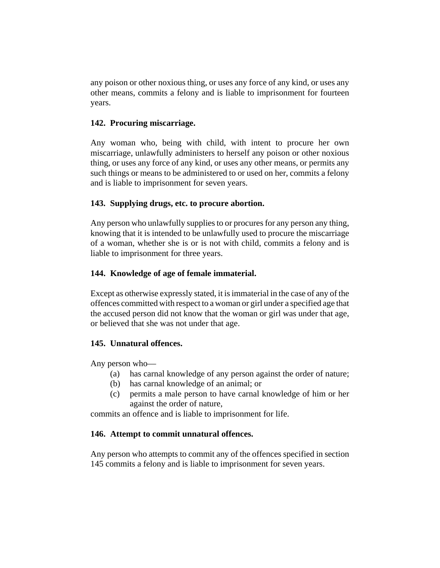any poison or other noxious thing, or uses any force of any kind, or uses any other means, commits a felony and is liable to imprisonment for fourteen years.

## **142. Procuring miscarriage.**

Any woman who, being with child, with intent to procure her own miscarriage, unlawfully administers to herself any poison or other noxious thing, or uses any force of any kind, or uses any other means, or permits any such things or means to be administered to or used on her, commits a felony and is liable to imprisonment for seven years.

## **143. Supplying drugs, etc. to procure abortion.**

Any person who unlawfully supplies to or procures for any person any thing, knowing that it is intended to be unlawfully used to procure the miscarriage of a woman, whether she is or is not with child, commits a felony and is liable to imprisonment for three years.

## **144. Knowledge of age of female immaterial.**

Except as otherwise expressly stated, it is immaterial in the case of any of the offences committed with respect to a woman or girl under a specified age that the accused person did not know that the woman or girl was under that age, or believed that she was not under that age.

# **145. Unnatural offences.**

Any person who—

- (a) has carnal knowledge of any person against the order of nature;
- (b) has carnal knowledge of an animal; or
- (c) permits a male person to have carnal knowledge of him or her against the order of nature,

commits an offence and is liable to imprisonment for life.

## **146. Attempt to commit unnatural offences.**

Any person who attempts to commit any of the offences specified in section 145 commits a felony and is liable to imprisonment for seven years.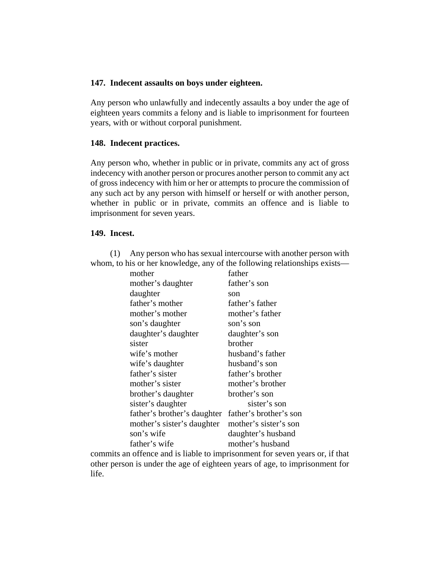### **147. Indecent assaults on boys under eighteen.**

Any person who unlawfully and indecently assaults a boy under the age of eighteen years commits a felony and is liable to imprisonment for fourteen years, with or without corporal punishment.

### **148. Indecent practices.**

Any person who, whether in public or in private, commits any act of gross indecency with another person or procures another person to commit any act of gross indecency with him or her or attempts to procure the commission of any such act by any person with himself or herself or with another person, whether in public or in private, commits an offence and is liable to imprisonment for seven years.

### **149. Incest.**

(1) Any person who has sexual intercourse with another person with whom, to his or her knowledge, any of the following relationships exists—

| father                 |
|------------------------|
| father's son           |
| son                    |
| father's father        |
| mother's father        |
| son's son              |
| daughter's son         |
| brother                |
| husband's father       |
| husband's son          |
| father's brother       |
| mother's brother       |
| brother's son          |
| sister's son           |
| father's brother's son |
| mother's sister's son  |
| daughter's husband     |
| mother's husband       |
|                        |

commits an offence and is liable to imprisonment for seven years or, if that other person is under the age of eighteen years of age, to imprisonment for life.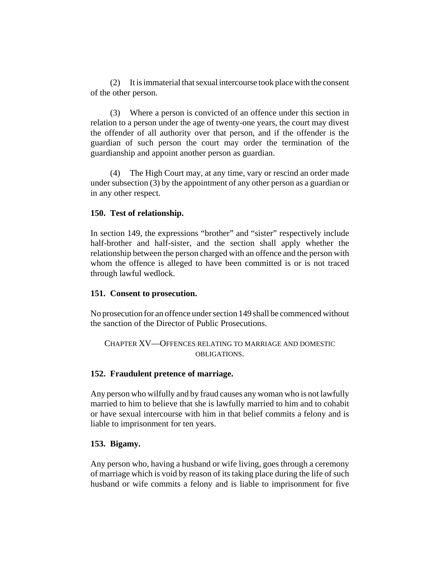(2) It is immaterial that sexual intercourse took place with the consent of the other person.

(3) Where a person is convicted of an offence under this section in relation to a person under the age of twenty-one years, the court may divest the offender of all authority over that person, and if the offender is the guardian of such person the court may order the termination of the guardianship and appoint another person as guardian.

(4) The High Court may, at any time, vary or rescind an order made under subsection (3) by the appointment of any other person as a guardian or in any other respect.

## **150. Test of relationship.**

In section 149, the expressions "brother" and "sister" respectively include half-brother and half-sister, and the section shall apply whether the relationship between the person charged with an offence and the person with whom the offence is alleged to have been committed is or is not traced through lawful wedlock.

## **151. Consent to prosecution.**

No prosecution for an offence under section 149 shall be commenced without the sanction of the Director of Public Prosecutions.

```
CHAPTER XV—OFFENCES RELATING TO MARRIAGE AND DOMESTIC
         OBLIGATIONS.
```
# **152. Fraudulent pretence of marriage.**

Any person who wilfully and by fraud causes any woman who is not lawfully married to him to believe that she is lawfully married to him and to cohabit or have sexual intercourse with him in that belief commits a felony and is liable to imprisonment for ten years.

## **153. Bigamy.**

Any person who, having a husband or wife living, goes through a ceremony of marriage which is void by reason of its taking place during the life of such husband or wife commits a felony and is liable to imprisonment for five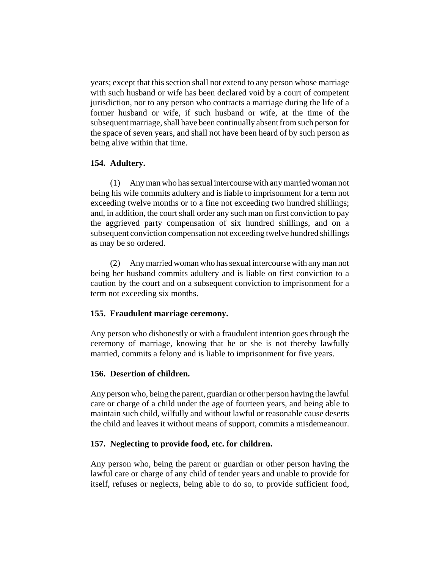years; except that this section shall not extend to any person whose marriage with such husband or wife has been declared void by a court of competent jurisdiction, nor to any person who contracts a marriage during the life of a former husband or wife, if such husband or wife, at the time of the subsequent marriage, shall have been continually absent from such person for the space of seven years, and shall not have been heard of by such person as being alive within that time.

### **154. Adultery.**

(1) Any man who has sexual intercourse with any married woman not being his wife commits adultery and is liable to imprisonment for a term not exceeding twelve months or to a fine not exceeding two hundred shillings; and, in addition, the court shall order any such man on first conviction to pay the aggrieved party compensation of six hundred shillings, and on a subsequent conviction compensation not exceeding twelve hundred shillings as may be so ordered.

(2) Any married woman who has sexual intercourse with any man not being her husband commits adultery and is liable on first conviction to a caution by the court and on a subsequent conviction to imprisonment for a term not exceeding six months.

## **155. Fraudulent marriage ceremony.**

Any person who dishonestly or with a fraudulent intention goes through the ceremony of marriage, knowing that he or she is not thereby lawfully married, commits a felony and is liable to imprisonment for five years.

## **156. Desertion of children.**

Any person who, being the parent, guardian or other person having the lawful care or charge of a child under the age of fourteen years, and being able to maintain such child, wilfully and without lawful or reasonable cause deserts the child and leaves it without means of support, commits a misdemeanour.

# **157. Neglecting to provide food, etc. for children.**

Any person who, being the parent or guardian or other person having the lawful care or charge of any child of tender years and unable to provide for itself, refuses or neglects, being able to do so, to provide sufficient food,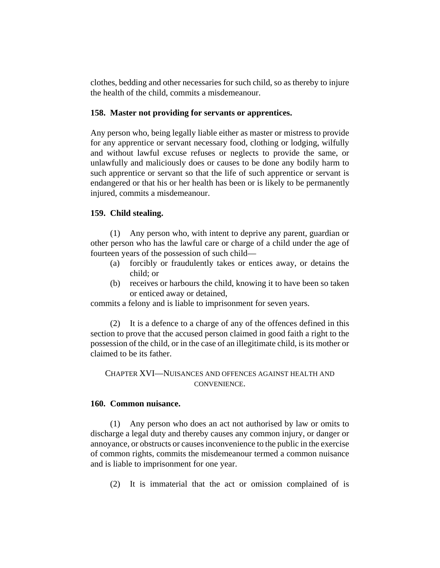clothes, bedding and other necessaries for such child, so as thereby to injure the health of the child, commits a misdemeanour.

#### **158. Master not providing for servants or apprentices.**

Any person who, being legally liable either as master or mistress to provide for any apprentice or servant necessary food, clothing or lodging, wilfully and without lawful excuse refuses or neglects to provide the same, or unlawfully and maliciously does or causes to be done any bodily harm to such apprentice or servant so that the life of such apprentice or servant is endangered or that his or her health has been or is likely to be permanently injured, commits a misdemeanour.

#### **159. Child stealing.**

(1) Any person who, with intent to deprive any parent, guardian or other person who has the lawful care or charge of a child under the age of fourteen years of the possession of such child—

- (a) forcibly or fraudulently takes or entices away, or detains the child; or
- (b) receives or harbours the child, knowing it to have been so taken or enticed away or detained,

commits a felony and is liable to imprisonment for seven years.

(2) It is a defence to a charge of any of the offences defined in this section to prove that the accused person claimed in good faith a right to the possession of the child, or in the case of an illegitimate child, is its mother or claimed to be its father.

#### CHAPTER XVI—NUISANCES AND OFFENCES AGAINST HEALTH AND CONVENIENCE.

#### **160. Common nuisance.**

(1) Any person who does an act not authorised by law or omits to discharge a legal duty and thereby causes any common injury, or danger or annoyance, or obstructs or causes inconvenience to the public in the exercise of common rights, commits the misdemeanour termed a common nuisance and is liable to imprisonment for one year.

(2) It is immaterial that the act or omission complained of is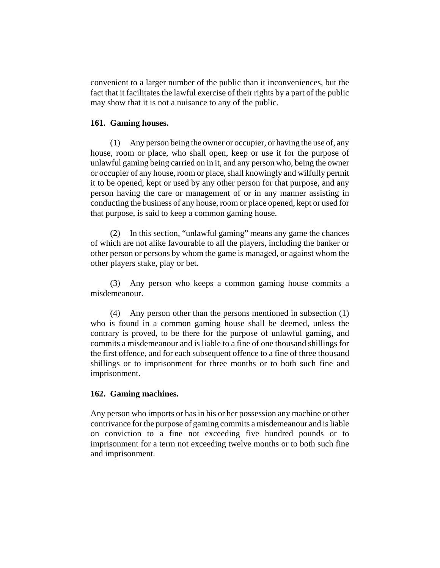convenient to a larger number of the public than it inconveniences, but the fact that it facilitates the lawful exercise of their rights by a part of the public may show that it is not a nuisance to any of the public.

#### **161. Gaming houses.**

(1) Any person being the owner or occupier, or having the use of, any house, room or place, who shall open, keep or use it for the purpose of unlawful gaming being carried on in it, and any person who, being the owner or occupier of any house, room or place, shall knowingly and wilfully permit it to be opened, kept or used by any other person for that purpose, and any person having the care or management of or in any manner assisting in conducting the business of any house, room or place opened, kept or used for that purpose, is said to keep a common gaming house.

(2) In this section, "unlawful gaming" means any game the chances of which are not alike favourable to all the players, including the banker or other person or persons by whom the game is managed, or against whom the other players stake, play or bet.

(3) Any person who keeps a common gaming house commits a misdemeanour.

(4) Any person other than the persons mentioned in subsection (1) who is found in a common gaming house shall be deemed, unless the contrary is proved, to be there for the purpose of unlawful gaming, and commits a misdemeanour and is liable to a fine of one thousand shillings for the first offence, and for each subsequent offence to a fine of three thousand shillings or to imprisonment for three months or to both such fine and imprisonment.

#### **162. Gaming machines.**

Any person who imports or has in his or her possession any machine or other contrivance for the purpose of gaming commits a misdemeanour and is liable on conviction to a fine not exceeding five hundred pounds or to imprisonment for a term not exceeding twelve months or to both such fine and imprisonment.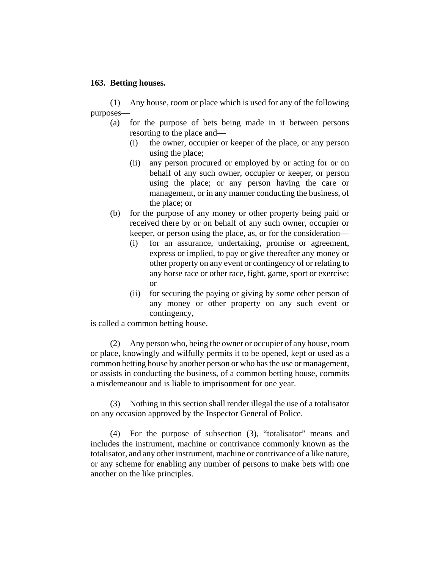#### **163. Betting houses.**

(1) Any house, room or place which is used for any of the following purposes—

- (a) for the purpose of bets being made in it between persons resorting to the place and—
	- (i) the owner, occupier or keeper of the place, or any person using the place;
	- (ii) any person procured or employed by or acting for or on behalf of any such owner, occupier or keeper, or person using the place; or any person having the care or management, or in any manner conducting the business, of the place; or
- (b) for the purpose of any money or other property being paid or received there by or on behalf of any such owner, occupier or keeper, or person using the place, as, or for the consideration—
	- (i) for an assurance, undertaking, promise or agreement, express or implied, to pay or give thereafter any money or other property on any event or contingency of or relating to any horse race or other race, fight, game, sport or exercise; or
	- (ii) for securing the paying or giving by some other person of any money or other property on any such event or contingency,

is called a common betting house.

(2) Any person who, being the owner or occupier of any house, room or place, knowingly and wilfully permits it to be opened, kept or used as a common betting house by another person or who has the use or management, or assists in conducting the business, of a common betting house, commits a misdemeanour and is liable to imprisonment for one year.

(3) Nothing in this section shall render illegal the use of a totalisator on any occasion approved by the Inspector General of Police.

(4) For the purpose of subsection (3), "totalisator" means and includes the instrument, machine or contrivance commonly known as the totalisator, and any other instrument, machine or contrivance of a like nature, or any scheme for enabling any number of persons to make bets with one another on the like principles.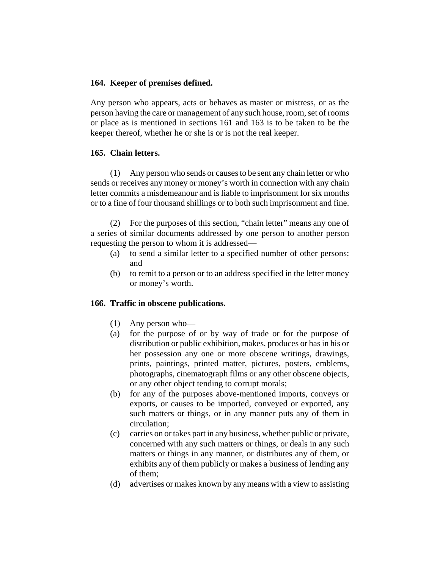## **164. Keeper of premises defined.**

Any person who appears, acts or behaves as master or mistress, or as the person having the care or management of any such house, room, set of rooms or place as is mentioned in sections 161 and 163 is to be taken to be the keeper thereof, whether he or she is or is not the real keeper.

## **165. Chain letters.**

(1) Any person who sends or causes to be sent any chain letter or who sends or receives any money or money's worth in connection with any chain letter commits a misdemeanour and is liable to imprisonment for six months or to a fine of four thousand shillings or to both such imprisonment and fine.

(2) For the purposes of this section, "chain letter" means any one of a series of similar documents addressed by one person to another person requesting the person to whom it is addressed—

- (a) to send a similar letter to a specified number of other persons; and
- (b) to remit to a person or to an address specified in the letter money or money's worth.

# **166. Traffic in obscene publications.**

- (1) Any person who—
- (a) for the purpose of or by way of trade or for the purpose of distribution or public exhibition, makes, produces or has in his or her possession any one or more obscene writings, drawings, prints, paintings, printed matter, pictures, posters, emblems, photographs, cinematograph films or any other obscene objects, or any other object tending to corrupt morals;
- (b) for any of the purposes above-mentioned imports, conveys or exports, or causes to be imported, conveyed or exported, any such matters or things, or in any manner puts any of them in circulation;
- (c) carries on or takes part in any business, whether public or private, concerned with any such matters or things, or deals in any such matters or things in any manner, or distributes any of them, or exhibits any of them publicly or makes a business of lending any of them;
- (d) advertises or makes known by any means with a view to assisting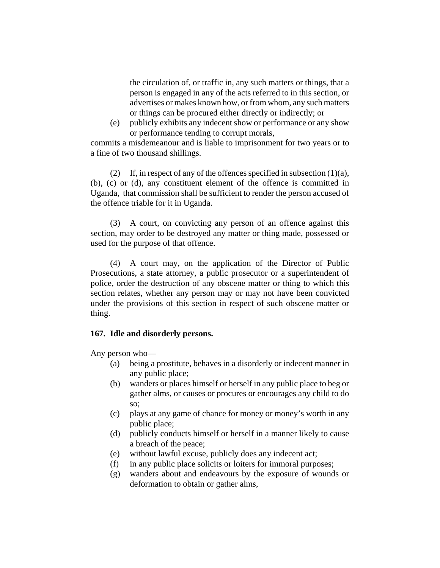the circulation of, or traffic in, any such matters or things, that a person is engaged in any of the acts referred to in this section, or advertises or makes known how, or from whom, any such matters or things can be procured either directly or indirectly; or

(e) publicly exhibits any indecent show or performance or any show or performance tending to corrupt morals,

commits a misdemeanour and is liable to imprisonment for two years or to a fine of two thousand shillings.

(2) If, in respect of any of the offences specified in subsection  $(1)(a)$ , (b), (c) or (d), any constituent element of the offence is committed in Uganda, that commission shall be sufficient to render the person accused of the offence triable for it in Uganda.

(3) A court, on convicting any person of an offence against this section, may order to be destroyed any matter or thing made, possessed or used for the purpose of that offence.

(4) A court may, on the application of the Director of Public Prosecutions, a state attorney, a public prosecutor or a superintendent of police, order the destruction of any obscene matter or thing to which this section relates, whether any person may or may not have been convicted under the provisions of this section in respect of such obscene matter or thing.

#### **167. Idle and disorderly persons.**

Any person who—

- (a) being a prostitute, behaves in a disorderly or indecent manner in any public place;
- (b) wanders or places himself or herself in any public place to beg or gather alms, or causes or procures or encourages any child to do so;
- (c) plays at any game of chance for money or money's worth in any public place;
- (d) publicly conducts himself or herself in a manner likely to cause a breach of the peace;
- (e) without lawful excuse, publicly does any indecent act;
- (f) in any public place solicits or loiters for immoral purposes;
- (g) wanders about and endeavours by the exposure of wounds or deformation to obtain or gather alms,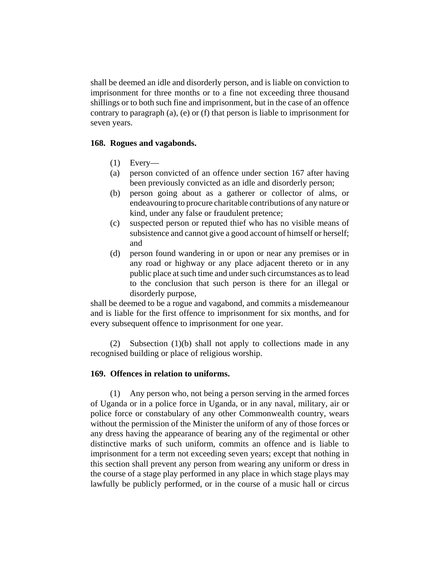shall be deemed an idle and disorderly person, and is liable on conviction to imprisonment for three months or to a fine not exceeding three thousand shillings or to both such fine and imprisonment, but in the case of an offence contrary to paragraph (a), (e) or (f) that person is liable to imprisonment for seven years.

#### **168. Rogues and vagabonds.**

- (1) Every—
- (a) person convicted of an offence under section 167 after having been previously convicted as an idle and disorderly person;
- (b) person going about as a gatherer or collector of alms, or endeavouring to procure charitable contributions of any nature or kind, under any false or fraudulent pretence;
- (c) suspected person or reputed thief who has no visible means of subsistence and cannot give a good account of himself or herself; and
- (d) person found wandering in or upon or near any premises or in any road or highway or any place adjacent thereto or in any public place at such time and under such circumstances as to lead to the conclusion that such person is there for an illegal or disorderly purpose,

shall be deemed to be a rogue and vagabond, and commits a misdemeanour and is liable for the first offence to imprisonment for six months, and for every subsequent offence to imprisonment for one year.

(2) Subsection (1)(b) shall not apply to collections made in any recognised building or place of religious worship.

#### **169. Offences in relation to uniforms.**

(1) Any person who, not being a person serving in the armed forces of Uganda or in a police force in Uganda, or in any naval, military, air or police force or constabulary of any other Commonwealth country, wears without the permission of the Minister the uniform of any of those forces or any dress having the appearance of bearing any of the regimental or other distinctive marks of such uniform, commits an offence and is liable to imprisonment for a term not exceeding seven years; except that nothing in this section shall prevent any person from wearing any uniform or dress in the course of a stage play performed in any place in which stage plays may lawfully be publicly performed, or in the course of a music hall or circus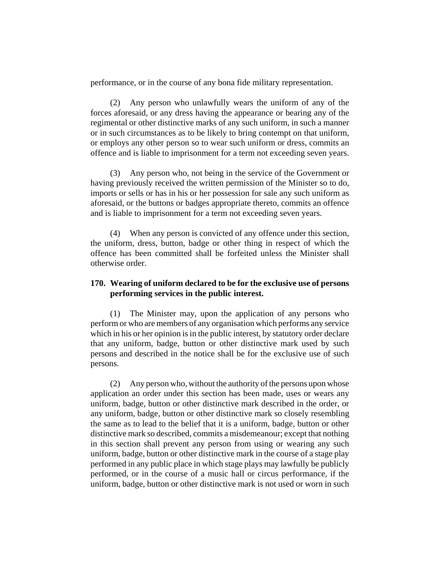performance, or in the course of any bona fide military representation.

(2) Any person who unlawfully wears the uniform of any of the forces aforesaid, or any dress having the appearance or bearing any of the regimental or other distinctive marks of any such uniform, in such a manner or in such circumstances as to be likely to bring contempt on that uniform, or employs any other person so to wear such uniform or dress, commits an offence and is liable to imprisonment for a term not exceeding seven years.

(3) Any person who, not being in the service of the Government or having previously received the written permission of the Minister so to do, imports or sells or has in his or her possession for sale any such uniform as aforesaid, or the buttons or badges appropriate thereto, commits an offence and is liable to imprisonment for a term not exceeding seven years.

(4) When any person is convicted of any offence under this section, the uniform, dress, button, badge or other thing in respect of which the offence has been committed shall be forfeited unless the Minister shall otherwise order.

## **170. Wearing of uniform declared to be for the exclusive use of persons performing services in the public interest.**

(1) The Minister may, upon the application of any persons who perform or who are members of any organisation which performs any service which in his or her opinion is in the public interest, by statutory order declare that any uniform, badge, button or other distinctive mark used by such persons and described in the notice shall be for the exclusive use of such persons.

(2) Any person who, without the authority of the persons upon whose application an order under this section has been made, uses or wears any uniform, badge, button or other distinctive mark described in the order, or any uniform, badge, button or other distinctive mark so closely resembling the same as to lead to the belief that it is a uniform, badge, button or other distinctive mark so described, commits a misdemeanour; except that nothing in this section shall prevent any person from using or wearing any such uniform, badge, button or other distinctive mark in the course of a stage play performed in any public place in which stage plays may lawfully be publicly performed, or in the course of a music hall or circus performance, if the uniform, badge, button or other distinctive mark is not used or worn in such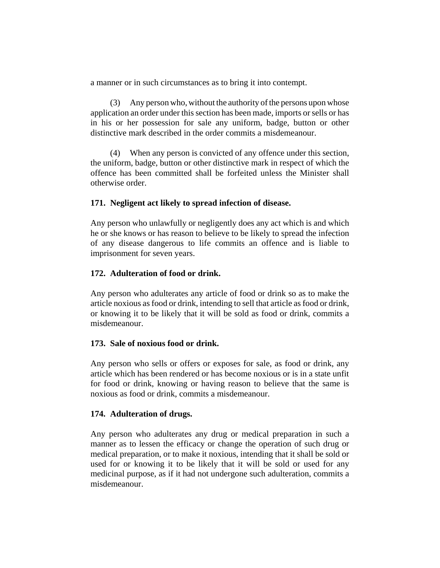a manner or in such circumstances as to bring it into contempt.

(3) Any person who, without the authority of the persons upon whose application an order under this section has been made, imports or sells or has in his or her possession for sale any uniform, badge, button or other distinctive mark described in the order commits a misdemeanour.

(4) When any person is convicted of any offence under this section, the uniform, badge, button or other distinctive mark in respect of which the offence has been committed shall be forfeited unless the Minister shall otherwise order.

## **171. Negligent act likely to spread infection of disease.**

Any person who unlawfully or negligently does any act which is and which he or she knows or has reason to believe to be likely to spread the infection of any disease dangerous to life commits an offence and is liable to imprisonment for seven years.

## **172. Adulteration of food or drink.**

Any person who adulterates any article of food or drink so as to make the article noxious as food or drink, intending to sell that article as food or drink, or knowing it to be likely that it will be sold as food or drink, commits a misdemeanour.

# **173. Sale of noxious food or drink.**

Any person who sells or offers or exposes for sale, as food or drink, any article which has been rendered or has become noxious or is in a state unfit for food or drink, knowing or having reason to believe that the same is noxious as food or drink, commits a misdemeanour.

# **174. Adulteration of drugs.**

Any person who adulterates any drug or medical preparation in such a manner as to lessen the efficacy or change the operation of such drug or medical preparation, or to make it noxious, intending that it shall be sold or used for or knowing it to be likely that it will be sold or used for any medicinal purpose, as if it had not undergone such adulteration, commits a misdemeanour.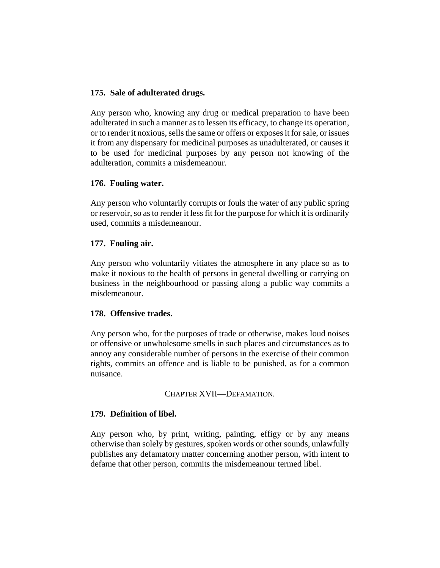## **175. Sale of adulterated drugs.**

Any person who, knowing any drug or medical preparation to have been adulterated in such a manner as to lessen its efficacy, to change its operation, or to render it noxious, sells the same or offers or exposes it for sale, or issues it from any dispensary for medicinal purposes as unadulterated, or causes it to be used for medicinal purposes by any person not knowing of the adulteration, commits a misdemeanour.

## **176. Fouling water.**

Any person who voluntarily corrupts or fouls the water of any public spring or reservoir, so as to render it less fit for the purpose for which it is ordinarily used, commits a misdemeanour.

## **177. Fouling air.**

Any person who voluntarily vitiates the atmosphere in any place so as to make it noxious to the health of persons in general dwelling or carrying on business in the neighbourhood or passing along a public way commits a misdemeanour.

## **178. Offensive trades.**

Any person who, for the purposes of trade or otherwise, makes loud noises or offensive or unwholesome smells in such places and circumstances as to annoy any considerable number of persons in the exercise of their common rights, commits an offence and is liable to be punished, as for a common nuisance.

## CHAPTER XVII—DEFAMATION.

# **179. Definition of libel.**

Any person who, by print, writing, painting, effigy or by any means otherwise than solely by gestures, spoken words or other sounds, unlawfully publishes any defamatory matter concerning another person, with intent to defame that other person, commits the misdemeanour termed libel.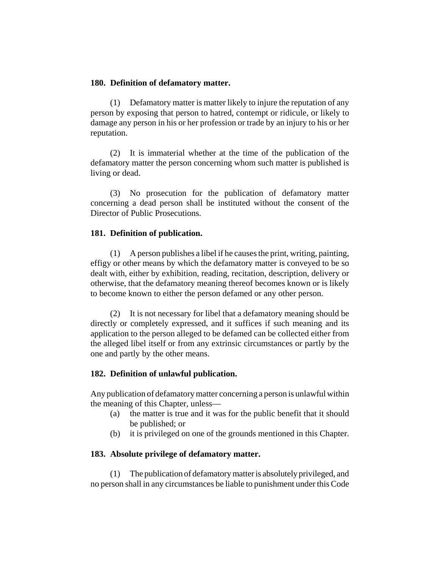#### **180. Definition of defamatory matter.**

(1) Defamatory matter is matter likely to injure the reputation of any person by exposing that person to hatred, contempt or ridicule, or likely to damage any person in his or her profession or trade by an injury to his or her reputation.

(2) It is immaterial whether at the time of the publication of the defamatory matter the person concerning whom such matter is published is living or dead.

(3) No prosecution for the publication of defamatory matter concerning a dead person shall be instituted without the consent of the Director of Public Prosecutions.

### **181. Definition of publication.**

(1) A person publishes a libel if he causes the print, writing, painting, effigy or other means by which the defamatory matter is conveyed to be so dealt with, either by exhibition, reading, recitation, description, delivery or otherwise, that the defamatory meaning thereof becomes known or is likely to become known to either the person defamed or any other person.

(2) It is not necessary for libel that a defamatory meaning should be directly or completely expressed, and it suffices if such meaning and its application to the person alleged to be defamed can be collected either from the alleged libel itself or from any extrinsic circumstances or partly by the one and partly by the other means.

## **182. Definition of unlawful publication.**

Any publication of defamatory matter concerning a person is unlawful within the meaning of this Chapter, unless—

- (a) the matter is true and it was for the public benefit that it should be published; or
- (b) it is privileged on one of the grounds mentioned in this Chapter.

#### **183. Absolute privilege of defamatory matter.**

(1) The publication of defamatory matter is absolutely privileged, and no person shall in any circumstances be liable to punishment under this Code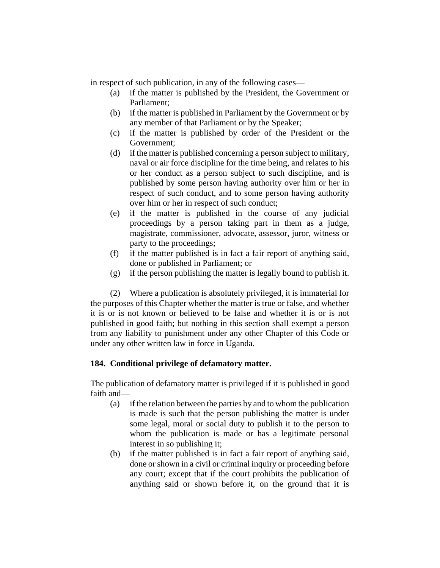in respect of such publication, in any of the following cases—

- (a) if the matter is published by the President, the Government or Parliament;
- (b) if the matter is published in Parliament by the Government or by any member of that Parliament or by the Speaker;
- (c) if the matter is published by order of the President or the Government;
- (d) if the matter is published concerning a person subject to military, naval or air force discipline for the time being, and relates to his or her conduct as a person subject to such discipline, and is published by some person having authority over him or her in respect of such conduct, and to some person having authority over him or her in respect of such conduct;
- (e) if the matter is published in the course of any judicial proceedings by a person taking part in them as a judge, magistrate, commissioner, advocate, assessor, juror, witness or party to the proceedings;
- (f) if the matter published is in fact a fair report of anything said, done or published in Parliament; or
- (g) if the person publishing the matter is legally bound to publish it.

(2) Where a publication is absolutely privileged, it is immaterial for the purposes of this Chapter whether the matter is true or false, and whether it is or is not known or believed to be false and whether it is or is not published in good faith; but nothing in this section shall exempt a person from any liability to punishment under any other Chapter of this Code or under any other written law in force in Uganda.

# **184. Conditional privilege of defamatory matter.**

The publication of defamatory matter is privileged if it is published in good faith and—

- (a) if the relation between the parties by and to whom the publication is made is such that the person publishing the matter is under some legal, moral or social duty to publish it to the person to whom the publication is made or has a legitimate personal interest in so publishing it;
- (b) if the matter published is in fact a fair report of anything said, done or shown in a civil or criminal inquiry or proceeding before any court; except that if the court prohibits the publication of anything said or shown before it, on the ground that it is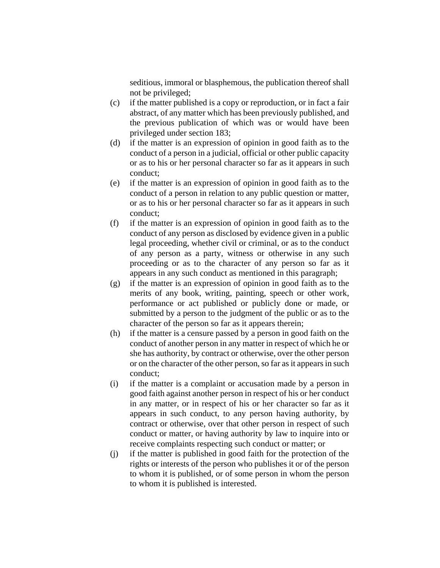seditious, immoral or blasphemous, the publication thereof shall not be privileged;

- (c) if the matter published is a copy or reproduction, or in fact a fair abstract, of any matter which has been previously published, and the previous publication of which was or would have been privileged under section 183;
- (d) if the matter is an expression of opinion in good faith as to the conduct of a person in a judicial, official or other public capacity or as to his or her personal character so far as it appears in such conduct;
- (e) if the matter is an expression of opinion in good faith as to the conduct of a person in relation to any public question or matter, or as to his or her personal character so far as it appears in such conduct;
- (f) if the matter is an expression of opinion in good faith as to the conduct of any person as disclosed by evidence given in a public legal proceeding, whether civil or criminal, or as to the conduct of any person as a party, witness or otherwise in any such proceeding or as to the character of any person so far as it appears in any such conduct as mentioned in this paragraph;
- (g) if the matter is an expression of opinion in good faith as to the merits of any book, writing, painting, speech or other work, performance or act published or publicly done or made, or submitted by a person to the judgment of the public or as to the character of the person so far as it appears therein;
- (h) if the matter is a censure passed by a person in good faith on the conduct of another person in any matter in respect of which he or she has authority, by contract or otherwise, over the other person or on the character of the other person, so far as it appears in such conduct;
- (i) if the matter is a complaint or accusation made by a person in good faith against another person in respect of his or her conduct in any matter, or in respect of his or her character so far as it appears in such conduct, to any person having authority, by contract or otherwise, over that other person in respect of such conduct or matter, or having authority by law to inquire into or receive complaints respecting such conduct or matter; or
- (j) if the matter is published in good faith for the protection of the rights or interests of the person who publishes it or of the person to whom it is published, or of some person in whom the person to whom it is published is interested.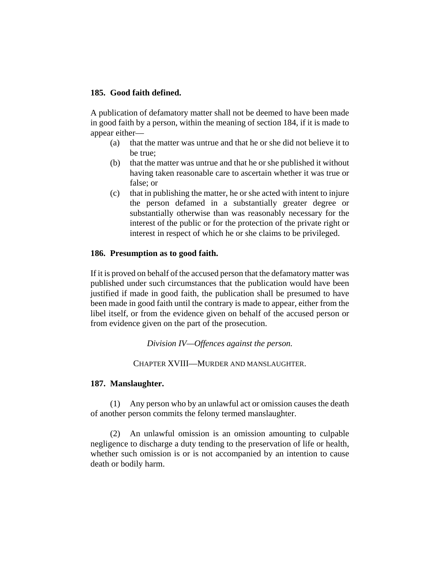### **185. Good faith defined.**

A publication of defamatory matter shall not be deemed to have been made in good faith by a person, within the meaning of section 184, if it is made to appear either—

- (a) that the matter was untrue and that he or she did not believe it to be true;
- (b) that the matter was untrue and that he or she published it without having taken reasonable care to ascertain whether it was true or false; or
- (c) that in publishing the matter, he or she acted with intent to injure the person defamed in a substantially greater degree or substantially otherwise than was reasonably necessary for the interest of the public or for the protection of the private right or interest in respect of which he or she claims to be privileged.

### **186. Presumption as to good faith.**

If it is proved on behalf of the accused person that the defamatory matter was published under such circumstances that the publication would have been justified if made in good faith, the publication shall be presumed to have been made in good faith until the contrary is made to appear, either from the libel itself, or from the evidence given on behalf of the accused person or from evidence given on the part of the prosecution.

*Division IV—Offences against the person.*

CHAPTER XVIII—MURDER AND MANSLAUGHTER.

#### **187. Manslaughter.**

(1) Any person who by an unlawful act or omission causes the death of another person commits the felony termed manslaughter.

(2) An unlawful omission is an omission amounting to culpable negligence to discharge a duty tending to the preservation of life or health, whether such omission is or is not accompanied by an intention to cause death or bodily harm.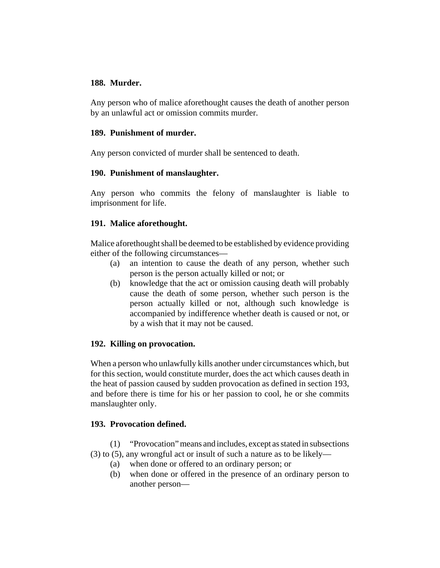## **188. Murder.**

Any person who of malice aforethought causes the death of another person by an unlawful act or omission commits murder.

## **189. Punishment of murder.**

Any person convicted of murder shall be sentenced to death.

# **190. Punishment of manslaughter.**

Any person who commits the felony of manslaughter is liable to imprisonment for life.

## **191. Malice aforethought.**

Malice aforethought shall be deemed to be established by evidence providing either of the following circumstances—

- (a) an intention to cause the death of any person, whether such person is the person actually killed or not; or
- (b) knowledge that the act or omission causing death will probably cause the death of some person, whether such person is the person actually killed or not, although such knowledge is accompanied by indifference whether death is caused or not, or by a wish that it may not be caused.

# **192. Killing on provocation.**

When a person who unlawfully kills another under circumstances which, but for this section, would constitute murder, does the act which causes death in the heat of passion caused by sudden provocation as defined in section 193, and before there is time for his or her passion to cool, he or she commits manslaughter only.

# **193. Provocation defined.**

(1) "Provocation" means and includes, except as stated in subsections (3) to (5), any wrongful act or insult of such a nature as to be likely—

- (a) when done or offered to an ordinary person; or
- (b) when done or offered in the presence of an ordinary person to another person—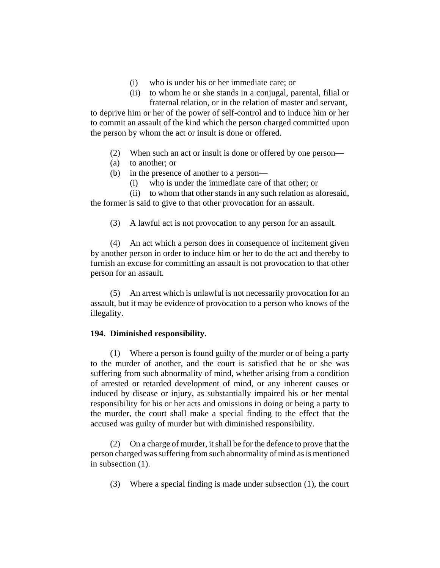- (i) who is under his or her immediate care; or
- (ii) to whom he or she stands in a conjugal, parental, filial or fraternal relation, or in the relation of master and servant,

to deprive him or her of the power of self-control and to induce him or her to commit an assault of the kind which the person charged committed upon the person by whom the act or insult is done or offered.

- (2) When such an act or insult is done or offered by one person—
- (a) to another; or
- (b) in the presence of another to a person—
	- (i) who is under the immediate care of that other; or

(ii) to whom that other stands in any such relation as aforesaid, the former is said to give to that other provocation for an assault.

(3) A lawful act is not provocation to any person for an assault.

(4) An act which a person does in consequence of incitement given by another person in order to induce him or her to do the act and thereby to furnish an excuse for committing an assault is not provocation to that other person for an assault.

(5) An arrest which is unlawful is not necessarily provocation for an assault, but it may be evidence of provocation to a person who knows of the illegality.

#### **194. Diminished responsibility.**

(1) Where a person is found guilty of the murder or of being a party to the murder of another, and the court is satisfied that he or she was suffering from such abnormality of mind, whether arising from a condition of arrested or retarded development of mind, or any inherent causes or induced by disease or injury, as substantially impaired his or her mental responsibility for his or her acts and omissions in doing or being a party to the murder, the court shall make a special finding to the effect that the accused was guilty of murder but with diminished responsibility.

(2) On a charge of murder, it shall be for the defence to prove that the person charged was suffering from such abnormality of mind as is mentioned in subsection (1).

(3) Where a special finding is made under subsection (1), the court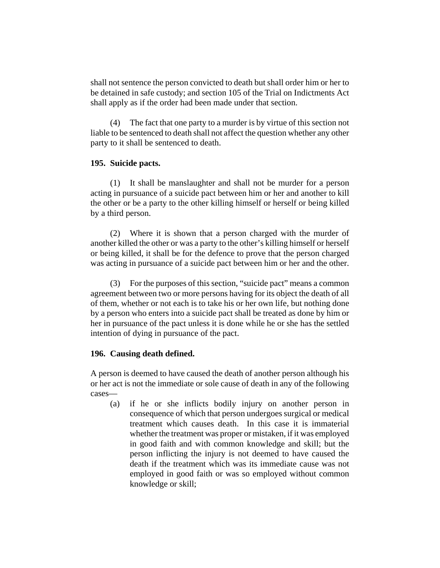shall not sentence the person convicted to death but shall order him or her to be detained in safe custody; and section 105 of the Trial on Indictments Act shall apply as if the order had been made under that section.

(4) The fact that one party to a murder is by virtue of this section not liable to be sentenced to death shall not affect the question whether any other party to it shall be sentenced to death.

#### **195. Suicide pacts.**

(1) It shall be manslaughter and shall not be murder for a person acting in pursuance of a suicide pact between him or her and another to kill the other or be a party to the other killing himself or herself or being killed by a third person.

(2) Where it is shown that a person charged with the murder of another killed the other or was a party to the other's killing himself or herself or being killed, it shall be for the defence to prove that the person charged was acting in pursuance of a suicide pact between him or her and the other.

(3) For the purposes of this section, "suicide pact" means a common agreement between two or more persons having for its object the death of all of them, whether or not each is to take his or her own life, but nothing done by a person who enters into a suicide pact shall be treated as done by him or her in pursuance of the pact unless it is done while he or she has the settled intention of dying in pursuance of the pact.

#### **196. Causing death defined.**

A person is deemed to have caused the death of another person although his or her act is not the immediate or sole cause of death in any of the following cases—

(a) if he or she inflicts bodily injury on another person in consequence of which that person undergoes surgical or medical treatment which causes death. In this case it is immaterial whether the treatment was proper or mistaken, if it was employed in good faith and with common knowledge and skill; but the person inflicting the injury is not deemed to have caused the death if the treatment which was its immediate cause was not employed in good faith or was so employed without common knowledge or skill;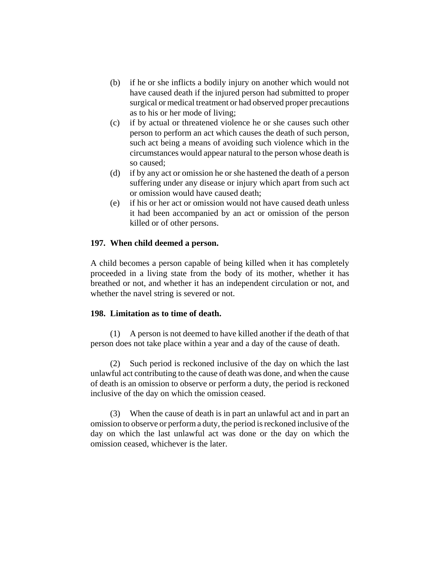- (b) if he or she inflicts a bodily injury on another which would not have caused death if the injured person had submitted to proper surgical or medical treatment or had observed proper precautions as to his or her mode of living;
- (c) if by actual or threatened violence he or she causes such other person to perform an act which causes the death of such person, such act being a means of avoiding such violence which in the circumstances would appear natural to the person whose death is so caused;
- (d) if by any act or omission he or she hastened the death of a person suffering under any disease or injury which apart from such act or omission would have caused death;
- (e) if his or her act or omission would not have caused death unless it had been accompanied by an act or omission of the person killed or of other persons.

### **197. When child deemed a person.**

A child becomes a person capable of being killed when it has completely proceeded in a living state from the body of its mother, whether it has breathed or not, and whether it has an independent circulation or not, and whether the navel string is severed or not.

#### **198. Limitation as to time of death.**

(1) A person is not deemed to have killed another if the death of that person does not take place within a year and a day of the cause of death.

(2) Such period is reckoned inclusive of the day on which the last unlawful act contributing to the cause of death was done, and when the cause of death is an omission to observe or perform a duty, the period is reckoned inclusive of the day on which the omission ceased.

(3) When the cause of death is in part an unlawful act and in part an omission to observe or perform a duty, the period is reckoned inclusive of the day on which the last unlawful act was done or the day on which the omission ceased, whichever is the later.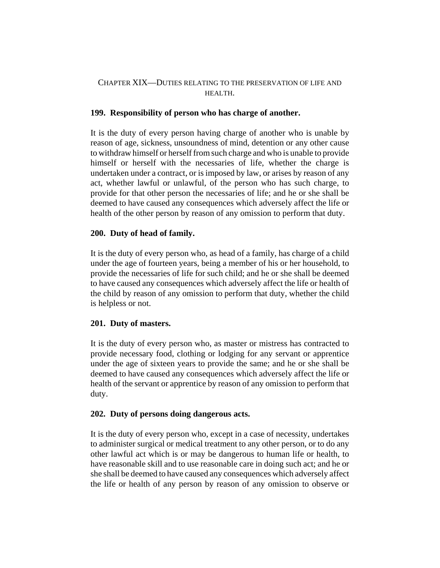## CHAPTER XIX—DUTIES RELATING TO THE PRESERVATION OF LIFE AND HEALTH.

### **199. Responsibility of person who has charge of another.**

It is the duty of every person having charge of another who is unable by reason of age, sickness, unsoundness of mind, detention or any other cause to withdraw himself or herself from such charge and who is unable to provide himself or herself with the necessaries of life, whether the charge is undertaken under a contract, or is imposed by law, or arises by reason of any act, whether lawful or unlawful, of the person who has such charge, to provide for that other person the necessaries of life; and he or she shall be deemed to have caused any consequences which adversely affect the life or health of the other person by reason of any omission to perform that duty.

### **200. Duty of head of family.**

It is the duty of every person who, as head of a family, has charge of a child under the age of fourteen years, being a member of his or her household, to provide the necessaries of life for such child; and he or she shall be deemed to have caused any consequences which adversely affect the life or health of the child by reason of any omission to perform that duty, whether the child is helpless or not.

## **201. Duty of masters.**

It is the duty of every person who, as master or mistress has contracted to provide necessary food, clothing or lodging for any servant or apprentice under the age of sixteen years to provide the same; and he or she shall be deemed to have caused any consequences which adversely affect the life or health of the servant or apprentice by reason of any omission to perform that duty.

## **202. Duty of persons doing dangerous acts.**

It is the duty of every person who, except in a case of necessity, undertakes to administer surgical or medical treatment to any other person, or to do any other lawful act which is or may be dangerous to human life or health, to have reasonable skill and to use reasonable care in doing such act; and he or she shall be deemed to have caused any consequences which adversely affect the life or health of any person by reason of any omission to observe or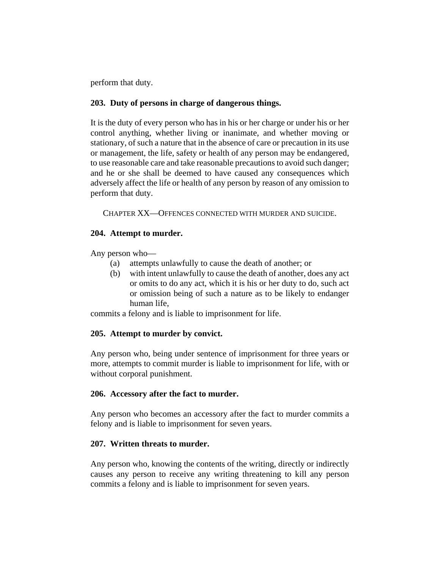perform that duty.

## **203. Duty of persons in charge of dangerous things.**

It is the duty of every person who has in his or her charge or under his or her control anything, whether living or inanimate, and whether moving or stationary, of such a nature that in the absence of care or precaution in its use or management, the life, safety or health of any person may be endangered, to use reasonable care and take reasonable precautions to avoid such danger; and he or she shall be deemed to have caused any consequences which adversely affect the life or health of any person by reason of any omission to perform that duty.

CHAPTER XX—OFFENCES CONNECTED WITH MURDER AND SUICIDE.

# **204. Attempt to murder.**

Any person who—

- (a) attempts unlawfully to cause the death of another; or
- (b) with intent unlawfully to cause the death of another, does any act or omits to do any act, which it is his or her duty to do, such act or omission being of such a nature as to be likely to endanger human life,

commits a felony and is liable to imprisonment for life.

# **205. Attempt to murder by convict.**

Any person who, being under sentence of imprisonment for three years or more, attempts to commit murder is liable to imprisonment for life, with or without corporal punishment.

# **206. Accessory after the fact to murder.**

Any person who becomes an accessory after the fact to murder commits a felony and is liable to imprisonment for seven years.

# **207. Written threats to murder.**

Any person who, knowing the contents of the writing, directly or indirectly causes any person to receive any writing threatening to kill any person commits a felony and is liable to imprisonment for seven years.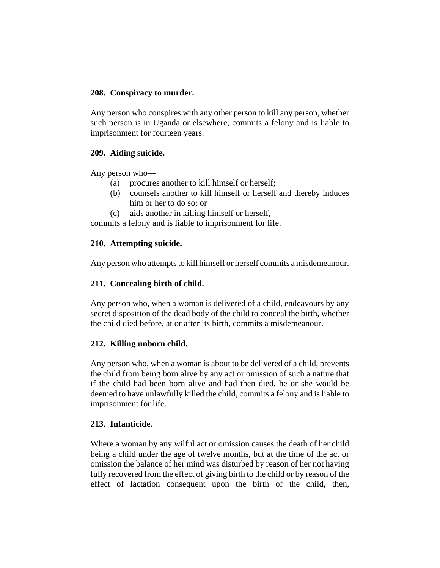## **208. Conspiracy to murder.**

Any person who conspires with any other person to kill any person, whether such person is in Uganda or elsewhere, commits a felony and is liable to imprisonment for fourteen years.

# **209. Aiding suicide.**

Any person who—

- (a) procures another to kill himself or herself;
- (b) counsels another to kill himself or herself and thereby induces him or her to do so; or
- (c) aids another in killing himself or herself,

commits a felony and is liable to imprisonment for life.

## **210. Attempting suicide.**

Any person who attempts to kill himself or herself commits a misdemeanour.

## **211. Concealing birth of child.**

Any person who, when a woman is delivered of a child, endeavours by any secret disposition of the dead body of the child to conceal the birth, whether the child died before, at or after its birth, commits a misdemeanour.

# **212. Killing unborn child.**

Any person who, when a woman is about to be delivered of a child, prevents the child from being born alive by any act or omission of such a nature that if the child had been born alive and had then died, he or she would be deemed to have unlawfully killed the child, commits a felony and is liable to imprisonment for life.

## **213. Infanticide.**

Where a woman by any wilful act or omission causes the death of her child being a child under the age of twelve months, but at the time of the act or omission the balance of her mind was disturbed by reason of her not having fully recovered from the effect of giving birth to the child or by reason of the effect of lactation consequent upon the birth of the child, then,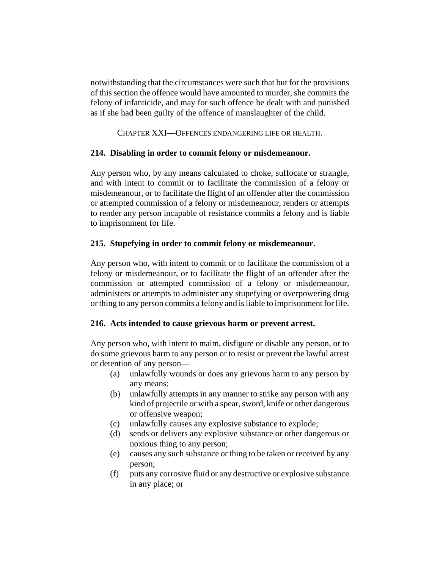notwithstanding that the circumstances were such that but for the provisions of this section the offence would have amounted to murder, she commits the felony of infanticide, and may for such offence be dealt with and punished as if she had been guilty of the offence of manslaughter of the child.

CHAPTER XXI—OFFENCES ENDANGERING LIFE OR HEALTH.

## **214. Disabling in order to commit felony or misdemeanour.**

Any person who, by any means calculated to choke, suffocate or strangle, and with intent to commit or to facilitate the commission of a felony or misdemeanour, or to facilitate the flight of an offender after the commission or attempted commission of a felony or misdemeanour, renders or attempts to render any person incapable of resistance commits a felony and is liable to imprisonment for life.

## **215. Stupefying in order to commit felony or misdemeanour.**

Any person who, with intent to commit or to facilitate the commission of a felony or misdemeanour, or to facilitate the flight of an offender after the commission or attempted commission of a felony or misdemeanour, administers or attempts to administer any stupefying or overpowering drug or thing to any person commits a felony and is liable to imprisonment for life.

# **216. Acts intended to cause grievous harm or prevent arrest.**

Any person who, with intent to maim, disfigure or disable any person, or to do some grievous harm to any person or to resist or prevent the lawful arrest or detention of any person—

- (a) unlawfully wounds or does any grievous harm to any person by any means;
- (b) unlawfully attempts in any manner to strike any person with any kind of projectile or with a spear, sword, knife or other dangerous or offensive weapon;
- (c) unlawfully causes any explosive substance to explode;
- (d) sends or delivers any explosive substance or other dangerous or noxious thing to any person;
- (e) causes any such substance or thing to be taken or received by any person;
- (f) puts any corrosive fluid or any destructive or explosive substance in any place; or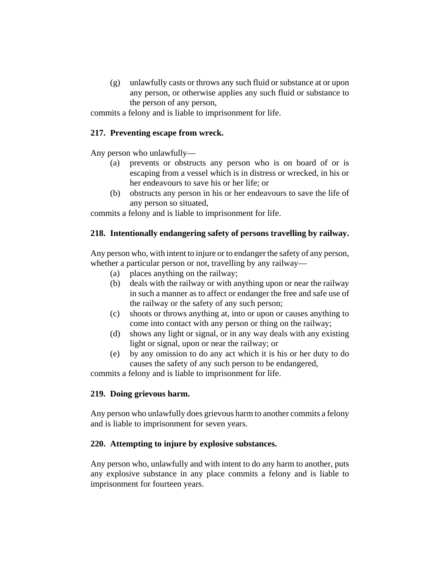(g) unlawfully casts or throws any such fluid or substance at or upon any person, or otherwise applies any such fluid or substance to the person of any person,

commits a felony and is liable to imprisonment for life.

## **217. Preventing escape from wreck.**

Any person who unlawfully—

- (a) prevents or obstructs any person who is on board of or is escaping from a vessel which is in distress or wrecked, in his or her endeavours to save his or her life; or
- (b) obstructs any person in his or her endeavours to save the life of any person so situated,

commits a felony and is liable to imprisonment for life.

### **218. Intentionally endangering safety of persons travelling by railway.**

Any person who, with intent to injure or to endanger the safety of any person, whether a particular person or not, travelling by any railway—

- (a) places anything on the railway;
- (b) deals with the railway or with anything upon or near the railway in such a manner as to affect or endanger the free and safe use of the railway or the safety of any such person;
- (c) shoots or throws anything at, into or upon or causes anything to come into contact with any person or thing on the railway;
- (d) shows any light or signal, or in any way deals with any existing light or signal, upon or near the railway; or
- (e) by any omission to do any act which it is his or her duty to do causes the safety of any such person to be endangered,

commits a felony and is liable to imprisonment for life.

#### **219. Doing grievous harm.**

Any person who unlawfully does grievous harm to another commits a felony and is liable to imprisonment for seven years.

#### **220. Attempting to injure by explosive substances.**

Any person who, unlawfully and with intent to do any harm to another, puts any explosive substance in any place commits a felony and is liable to imprisonment for fourteen years.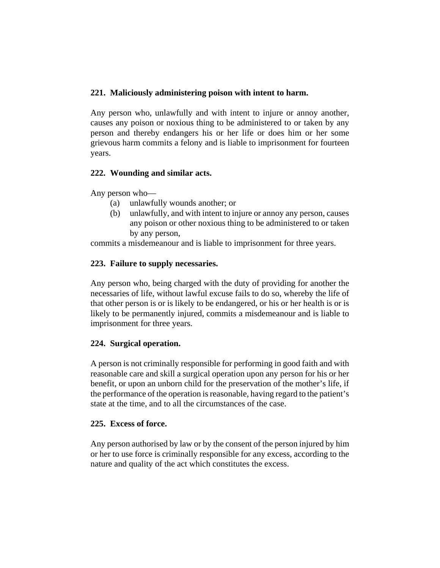## **221. Maliciously administering poison with intent to harm.**

Any person who, unlawfully and with intent to injure or annoy another, causes any poison or noxious thing to be administered to or taken by any person and thereby endangers his or her life or does him or her some grievous harm commits a felony and is liable to imprisonment for fourteen years.

# **222. Wounding and similar acts.**

Any person who—

- (a) unlawfully wounds another; or
- (b) unlawfully, and with intent to injure or annoy any person, causes any poison or other noxious thing to be administered to or taken by any person,

commits a misdemeanour and is liable to imprisonment for three years.

# **223. Failure to supply necessaries.**

Any person who, being charged with the duty of providing for another the necessaries of life, without lawful excuse fails to do so, whereby the life of that other person is or is likely to be endangered, or his or her health is or is likely to be permanently injured, commits a misdemeanour and is liable to imprisonment for three years.

# **224. Surgical operation.**

A person is not criminally responsible for performing in good faith and with reasonable care and skill a surgical operation upon any person for his or her benefit, or upon an unborn child for the preservation of the mother's life, if the performance of the operation is reasonable, having regard to the patient's state at the time, and to all the circumstances of the case.

## **225. Excess of force.**

Any person authorised by law or by the consent of the person injured by him or her to use force is criminally responsible for any excess, according to the nature and quality of the act which constitutes the excess.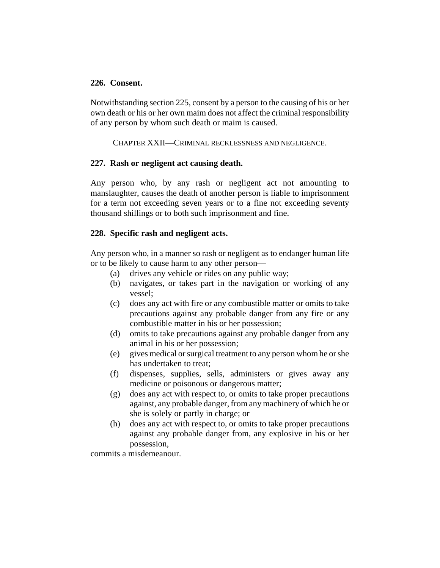## **226. Consent.**

Notwithstanding section 225, consent by a person to the causing of his or her own death or his or her own maim does not affect the criminal responsibility of any person by whom such death or maim is caused.

CHAPTER XXII—CRIMINAL RECKLESSNESS AND NEGLIGENCE.

## **227. Rash or negligent act causing death.**

Any person who, by any rash or negligent act not amounting to manslaughter, causes the death of another person is liable to imprisonment for a term not exceeding seven years or to a fine not exceeding seventy thousand shillings or to both such imprisonment and fine.

## **228. Specific rash and negligent acts.**

Any person who, in a manner so rash or negligent as to endanger human life or to be likely to cause harm to any other person—

- (a) drives any vehicle or rides on any public way;
- (b) navigates, or takes part in the navigation or working of any vessel;
- (c) does any act with fire or any combustible matter or omits to take precautions against any probable danger from any fire or any combustible matter in his or her possession;
- (d) omits to take precautions against any probable danger from any animal in his or her possession;
- (e) gives medical or surgical treatment to any person whom he or she has undertaken to treat;
- (f) dispenses, supplies, sells, administers or gives away any medicine or poisonous or dangerous matter;
- (g) does any act with respect to, or omits to take proper precautions against, any probable danger, from any machinery of which he or she is solely or partly in charge; or
- (h) does any act with respect to, or omits to take proper precautions against any probable danger from, any explosive in his or her possession,

commits a misdemeanour.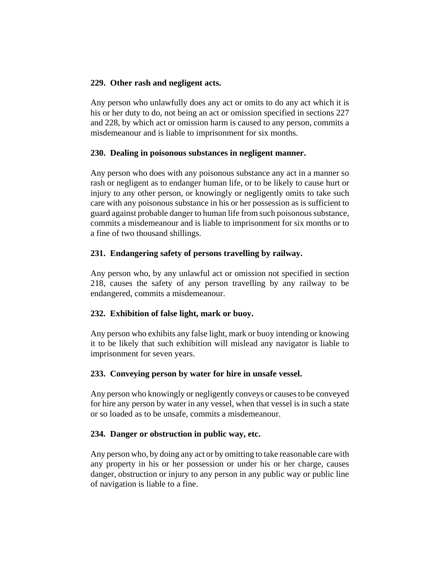## **229. Other rash and negligent acts.**

Any person who unlawfully does any act or omits to do any act which it is his or her duty to do, not being an act or omission specified in sections 227 and 228, by which act or omission harm is caused to any person, commits a misdemeanour and is liable to imprisonment for six months.

## **230. Dealing in poisonous substances in negligent manner.**

Any person who does with any poisonous substance any act in a manner so rash or negligent as to endanger human life, or to be likely to cause hurt or injury to any other person, or knowingly or negligently omits to take such care with any poisonous substance in his or her possession as is sufficient to guard against probable danger to human life from such poisonous substance, commits a misdemeanour and is liable to imprisonment for six months or to a fine of two thousand shillings.

# **231. Endangering safety of persons travelling by railway.**

Any person who, by any unlawful act or omission not specified in section 218, causes the safety of any person travelling by any railway to be endangered, commits a misdemeanour.

# **232. Exhibition of false light, mark or buoy.**

Any person who exhibits any false light, mark or buoy intending or knowing it to be likely that such exhibition will mislead any navigator is liable to imprisonment for seven years.

# **233. Conveying person by water for hire in unsafe vessel.**

Any person who knowingly or negligently conveys or causes to be conveyed for hire any person by water in any vessel, when that vessel is in such a state or so loaded as to be unsafe, commits a misdemeanour.

# **234. Danger or obstruction in public way, etc.**

Any person who, by doing any act or by omitting to take reasonable care with any property in his or her possession or under his or her charge, causes danger, obstruction or injury to any person in any public way or public line of navigation is liable to a fine.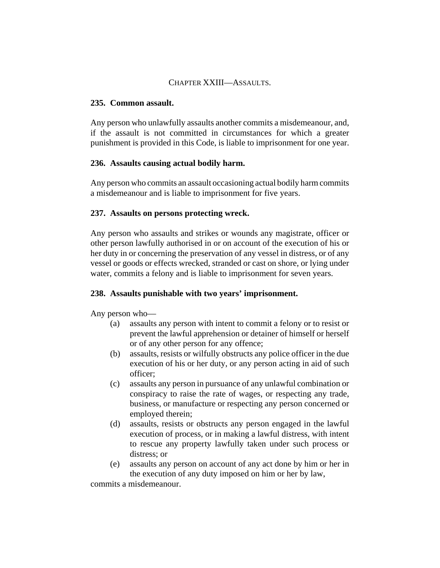## CHAPTER XXIII—ASSAULTS.

#### **235. Common assault.**

Any person who unlawfully assaults another commits a misdemeanour, and, if the assault is not committed in circumstances for which a greater punishment is provided in this Code, is liable to imprisonment for one year.

#### **236. Assaults causing actual bodily harm.**

Any person who commits an assault occasioning actual bodily harm commits a misdemeanour and is liable to imprisonment for five years.

### **237. Assaults on persons protecting wreck.**

Any person who assaults and strikes or wounds any magistrate, officer or other person lawfully authorised in or on account of the execution of his or her duty in or concerning the preservation of any vessel in distress, or of any vessel or goods or effects wrecked, stranded or cast on shore, or lying under water, commits a felony and is liable to imprisonment for seven years.

## **238. Assaults punishable with two years' imprisonment.**

Any person who—

- (a) assaults any person with intent to commit a felony or to resist or prevent the lawful apprehension or detainer of himself or herself or of any other person for any offence;
- (b) assaults, resists or wilfully obstructs any police officer in the due execution of his or her duty, or any person acting in aid of such officer;
- (c) assaults any person in pursuance of any unlawful combination or conspiracy to raise the rate of wages, or respecting any trade, business, or manufacture or respecting any person concerned or employed therein;
- (d) assaults, resists or obstructs any person engaged in the lawful execution of process, or in making a lawful distress, with intent to rescue any property lawfully taken under such process or distress; or
- (e) assaults any person on account of any act done by him or her in the execution of any duty imposed on him or her by law,

commits a misdemeanour.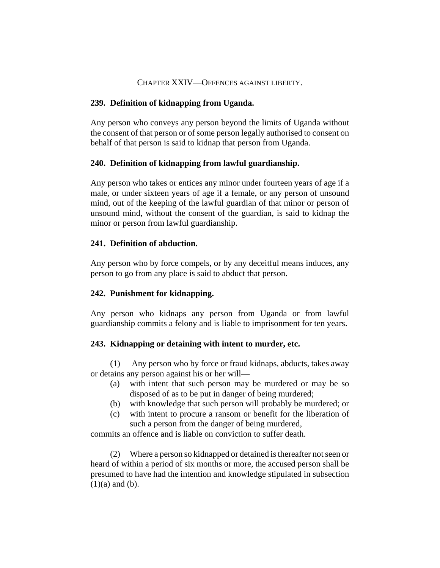### CHAPTER XXIV—OFFENCES AGAINST LIBERTY.

### **239. Definition of kidnapping from Uganda.**

Any person who conveys any person beyond the limits of Uganda without the consent of that person or of some person legally authorised to consent on behalf of that person is said to kidnap that person from Uganda.

### **240. Definition of kidnapping from lawful guardianship.**

Any person who takes or entices any minor under fourteen years of age if a male, or under sixteen years of age if a female, or any person of unsound mind, out of the keeping of the lawful guardian of that minor or person of unsound mind, without the consent of the guardian, is said to kidnap the minor or person from lawful guardianship.

### **241. Definition of abduction.**

Any person who by force compels, or by any deceitful means induces, any person to go from any place is said to abduct that person.

## **242. Punishment for kidnapping.**

Any person who kidnaps any person from Uganda or from lawful guardianship commits a felony and is liable to imprisonment for ten years.

## **243. Kidnapping or detaining with intent to murder, etc.**

(1) Any person who by force or fraud kidnaps, abducts, takes away or detains any person against his or her will—

- (a) with intent that such person may be murdered or may be so disposed of as to be put in danger of being murdered;
- (b) with knowledge that such person will probably be murdered; or
- (c) with intent to procure a ransom or benefit for the liberation of such a person from the danger of being murdered,

commits an offence and is liable on conviction to suffer death.

(2) Where a person so kidnapped or detained is thereafter not seen or heard of within a period of six months or more, the accused person shall be presumed to have had the intention and knowledge stipulated in subsection  $(1)(a)$  and  $(b)$ .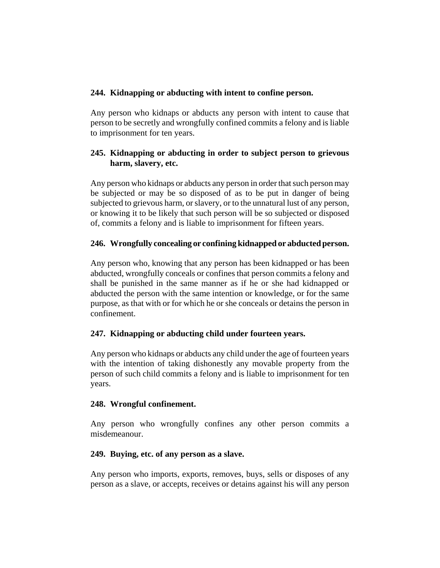## **244. Kidnapping or abducting with intent to confine person.**

Any person who kidnaps or abducts any person with intent to cause that person to be secretly and wrongfully confined commits a felony and is liable to imprisonment for ten years.

## **245. Kidnapping or abducting in order to subject person to grievous harm, slavery, etc.**

Any person who kidnaps or abducts any person in order that such person may be subjected or may be so disposed of as to be put in danger of being subjected to grievous harm, or slavery, or to the unnatural lust of any person, or knowing it to be likely that such person will be so subjected or disposed of, commits a felony and is liable to imprisonment for fifteen years.

## **246. Wrongfully concealing or confining kidnapped or abducted person.**

Any person who, knowing that any person has been kidnapped or has been abducted, wrongfully conceals or confines that person commits a felony and shall be punished in the same manner as if he or she had kidnapped or abducted the person with the same intention or knowledge, or for the same purpose, as that with or for which he or she conceals or detains the person in confinement.

# **247. Kidnapping or abducting child under fourteen years.**

Any person who kidnaps or abducts any child under the age of fourteen years with the intention of taking dishonestly any movable property from the person of such child commits a felony and is liable to imprisonment for ten years.

## **248. Wrongful confinement.**

Any person who wrongfully confines any other person commits a misdemeanour.

## **249. Buying, etc. of any person as a slave.**

Any person who imports, exports, removes, buys, sells or disposes of any person as a slave, or accepts, receives or detains against his will any person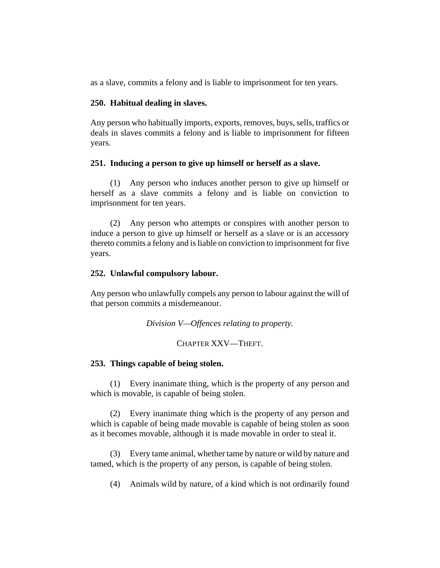as a slave, commits a felony and is liable to imprisonment for ten years.

### **250. Habitual dealing in slaves.**

Any person who habitually imports, exports, removes, buys, sells, traffics or deals in slaves commits a felony and is liable to imprisonment for fifteen years.

### **251. Inducing a person to give up himself or herself as a slave.**

(1) Any person who induces another person to give up himself or herself as a slave commits a felony and is liable on conviction to imprisonment for ten years.

(2) Any person who attempts or conspires with another person to induce a person to give up himself or herself as a slave or is an accessory thereto commits a felony and is liable on conviction to imprisonment for five years.

### **252. Unlawful compulsory labour.**

Any person who unlawfully compels any person to labour against the will of that person commits a misdemeanour.

*Division V—Offences relating to property.*

## CHAPTER XXV—THEFT.

## **253. Things capable of being stolen.**

(1) Every inanimate thing, which is the property of any person and which is movable, is capable of being stolen.

(2) Every inanimate thing which is the property of any person and which is capable of being made movable is capable of being stolen as soon as it becomes movable, although it is made movable in order to steal it.

(3) Every tame animal, whether tame by nature or wild by nature and tamed, which is the property of any person, is capable of being stolen.

(4) Animals wild by nature, of a kind which is not ordinarily found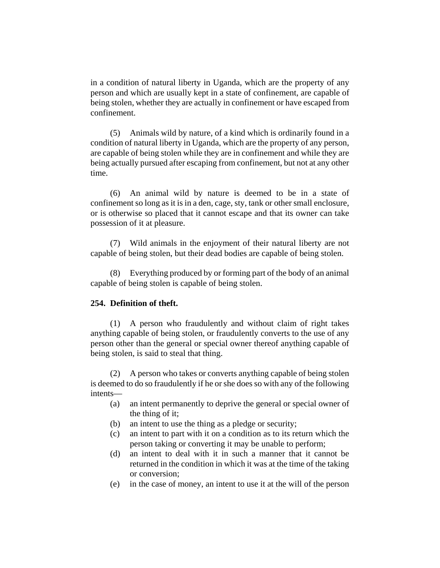in a condition of natural liberty in Uganda, which are the property of any person and which are usually kept in a state of confinement, are capable of being stolen, whether they are actually in confinement or have escaped from confinement.

(5) Animals wild by nature, of a kind which is ordinarily found in a condition of natural liberty in Uganda, which are the property of any person, are capable of being stolen while they are in confinement and while they are being actually pursued after escaping from confinement, but not at any other time.

(6) An animal wild by nature is deemed to be in a state of confinement so long as it is in a den, cage, sty, tank or other small enclosure, or is otherwise so placed that it cannot escape and that its owner can take possession of it at pleasure.

(7) Wild animals in the enjoyment of their natural liberty are not capable of being stolen, but their dead bodies are capable of being stolen.

(8) Everything produced by or forming part of the body of an animal capable of being stolen is capable of being stolen.

#### **254. Definition of theft.**

(1) A person who fraudulently and without claim of right takes anything capable of being stolen, or fraudulently converts to the use of any person other than the general or special owner thereof anything capable of being stolen, is said to steal that thing.

(2) A person who takes or converts anything capable of being stolen is deemed to do so fraudulently if he or she does so with any of the following intents—

- (a) an intent permanently to deprive the general or special owner of the thing of it;
- (b) an intent to use the thing as a pledge or security;
- (c) an intent to part with it on a condition as to its return which the person taking or converting it may be unable to perform;
- (d) an intent to deal with it in such a manner that it cannot be returned in the condition in which it was at the time of the taking or conversion;
- (e) in the case of money, an intent to use it at the will of the person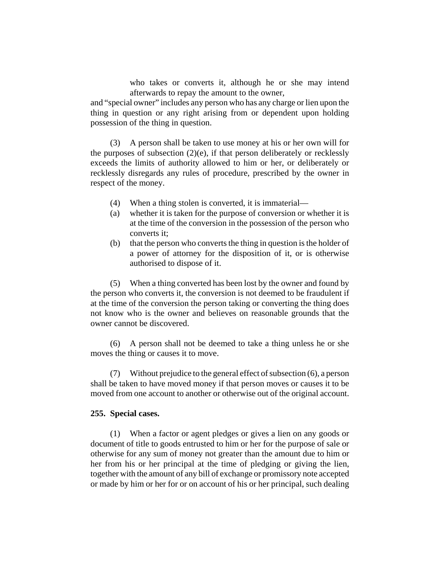who takes or converts it, although he or she may intend afterwards to repay the amount to the owner,

and "special owner" includes any person who has any charge or lien upon the thing in question or any right arising from or dependent upon holding possession of the thing in question.

(3) A person shall be taken to use money at his or her own will for the purposes of subsection  $(2)(e)$ , if that person deliberately or recklessly exceeds the limits of authority allowed to him or her, or deliberately or recklessly disregards any rules of procedure, prescribed by the owner in respect of the money.

- (4) When a thing stolen is converted, it is immaterial—
- (a) whether it is taken for the purpose of conversion or whether it is at the time of the conversion in the possession of the person who converts it;
- (b) that the person who converts the thing in question is the holder of a power of attorney for the disposition of it, or is otherwise authorised to dispose of it.

(5) When a thing converted has been lost by the owner and found by the person who converts it, the conversion is not deemed to be fraudulent if at the time of the conversion the person taking or converting the thing does not know who is the owner and believes on reasonable grounds that the owner cannot be discovered.

(6) A person shall not be deemed to take a thing unless he or she moves the thing or causes it to move.

(7) Without prejudice to the general effect of subsection (6), a person shall be taken to have moved money if that person moves or causes it to be moved from one account to another or otherwise out of the original account.

### **255. Special cases.**

(1) When a factor or agent pledges or gives a lien on any goods or document of title to goods entrusted to him or her for the purpose of sale or otherwise for any sum of money not greater than the amount due to him or her from his or her principal at the time of pledging or giving the lien, together with the amount of any bill of exchange or promissory note accepted or made by him or her for or on account of his or her principal, such dealing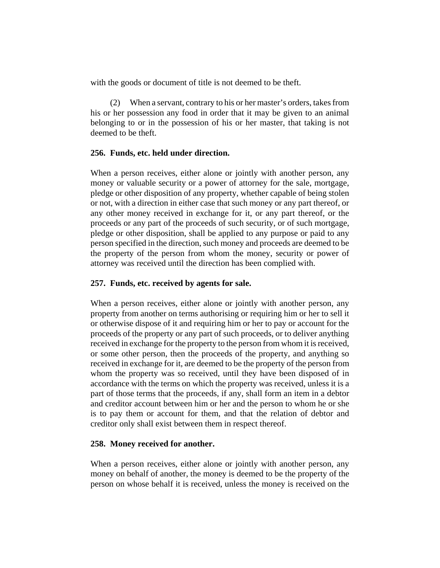with the goods or document of title is not deemed to be theft.

(2) When a servant, contrary to his or her master's orders, takes from his or her possession any food in order that it may be given to an animal belonging to or in the possession of his or her master, that taking is not deemed to be theft.

## **256. Funds, etc. held under direction.**

When a person receives, either alone or jointly with another person, any money or valuable security or a power of attorney for the sale, mortgage, pledge or other disposition of any property, whether capable of being stolen or not, with a direction in either case that such money or any part thereof, or any other money received in exchange for it, or any part thereof, or the proceeds or any part of the proceeds of such security, or of such mortgage, pledge or other disposition, shall be applied to any purpose or paid to any person specified in the direction, such money and proceeds are deemed to be the property of the person from whom the money, security or power of attorney was received until the direction has been complied with.

## **257. Funds, etc. received by agents for sale.**

When a person receives, either alone or jointly with another person, any property from another on terms authorising or requiring him or her to sell it or otherwise dispose of it and requiring him or her to pay or account for the proceeds of the property or any part of such proceeds, or to deliver anything received in exchange for the property to the person from whom it is received, or some other person, then the proceeds of the property, and anything so received in exchange for it, are deemed to be the property of the person from whom the property was so received, until they have been disposed of in accordance with the terms on which the property was received, unless it is a part of those terms that the proceeds, if any, shall form an item in a debtor and creditor account between him or her and the person to whom he or she is to pay them or account for them, and that the relation of debtor and creditor only shall exist between them in respect thereof.

## **258. Money received for another.**

When a person receives, either alone or jointly with another person, any money on behalf of another, the money is deemed to be the property of the person on whose behalf it is received, unless the money is received on the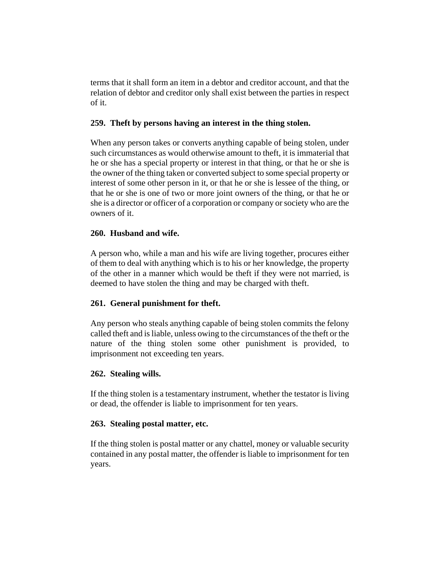terms that it shall form an item in a debtor and creditor account, and that the relation of debtor and creditor only shall exist between the parties in respect of it.

## **259. Theft by persons having an interest in the thing stolen.**

When any person takes or converts anything capable of being stolen, under such circumstances as would otherwise amount to theft, it is immaterial that he or she has a special property or interest in that thing, or that he or she is the owner of the thing taken or converted subject to some special property or interest of some other person in it, or that he or she is lessee of the thing, or that he or she is one of two or more joint owners of the thing, or that he or she is a director or officer of a corporation or company or society who are the owners of it.

### **260. Husband and wife.**

A person who, while a man and his wife are living together, procures either of them to deal with anything which is to his or her knowledge, the property of the other in a manner which would be theft if they were not married, is deemed to have stolen the thing and may be charged with theft.

## **261. General punishment for theft.**

Any person who steals anything capable of being stolen commits the felony called theft and is liable, unless owing to the circumstances of the theft or the nature of the thing stolen some other punishment is provided, to imprisonment not exceeding ten years.

## **262. Stealing wills.**

If the thing stolen is a testamentary instrument, whether the testator is living or dead, the offender is liable to imprisonment for ten years.

## **263. Stealing postal matter, etc.**

If the thing stolen is postal matter or any chattel, money or valuable security contained in any postal matter, the offender is liable to imprisonment for ten years.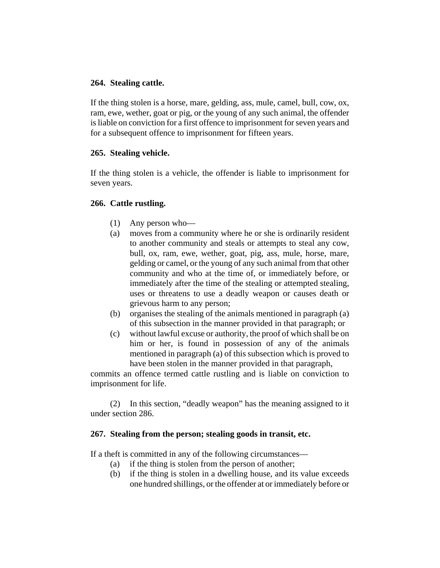## **264. Stealing cattle.**

If the thing stolen is a horse, mare, gelding, ass, mule, camel, bull, cow, ox, ram, ewe, wether, goat or pig, or the young of any such animal, the offender is liable on conviction for a first offence to imprisonment for seven years and for a subsequent offence to imprisonment for fifteen years.

## **265. Stealing vehicle.**

If the thing stolen is a vehicle, the offender is liable to imprisonment for seven years.

## **266. Cattle rustling.**

- (1) Any person who—
- (a) moves from a community where he or she is ordinarily resident to another community and steals or attempts to steal any cow, bull, ox, ram, ewe, wether, goat, pig, ass, mule, horse, mare, gelding or camel, or the young of any such animal from that other community and who at the time of, or immediately before, or immediately after the time of the stealing or attempted stealing, uses or threatens to use a deadly weapon or causes death or grievous harm to any person;
- (b) organises the stealing of the animals mentioned in paragraph (a) of this subsection in the manner provided in that paragraph; or
- (c) without lawful excuse or authority, the proof of which shall be on him or her, is found in possession of any of the animals mentioned in paragraph (a) of this subsection which is proved to have been stolen in the manner provided in that paragraph,

commits an offence termed cattle rustling and is liable on conviction to imprisonment for life.

(2) In this section, "deadly weapon" has the meaning assigned to it under section 286.

## **267. Stealing from the person; stealing goods in transit, etc.**

If a theft is committed in any of the following circumstances—

- (a) if the thing is stolen from the person of another;
- (b) if the thing is stolen in a dwelling house, and its value exceeds one hundred shillings, or the offender at or immediately before or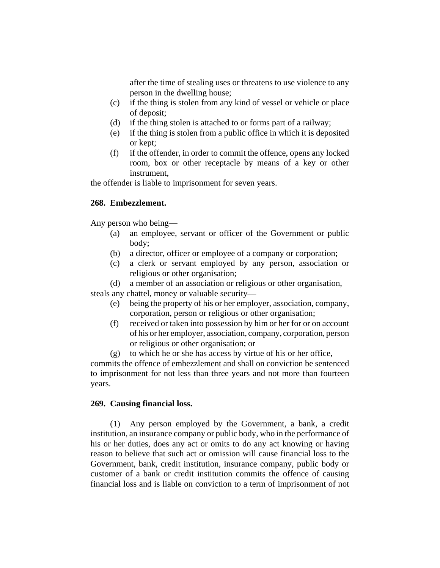after the time of stealing uses or threatens to use violence to any person in the dwelling house;

- (c) if the thing is stolen from any kind of vessel or vehicle or place of deposit;
- (d) if the thing stolen is attached to or forms part of a railway;
- (e) if the thing is stolen from a public office in which it is deposited or kept;
- (f) if the offender, in order to commit the offence, opens any locked room, box or other receptacle by means of a key or other instrument,

the offender is liable to imprisonment for seven years.

## **268. Embezzlement.**

Any person who being—

- (a) an employee, servant or officer of the Government or public body;
- (b) a director, officer or employee of a company or corporation;
- (c) a clerk or servant employed by any person, association or religious or other organisation;
- (d) a member of an association or religious or other organisation,

steals any chattel, money or valuable security—

- (e) being the property of his or her employer, association, company, corporation, person or religious or other organisation;
- (f) received or taken into possession by him or her for or on account of his or her employer, association, company, corporation, person or religious or other organisation; or
- (g) to which he or she has access by virtue of his or her office,

commits the offence of embezzlement and shall on conviction be sentenced to imprisonment for not less than three years and not more than fourteen years.

#### **269. Causing financial loss.**

(1) Any person employed by the Government, a bank, a credit institution, an insurance company or public body, who in the performance of his or her duties, does any act or omits to do any act knowing or having reason to believe that such act or omission will cause financial loss to the Government, bank, credit institution, insurance company, public body or customer of a bank or credit institution commits the offence of causing financial loss and is liable on conviction to a term of imprisonment of not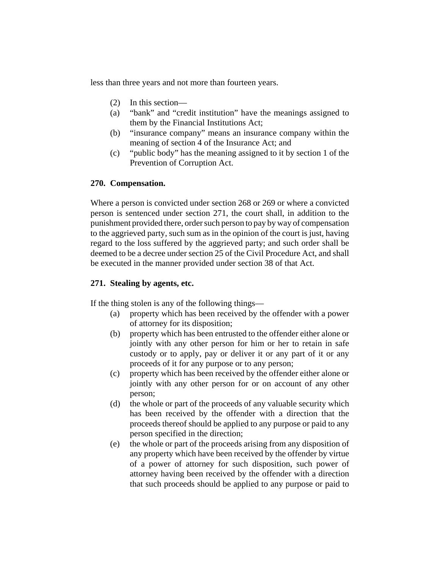less than three years and not more than fourteen years.

- (2) In this section—
- (a) "bank" and "credit institution" have the meanings assigned to them by the Financial Institutions Act;
- (b) "insurance company" means an insurance company within the meaning of section 4 of the Insurance Act; and
- (c) "public body" has the meaning assigned to it by section 1 of the Prevention of Corruption Act.

### **270. Compensation.**

Where a person is convicted under section 268 or 269 or where a convicted person is sentenced under section 271, the court shall, in addition to the punishment provided there, order such person to pay by way of compensation to the aggrieved party, such sum as in the opinion of the court is just, having regard to the loss suffered by the aggrieved party; and such order shall be deemed to be a decree under section 25 of the Civil Procedure Act, and shall be executed in the manner provided under section 38 of that Act.

### **271. Stealing by agents, etc.**

If the thing stolen is any of the following things—

- (a) property which has been received by the offender with a power of attorney for its disposition;
- (b) property which has been entrusted to the offender either alone or jointly with any other person for him or her to retain in safe custody or to apply, pay or deliver it or any part of it or any proceeds of it for any purpose or to any person;
- (c) property which has been received by the offender either alone or jointly with any other person for or on account of any other person;
- (d) the whole or part of the proceeds of any valuable security which has been received by the offender with a direction that the proceeds thereof should be applied to any purpose or paid to any person specified in the direction;
- (e) the whole or part of the proceeds arising from any disposition of any property which have been received by the offender by virtue of a power of attorney for such disposition, such power of attorney having been received by the offender with a direction that such proceeds should be applied to any purpose or paid to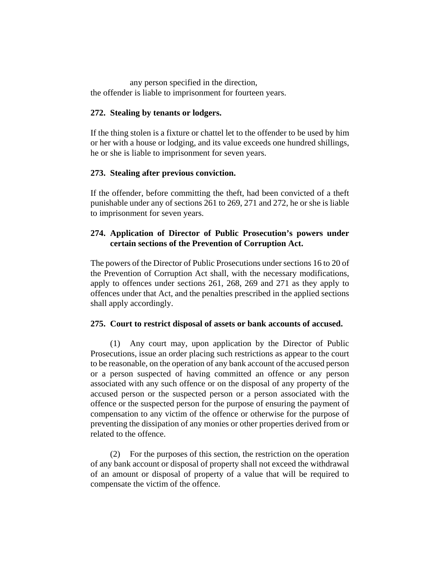any person specified in the direction, the offender is liable to imprisonment for fourteen years.

## **272. Stealing by tenants or lodgers.**

If the thing stolen is a fixture or chattel let to the offender to be used by him or her with a house or lodging, and its value exceeds one hundred shillings, he or she is liable to imprisonment for seven years.

## **273. Stealing after previous conviction.**

If the offender, before committing the theft, had been convicted of a theft punishable under any of sections 261 to 269, 271 and 272, he or she is liable to imprisonment for seven years.

## **274. Application of Director of Public Prosecution's powers under certain sections of the Prevention of Corruption Act.**

The powers of the Director of Public Prosecutions under sections 16 to 20 of the Prevention of Corruption Act shall, with the necessary modifications, apply to offences under sections 261, 268, 269 and 271 as they apply to offences under that Act, and the penalties prescribed in the applied sections shall apply accordingly.

## **275. Court to restrict disposal of assets or bank accounts of accused.**

(1) Any court may, upon application by the Director of Public Prosecutions, issue an order placing such restrictions as appear to the court to be reasonable, on the operation of any bank account of the accused person or a person suspected of having committed an offence or any person associated with any such offence or on the disposal of any property of the accused person or the suspected person or a person associated with the offence or the suspected person for the purpose of ensuring the payment of compensation to any victim of the offence or otherwise for the purpose of preventing the dissipation of any monies or other properties derived from or related to the offence.

(2) For the purposes of this section, the restriction on the operation of any bank account or disposal of property shall not exceed the withdrawal of an amount or disposal of property of a value that will be required to compensate the victim of the offence.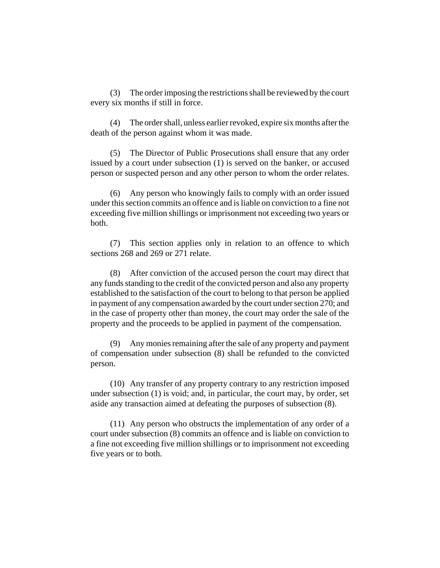(3) The order imposing the restrictions shall be reviewed by the court every six months if still in force.

(4) The order shall, unless earlier revoked, expire six months after the death of the person against whom it was made.

(5) The Director of Public Prosecutions shall ensure that any order issued by a court under subsection (1) is served on the banker, or accused person or suspected person and any other person to whom the order relates.

(6) Any person who knowingly fails to comply with an order issued under this section commits an offence and is liable on conviction to a fine not exceeding five million shillings or imprisonment not exceeding two years or both.

(7) This section applies only in relation to an offence to which sections 268 and 269 or 271 relate.

(8) After conviction of the accused person the court may direct that any funds standing to the credit of the convicted person and also any property established to the satisfaction of the court to belong to that person be applied in payment of any compensation awarded by the court under section 270; and in the case of property other than money, the court may order the sale of the property and the proceeds to be applied in payment of the compensation.

(9) Any monies remaining after the sale of any property and payment of compensation under subsection (8) shall be refunded to the convicted person.

(10) Any transfer of any property contrary to any restriction imposed under subsection (1) is void; and, in particular, the court may, by order, set aside any transaction aimed at defeating the purposes of subsection (8).

(11) Any person who obstructs the implementation of any order of a court under subsection (8) commits an offence and is liable on conviction to a fine not exceeding five million shillings or to imprisonment not exceeding five years or to both.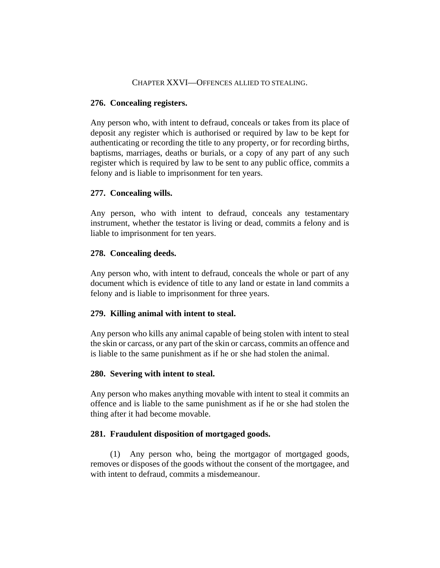#### CHAPTER XXVI—OFFENCES ALLIED TO STEALING.

#### **276. Concealing registers.**

Any person who, with intent to defraud, conceals or takes from its place of deposit any register which is authorised or required by law to be kept for authenticating or recording the title to any property, or for recording births, baptisms, marriages, deaths or burials, or a copy of any part of any such register which is required by law to be sent to any public office, commits a felony and is liable to imprisonment for ten years.

### **277. Concealing wills.**

Any person, who with intent to defraud, conceals any testamentary instrument, whether the testator is living or dead, commits a felony and is liable to imprisonment for ten years.

#### **278. Concealing deeds.**

Any person who, with intent to defraud, conceals the whole or part of any document which is evidence of title to any land or estate in land commits a felony and is liable to imprisonment for three years.

### **279. Killing animal with intent to steal.**

Any person who kills any animal capable of being stolen with intent to steal the skin or carcass, or any part of the skin or carcass, commits an offence and is liable to the same punishment as if he or she had stolen the animal.

#### **280. Severing with intent to steal.**

Any person who makes anything movable with intent to steal it commits an offence and is liable to the same punishment as if he or she had stolen the thing after it had become movable.

### **281. Fraudulent disposition of mortgaged goods.**

(1) Any person who, being the mortgagor of mortgaged goods, removes or disposes of the goods without the consent of the mortgagee, and with intent to defraud, commits a misdemeanour.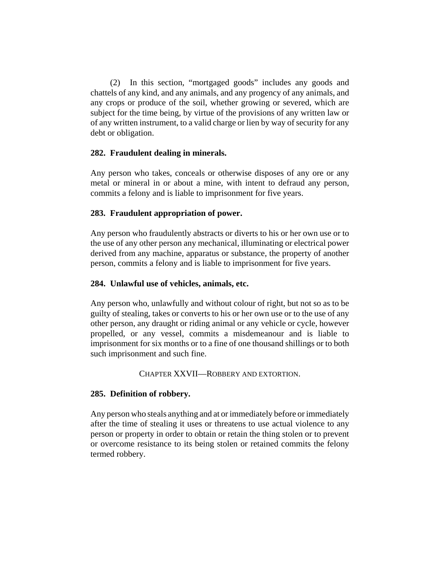(2) In this section, "mortgaged goods" includes any goods and chattels of any kind, and any animals, and any progency of any animals, and any crops or produce of the soil, whether growing or severed, which are subject for the time being, by virtue of the provisions of any written law or of any written instrument, to a valid charge or lien by way of security for any debt or obligation.

### **282. Fraudulent dealing in minerals.**

Any person who takes, conceals or otherwise disposes of any ore or any metal or mineral in or about a mine, with intent to defraud any person, commits a felony and is liable to imprisonment for five years.

### **283. Fraudulent appropriation of power.**

Any person who fraudulently abstracts or diverts to his or her own use or to the use of any other person any mechanical, illuminating or electrical power derived from any machine, apparatus or substance, the property of another person, commits a felony and is liable to imprisonment for five years.

#### **284. Unlawful use of vehicles, animals, etc.**

Any person who, unlawfully and without colour of right, but not so as to be guilty of stealing, takes or converts to his or her own use or to the use of any other person, any draught or riding animal or any vehicle or cycle, however propelled, or any vessel, commits a misdemeanour and is liable to imprisonment for six months or to a fine of one thousand shillings or to both such imprisonment and such fine.

CHAPTER XXVII—ROBBERY AND EXTORTION.

#### **285. Definition of robbery.**

Any person who steals anything and at or immediately before or immediately after the time of stealing it uses or threatens to use actual violence to any person or property in order to obtain or retain the thing stolen or to prevent or overcome resistance to its being stolen or retained commits the felony termed robbery.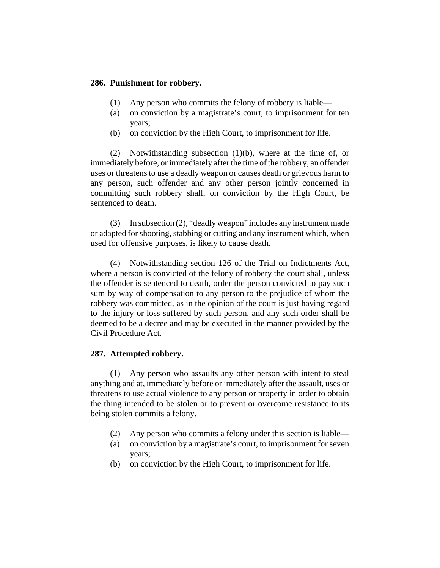#### **286. Punishment for robbery.**

- (1) Any person who commits the felony of robbery is liable—
- (a) on conviction by a magistrate's court, to imprisonment for ten years;
- (b) on conviction by the High Court, to imprisonment for life.

(2) Notwithstanding subsection (1)(b), where at the time of, or immediately before, or immediately after the time of the robbery, an offender uses or threatens to use a deadly weapon or causes death or grievous harm to any person, such offender and any other person jointly concerned in committing such robbery shall, on conviction by the High Court, be sentenced to death.

(3) In subsection (2), "deadly weapon" includes any instrument made or adapted for shooting, stabbing or cutting and any instrument which, when used for offensive purposes, is likely to cause death.

(4) Notwithstanding section 126 of the Trial on Indictments Act, where a person is convicted of the felony of robbery the court shall, unless the offender is sentenced to death, order the person convicted to pay such sum by way of compensation to any person to the prejudice of whom the robbery was committed, as in the opinion of the court is just having regard to the injury or loss suffered by such person, and any such order shall be deemed to be a decree and may be executed in the manner provided by the Civil Procedure Act.

### **287. Attempted robbery.**

(1) Any person who assaults any other person with intent to steal anything and at, immediately before or immediately after the assault, uses or threatens to use actual violence to any person or property in order to obtain the thing intended to be stolen or to prevent or overcome resistance to its being stolen commits a felony.

- (2) Any person who commits a felony under this section is liable—
- (a) on conviction by a magistrate's court, to imprisonment for seven years;
- (b) on conviction by the High Court, to imprisonment for life.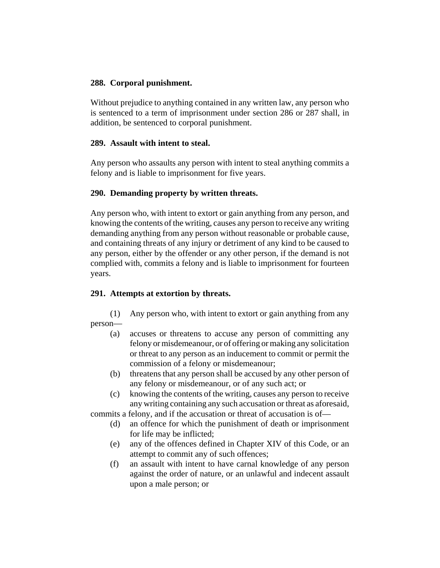### **288. Corporal punishment.**

Without prejudice to anything contained in any written law, any person who is sentenced to a term of imprisonment under section 286 or 287 shall, in addition, be sentenced to corporal punishment.

### **289. Assault with intent to steal.**

Any person who assaults any person with intent to steal anything commits a felony and is liable to imprisonment for five years.

## **290. Demanding property by written threats.**

Any person who, with intent to extort or gain anything from any person, and knowing the contents of the writing, causes any person to receive any writing demanding anything from any person without reasonable or probable cause, and containing threats of any injury or detriment of any kind to be caused to any person, either by the offender or any other person, if the demand is not complied with, commits a felony and is liable to imprisonment for fourteen years.

## **291. Attempts at extortion by threats.**

(1) Any person who, with intent to extort or gain anything from any person—

- (a) accuses or threatens to accuse any person of committing any felony or misdemeanour, or of offering or making any solicitation or threat to any person as an inducement to commit or permit the commission of a felony or misdemeanour;
- (b) threatens that any person shall be accused by any other person of any felony or misdemeanour, or of any such act; or
- (c) knowing the contents of the writing, causes any person to receive any writing containing any such accusation or threat as aforesaid,

commits a felony, and if the accusation or threat of accusation is of—

- (d) an offence for which the punishment of death or imprisonment for life may be inflicted;
- (e) any of the offences defined in Chapter XIV of this Code, or an attempt to commit any of such offences;
- (f) an assault with intent to have carnal knowledge of any person against the order of nature, or an unlawful and indecent assault upon a male person; or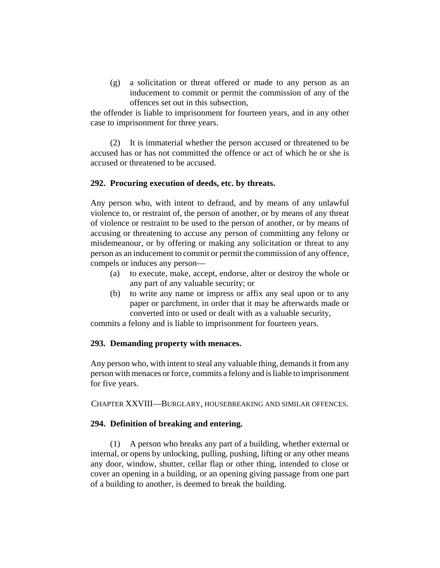(g) a solicitation or threat offered or made to any person as an inducement to commit or permit the commission of any of the offences set out in this subsection,

the offender is liable to imprisonment for fourteen years, and in any other case to imprisonment for three years.

(2) It is immaterial whether the person accused or threatened to be accused has or has not committed the offence or act of which he or she is accused or threatened to be accused.

## **292. Procuring execution of deeds, etc. by threats.**

Any person who, with intent to defraud, and by means of any unlawful violence to, or restraint of, the person of another, or by means of any threat of violence or restraint to be used to the person of another, or by means of accusing or threatening to accuse any person of committing any felony or misdemeanour, or by offering or making any solicitation or threat to any person as an inducement to commit or permit the commission of any offence, compels or induces any person—

- (a) to execute, make, accept, endorse, alter or destroy the whole or any part of any valuable security; or
- (b) to write any name or impress or affix any seal upon or to any paper or parchment, in order that it may be afterwards made or converted into or used or dealt with as a valuable security,

commits a felony and is liable to imprisonment for fourteen years.

## **293. Demanding property with menaces.**

Any person who, with intent to steal any valuable thing, demands it from any person with menaces or force, commits a felony and is liable to imprisonment for five years.

CHAPTER XXVIII—BURGLARY, HOUSEBREAKING AND SIMILAR OFFENCES.

### **294. Definition of breaking and entering.**

(1) A person who breaks any part of a building, whether external or internal, or opens by unlocking, pulling, pushing, lifting or any other means any door, window, shutter, cellar flap or other thing, intended to close or cover an opening in a building, or an opening giving passage from one part of a building to another, is deemed to break the building.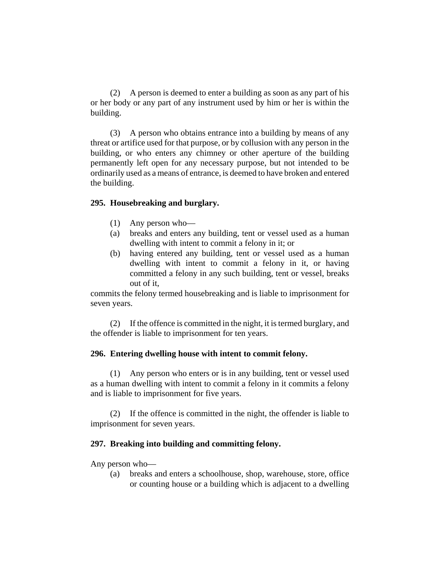(2) A person is deemed to enter a building as soon as any part of his or her body or any part of any instrument used by him or her is within the building.

(3) A person who obtains entrance into a building by means of any threat or artifice used for that purpose, or by collusion with any person in the building, or who enters any chimney or other aperture of the building permanently left open for any necessary purpose, but not intended to be ordinarily used as a means of entrance, is deemed to have broken and entered the building.

#### **295. Housebreaking and burglary.**

- (1) Any person who—
- (a) breaks and enters any building, tent or vessel used as a human dwelling with intent to commit a felony in it; or
- (b) having entered any building, tent or vessel used as a human dwelling with intent to commit a felony in it, or having committed a felony in any such building, tent or vessel, breaks out of it,

commits the felony termed housebreaking and is liable to imprisonment for seven years.

(2) If the offence is committed in the night, it is termed burglary, and the offender is liable to imprisonment for ten years.

### **296. Entering dwelling house with intent to commit felony.**

(1) Any person who enters or is in any building, tent or vessel used as a human dwelling with intent to commit a felony in it commits a felony and is liable to imprisonment for five years.

(2) If the offence is committed in the night, the offender is liable to imprisonment for seven years.

#### **297. Breaking into building and committing felony.**

Any person who—

(a) breaks and enters a schoolhouse, shop, warehouse, store, office or counting house or a building which is adjacent to a dwelling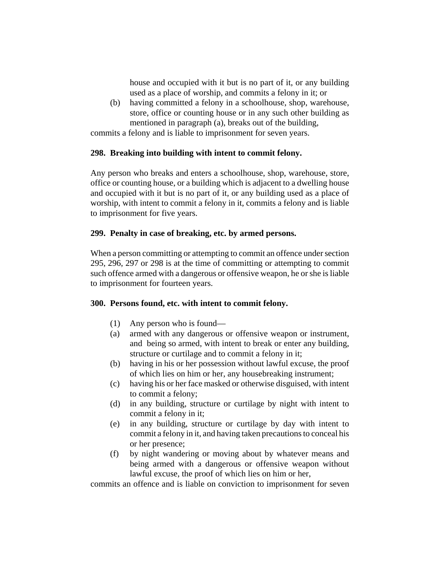house and occupied with it but is no part of it, or any building used as a place of worship, and commits a felony in it; or

(b) having committed a felony in a schoolhouse, shop, warehouse, store, office or counting house or in any such other building as mentioned in paragraph (a), breaks out of the building,

commits a felony and is liable to imprisonment for seven years.

### **298. Breaking into building with intent to commit felony.**

Any person who breaks and enters a schoolhouse, shop, warehouse, store, office or counting house, or a building which is adjacent to a dwelling house and occupied with it but is no part of it, or any building used as a place of worship, with intent to commit a felony in it, commits a felony and is liable to imprisonment for five years.

## **299. Penalty in case of breaking, etc. by armed persons.**

When a person committing or attempting to commit an offence under section 295, 296, 297 or 298 is at the time of committing or attempting to commit such offence armed with a dangerous or offensive weapon, he or she is liable to imprisonment for fourteen years.

## **300. Persons found, etc. with intent to commit felony.**

- (1) Any person who is found—
- (a) armed with any dangerous or offensive weapon or instrument, and being so armed, with intent to break or enter any building, structure or curtilage and to commit a felony in it;
- (b) having in his or her possession without lawful excuse, the proof of which lies on him or her, any housebreaking instrument;
- (c) having his or her face masked or otherwise disguised, with intent to commit a felony;
- (d) in any building, structure or curtilage by night with intent to commit a felony in it;
- (e) in any building, structure or curtilage by day with intent to commit a felony in it, and having taken precautions to conceal his or her presence;
- (f) by night wandering or moving about by whatever means and being armed with a dangerous or offensive weapon without lawful excuse, the proof of which lies on him or her,

commits an offence and is liable on conviction to imprisonment for seven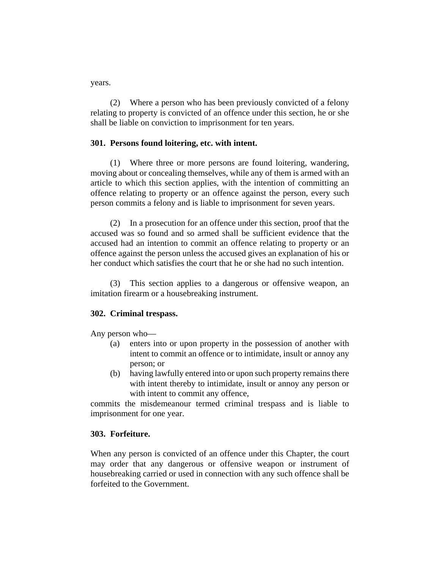years.

(2) Where a person who has been previously convicted of a felony relating to property is convicted of an offence under this section, he or she shall be liable on conviction to imprisonment for ten years.

#### **301. Persons found loitering, etc. with intent.**

(1) Where three or more persons are found loitering, wandering, moving about or concealing themselves, while any of them is armed with an article to which this section applies, with the intention of committing an offence relating to property or an offence against the person, every such person commits a felony and is liable to imprisonment for seven years.

(2) In a prosecution for an offence under this section, proof that the accused was so found and so armed shall be sufficient evidence that the accused had an intention to commit an offence relating to property or an offence against the person unless the accused gives an explanation of his or her conduct which satisfies the court that he or she had no such intention.

(3) This section applies to a dangerous or offensive weapon, an imitation firearm or a housebreaking instrument.

### **302. Criminal trespass.**

Any person who—

- (a) enters into or upon property in the possession of another with intent to commit an offence or to intimidate, insult or annoy any person; or
- (b) having lawfully entered into or upon such property remains there with intent thereby to intimidate, insult or annoy any person or with intent to commit any offence,

commits the misdemeanour termed criminal trespass and is liable to imprisonment for one year.

#### **303. Forfeiture.**

When any person is convicted of an offence under this Chapter, the court may order that any dangerous or offensive weapon or instrument of housebreaking carried or used in connection with any such offence shall be forfeited to the Government.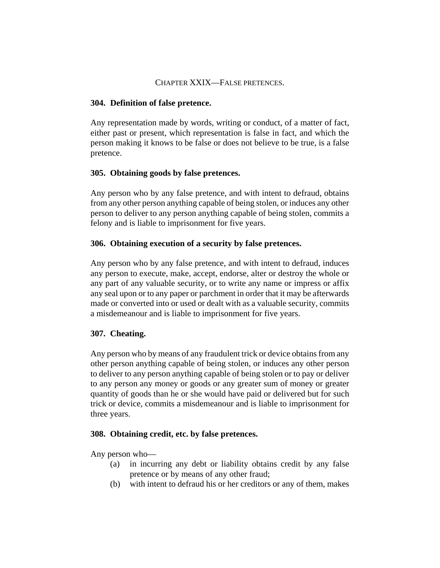#### CHAPTER XXIX—FALSE PRETENCES.

#### **304. Definition of false pretence.**

Any representation made by words, writing or conduct, of a matter of fact, either past or present, which representation is false in fact, and which the person making it knows to be false or does not believe to be true, is a false pretence.

#### **305. Obtaining goods by false pretences.**

Any person who by any false pretence, and with intent to defraud, obtains from any other person anything capable of being stolen, or induces any other person to deliver to any person anything capable of being stolen, commits a felony and is liable to imprisonment for five years.

#### **306. Obtaining execution of a security by false pretences.**

Any person who by any false pretence, and with intent to defraud, induces any person to execute, make, accept, endorse, alter or destroy the whole or any part of any valuable security, or to write any name or impress or affix any seal upon or to any paper or parchment in order that it may be afterwards made or converted into or used or dealt with as a valuable security, commits a misdemeanour and is liable to imprisonment for five years.

#### **307. Cheating.**

Any person who by means of any fraudulent trick or device obtains from any other person anything capable of being stolen, or induces any other person to deliver to any person anything capable of being stolen or to pay or deliver to any person any money or goods or any greater sum of money or greater quantity of goods than he or she would have paid or delivered but for such trick or device, commits a misdemeanour and is liable to imprisonment for three years.

#### **308. Obtaining credit, etc. by false pretences.**

Any person who—

- (a) in incurring any debt or liability obtains credit by any false pretence or by means of any other fraud;
- (b) with intent to defraud his or her creditors or any of them, makes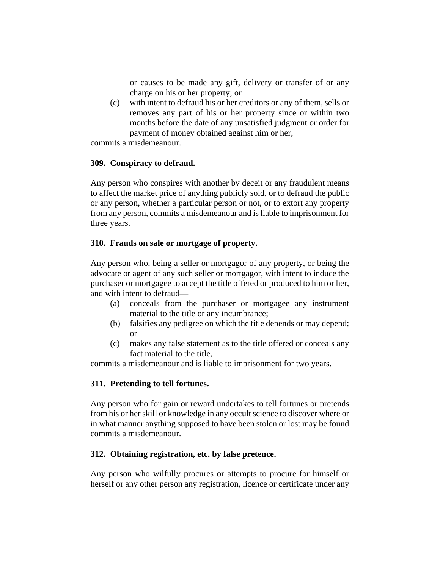or causes to be made any gift, delivery or transfer of or any charge on his or her property; or

(c) with intent to defraud his or her creditors or any of them, sells or removes any part of his or her property since or within two months before the date of any unsatisfied judgment or order for payment of money obtained against him or her,

commits a misdemeanour.

#### **309. Conspiracy to defraud.**

Any person who conspires with another by deceit or any fraudulent means to affect the market price of anything publicly sold, or to defraud the public or any person, whether a particular person or not, or to extort any property from any person, commits a misdemeanour and is liable to imprisonment for three years.

### **310. Frauds on sale or mortgage of property.**

Any person who, being a seller or mortgagor of any property, or being the advocate or agent of any such seller or mortgagor, with intent to induce the purchaser or mortgagee to accept the title offered or produced to him or her, and with intent to defraud—

- (a) conceals from the purchaser or mortgagee any instrument material to the title or any incumbrance;
- (b) falsifies any pedigree on which the title depends or may depend; or
- (c) makes any false statement as to the title offered or conceals any fact material to the title,

commits a misdemeanour and is liable to imprisonment for two years.

### **311. Pretending to tell fortunes.**

Any person who for gain or reward undertakes to tell fortunes or pretends from his or her skill or knowledge in any occult science to discover where or in what manner anything supposed to have been stolen or lost may be found commits a misdemeanour.

### **312. Obtaining registration, etc. by false pretence.**

Any person who wilfully procures or attempts to procure for himself or herself or any other person any registration, licence or certificate under any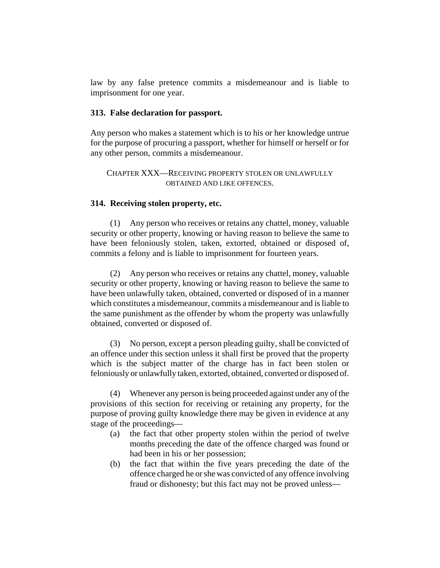law by any false pretence commits a misdemeanour and is liable to imprisonment for one year.

#### **313. False declaration for passport.**

Any person who makes a statement which is to his or her knowledge untrue for the purpose of procuring a passport, whether for himself or herself or for any other person, commits a misdemeanour.

#### CHAPTER XXX—RECEIVING PROPERTY STOLEN OR UNLAWFULLY OBTAINED AND LIKE OFFENCES.

#### **314. Receiving stolen property, etc.**

(1) Any person who receives or retains any chattel, money, valuable security or other property, knowing or having reason to believe the same to have been feloniously stolen, taken, extorted, obtained or disposed of, commits a felony and is liable to imprisonment for fourteen years.

(2) Any person who receives or retains any chattel, money, valuable security or other property, knowing or having reason to believe the same to have been unlawfully taken, obtained, converted or disposed of in a manner which constitutes a misdemeanour, commits a misdemeanour and is liable to the same punishment as the offender by whom the property was unlawfully obtained, converted or disposed of.

(3) No person, except a person pleading guilty, shall be convicted of an offence under this section unless it shall first be proved that the property which is the subject matter of the charge has in fact been stolen or feloniously or unlawfully taken, extorted, obtained, converted or disposed of.

(4) Whenever any person is being proceeded against under any of the provisions of this section for receiving or retaining any property, for the purpose of proving guilty knowledge there may be given in evidence at any stage of the proceedings—

- (a) the fact that other property stolen within the period of twelve months preceding the date of the offence charged was found or had been in his or her possession;
- (b) the fact that within the five years preceding the date of the offence charged he or she was convicted of any offence involving fraud or dishonesty; but this fact may not be proved unless—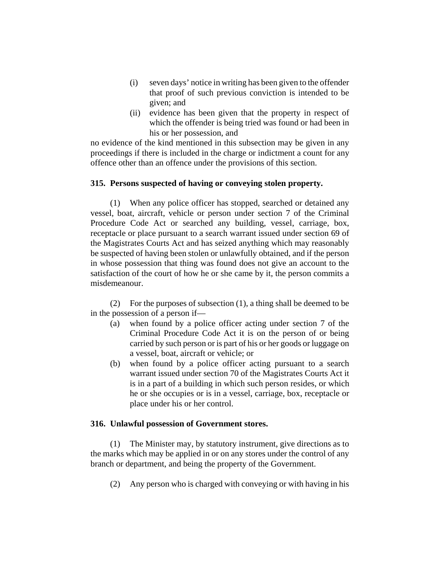- (i) seven days' notice in writing has been given to the offender that proof of such previous conviction is intended to be given; and
- (ii) evidence has been given that the property in respect of which the offender is being tried was found or had been in his or her possession, and

no evidence of the kind mentioned in this subsection may be given in any proceedings if there is included in the charge or indictment a count for any offence other than an offence under the provisions of this section.

### **315. Persons suspected of having or conveying stolen property.**

(1) When any police officer has stopped, searched or detained any vessel, boat, aircraft, vehicle or person under section 7 of the Criminal Procedure Code Act or searched any building, vessel, carriage, box, receptacle or place pursuant to a search warrant issued under section 69 of the Magistrates Courts Act and has seized anything which may reasonably be suspected of having been stolen or unlawfully obtained, and if the person in whose possession that thing was found does not give an account to the satisfaction of the court of how he or she came by it, the person commits a misdemeanour.

(2) For the purposes of subsection (1), a thing shall be deemed to be in the possession of a person if—

- (a) when found by a police officer acting under section 7 of the Criminal Procedure Code Act it is on the person of or being carried by such person or is part of his or her goods or luggage on a vessel, boat, aircraft or vehicle; or
- (b) when found by a police officer acting pursuant to a search warrant issued under section 70 of the Magistrates Courts Act it is in a part of a building in which such person resides, or which he or she occupies or is in a vessel, carriage, box, receptacle or place under his or her control.

### **316. Unlawful possession of Government stores.**

(1) The Minister may, by statutory instrument, give directions as to the marks which may be applied in or on any stores under the control of any branch or department, and being the property of the Government.

(2) Any person who is charged with conveying or with having in his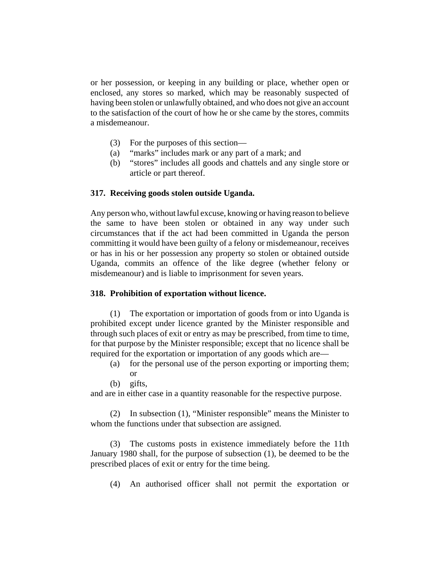or her possession, or keeping in any building or place, whether open or enclosed, any stores so marked, which may be reasonably suspected of having been stolen or unlawfully obtained, and who does not give an account to the satisfaction of the court of how he or she came by the stores, commits a misdemeanour.

- (3) For the purposes of this section—
- (a) "marks" includes mark or any part of a mark; and
- (b) "stores" includes all goods and chattels and any single store or article or part thereof.

#### **317. Receiving goods stolen outside Uganda.**

Any person who, without lawful excuse, knowing or having reason to believe the same to have been stolen or obtained in any way under such circumstances that if the act had been committed in Uganda the person committing it would have been guilty of a felony or misdemeanour, receives or has in his or her possession any property so stolen or obtained outside Uganda, commits an offence of the like degree (whether felony or misdemeanour) and is liable to imprisonment for seven years.

#### **318. Prohibition of exportation without licence.**

(1) The exportation or importation of goods from or into Uganda is prohibited except under licence granted by the Minister responsible and through such places of exit or entry as may be prescribed, from time to time, for that purpose by the Minister responsible; except that no licence shall be required for the exportation or importation of any goods which are—

- (a) for the personal use of the person exporting or importing them; or
- (b) gifts,

and are in either case in a quantity reasonable for the respective purpose.

(2) In subsection (1), "Minister responsible" means the Minister to whom the functions under that subsection are assigned.

(3) The customs posts in existence immediately before the 11th January 1980 shall, for the purpose of subsection (1), be deemed to be the prescribed places of exit or entry for the time being.

(4) An authorised officer shall not permit the exportation or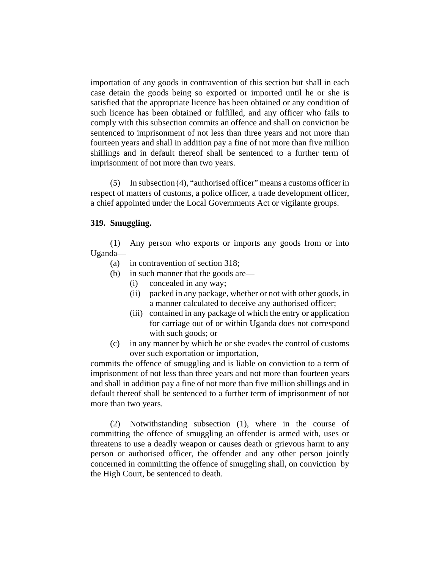importation of any goods in contravention of this section but shall in each case detain the goods being so exported or imported until he or she is satisfied that the appropriate licence has been obtained or any condition of such licence has been obtained or fulfilled, and any officer who fails to comply with this subsection commits an offence and shall on conviction be sentenced to imprisonment of not less than three years and not more than fourteen years and shall in addition pay a fine of not more than five million shillings and in default thereof shall be sentenced to a further term of imprisonment of not more than two years.

(5) In subsection (4), "authorised officer" means a customs officer in respect of matters of customs, a police officer, a trade development officer, a chief appointed under the Local Governments Act or vigilante groups.

### **319. Smuggling.**

(1) Any person who exports or imports any goods from or into Uganda—

- (a) in contravention of section 318;
- (b) in such manner that the goods are—
	- (i) concealed in any way;
	- (ii) packed in any package, whether or not with other goods, in a manner calculated to deceive any authorised officer;
	- (iii) contained in any package of which the entry or application for carriage out of or within Uganda does not correspond with such goods; or
- (c) in any manner by which he or she evades the control of customs over such exportation or importation,

commits the offence of smuggling and is liable on conviction to a term of imprisonment of not less than three years and not more than fourteen years and shall in addition pay a fine of not more than five million shillings and in default thereof shall be sentenced to a further term of imprisonment of not more than two years.

(2) Notwithstanding subsection (1), where in the course of committing the offence of smuggling an offender is armed with, uses or threatens to use a deadly weapon or causes death or grievous harm to any person or authorised officer, the offender and any other person jointly concerned in committing the offence of smuggling shall, on conviction by the High Court, be sentenced to death.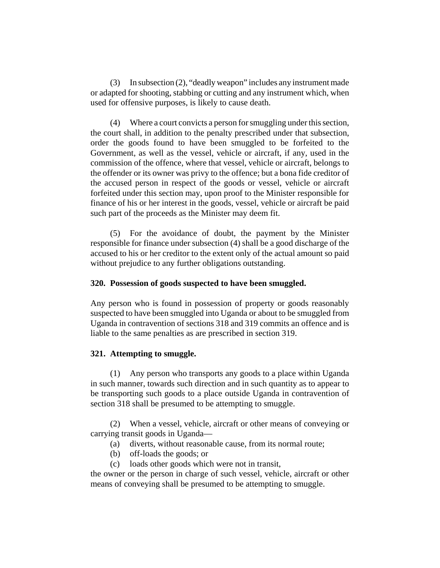(3) In subsection (2), "deadly weapon" includes any instrument made or adapted for shooting, stabbing or cutting and any instrument which, when used for offensive purposes, is likely to cause death.

(4) Where a court convicts a person for smuggling under this section, the court shall, in addition to the penalty prescribed under that subsection, order the goods found to have been smuggled to be forfeited to the Government, as well as the vessel, vehicle or aircraft, if any, used in the commission of the offence, where that vessel, vehicle or aircraft, belongs to the offender or its owner was privy to the offence; but a bona fide creditor of the accused person in respect of the goods or vessel, vehicle or aircraft forfeited under this section may, upon proof to the Minister responsible for finance of his or her interest in the goods, vessel, vehicle or aircraft be paid such part of the proceeds as the Minister may deem fit.

(5) For the avoidance of doubt, the payment by the Minister responsible for finance under subsection (4) shall be a good discharge of the accused to his or her creditor to the extent only of the actual amount so paid without prejudice to any further obligations outstanding.

#### **320. Possession of goods suspected to have been smuggled.**

Any person who is found in possession of property or goods reasonably suspected to have been smuggled into Uganda or about to be smuggled from Uganda in contravention of sections 318 and 319 commits an offence and is liable to the same penalties as are prescribed in section 319.

### **321. Attempting to smuggle.**

(1) Any person who transports any goods to a place within Uganda in such manner, towards such direction and in such quantity as to appear to be transporting such goods to a place outside Uganda in contravention of section 318 shall be presumed to be attempting to smuggle.

(2) When a vessel, vehicle, aircraft or other means of conveying or carrying transit goods in Uganda—

- (a) diverts, without reasonable cause, from its normal route;
- (b) off-loads the goods; or
- (c) loads other goods which were not in transit,

the owner or the person in charge of such vessel, vehicle, aircraft or other means of conveying shall be presumed to be attempting to smuggle.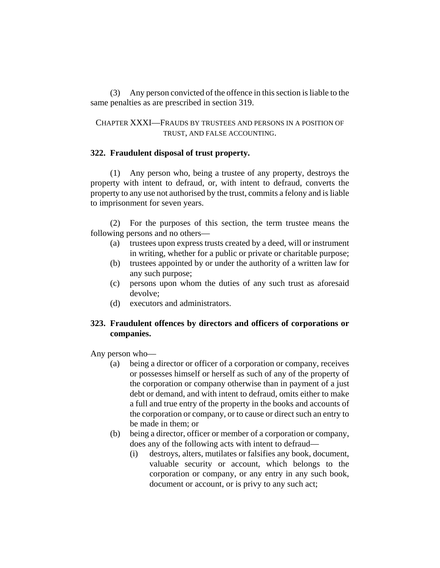(3) Any person convicted of the offence in this section is liable to the same penalties as are prescribed in section 319.

CHAPTER XXXI—FRAUDS BY TRUSTEES AND PERSONS IN A POSITION OF TRUST, AND FALSE ACCOUNTING.

#### **322. Fraudulent disposal of trust property.**

(1) Any person who, being a trustee of any property, destroys the property with intent to defraud, or, with intent to defraud, converts the property to any use not authorised by the trust, commits a felony and is liable to imprisonment for seven years.

(2) For the purposes of this section, the term trustee means the following persons and no others—

- (a) trustees upon express trusts created by a deed, will or instrument in writing, whether for a public or private or charitable purpose;
- (b) trustees appointed by or under the authority of a written law for any such purpose;
- (c) persons upon whom the duties of any such trust as aforesaid devolve;
- (d) executors and administrators.

### **323. Fraudulent offences by directors and officers of corporations or companies.**

Any person who—

- (a) being a director or officer of a corporation or company, receives or possesses himself or herself as such of any of the property of the corporation or company otherwise than in payment of a just debt or demand, and with intent to defraud, omits either to make a full and true entry of the property in the books and accounts of the corporation or company, or to cause or direct such an entry to be made in them; or
- (b) being a director, officer or member of a corporation or company, does any of the following acts with intent to defraud—
	- (i) destroys, alters, mutilates or falsifies any book, document, valuable security or account, which belongs to the corporation or company, or any entry in any such book, document or account, or is privy to any such act;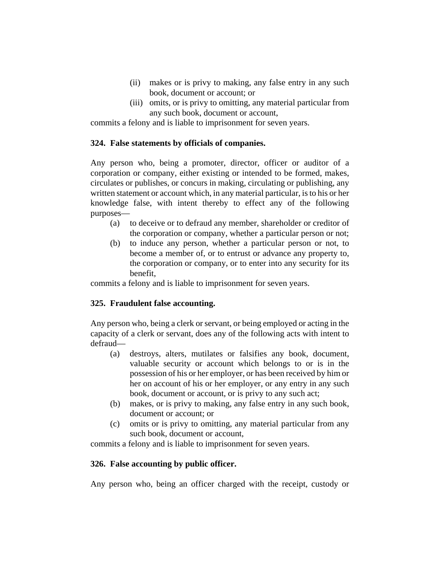- (ii) makes or is privy to making, any false entry in any such book, document or account; or
- (iii) omits, or is privy to omitting, any material particular from any such book, document or account,

commits a felony and is liable to imprisonment for seven years.

#### **324. False statements by officials of companies.**

Any person who, being a promoter, director, officer or auditor of a corporation or company, either existing or intended to be formed, makes, circulates or publishes, or concurs in making, circulating or publishing, any written statement or account which, in any material particular, is to his or her knowledge false, with intent thereby to effect any of the following purposes—

- (a) to deceive or to defraud any member, shareholder or creditor of the corporation or company, whether a particular person or not;
- (b) to induce any person, whether a particular person or not, to become a member of, or to entrust or advance any property to, the corporation or company, or to enter into any security for its benefit,

commits a felony and is liable to imprisonment for seven years.

### **325. Fraudulent false accounting.**

Any person who, being a clerk or servant, or being employed or acting in the capacity of a clerk or servant, does any of the following acts with intent to defraud—

- (a) destroys, alters, mutilates or falsifies any book, document, valuable security or account which belongs to or is in the possession of his or her employer, or has been received by him or her on account of his or her employer, or any entry in any such book, document or account, or is privy to any such act;
- (b) makes, or is privy to making, any false entry in any such book, document or account; or
- (c) omits or is privy to omitting, any material particular from any such book, document or account,

commits a felony and is liable to imprisonment for seven years.

### **326. False accounting by public officer.**

Any person who, being an officer charged with the receipt, custody or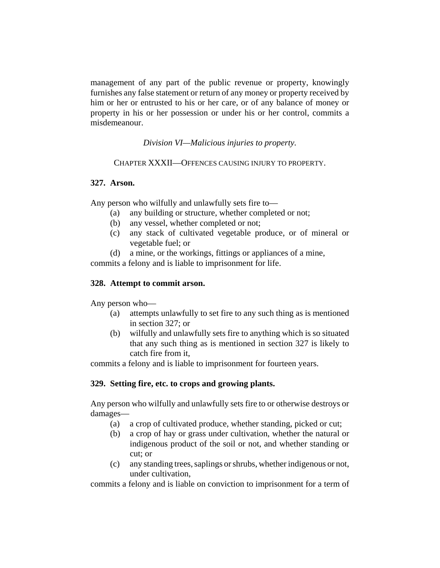management of any part of the public revenue or property, knowingly furnishes any false statement or return of any money or property received by him or her or entrusted to his or her care, or of any balance of money or property in his or her possession or under his or her control, commits a misdemeanour.

*Division VI—Malicious injuries to property.*

### CHAPTER XXXII—OFFENCES CAUSING INJURY TO PROPERTY.

### **327. Arson.**

Any person who wilfully and unlawfully sets fire to—

- (a) any building or structure, whether completed or not;
- (b) any vessel, whether completed or not;
- (c) any stack of cultivated vegetable produce, or of mineral or vegetable fuel; or
- (d) a mine, or the workings, fittings or appliances of a mine,

commits a felony and is liable to imprisonment for life.

#### **328. Attempt to commit arson.**

Any person who—

- (a) attempts unlawfully to set fire to any such thing as is mentioned in section 327; or
- (b) wilfully and unlawfully sets fire to anything which is so situated that any such thing as is mentioned in section 327 is likely to catch fire from it,

commits a felony and is liable to imprisonment for fourteen years.

### **329. Setting fire, etc. to crops and growing plants.**

Any person who wilfully and unlawfully sets fire to or otherwise destroys or damages—

- (a) a crop of cultivated produce, whether standing, picked or cut;
- (b) a crop of hay or grass under cultivation, whether the natural or indigenous product of the soil or not, and whether standing or cut; or
- (c) any standing trees, saplings or shrubs, whether indigenous or not, under cultivation,

commits a felony and is liable on conviction to imprisonment for a term of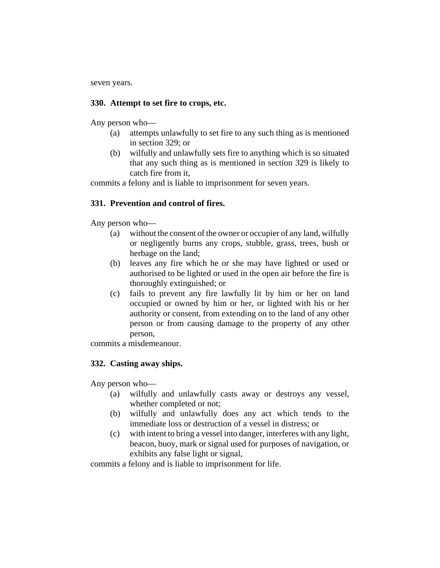seven years.

### **330. Attempt to set fire to crops, etc.**

Any person who—

- (a) attempts unlawfully to set fire to any such thing as is mentioned in section 329; or
- (b) wilfully and unlawfully sets fire to anything which is so situated that any such thing as is mentioned in section 329 is likely to catch fire from it,

commits a felony and is liable to imprisonment for seven years.

## **331. Prevention and control of fires.**

Any person who—

- (a) without the consent of the owner or occupier of any land, wilfully or negligently burns any crops, stubble, grass, trees, bush or herbage on the land;
- (b) leaves any fire which he or she may have lighted or used or authorised to be lighted or used in the open air before the fire is thoroughly extinguished; or
- (c) fails to prevent any fire lawfully lit by him or her on land occupied or owned by him or her, or lighted with his or her authority or consent, from extending on to the land of any other person or from causing damage to the property of any other person,

commits a misdemeanour.

### **332. Casting away ships.**

Any person who—

- (a) wilfully and unlawfully casts away or destroys any vessel, whether completed or not;
- (b) wilfully and unlawfully does any act which tends to the immediate loss or destruction of a vessel in distress; or
- (c) with intent to bring a vessel into danger, interferes with any light, beacon, buoy, mark or signal used for purposes of navigation, or exhibits any false light or signal,

commits a felony and is liable to imprisonment for life.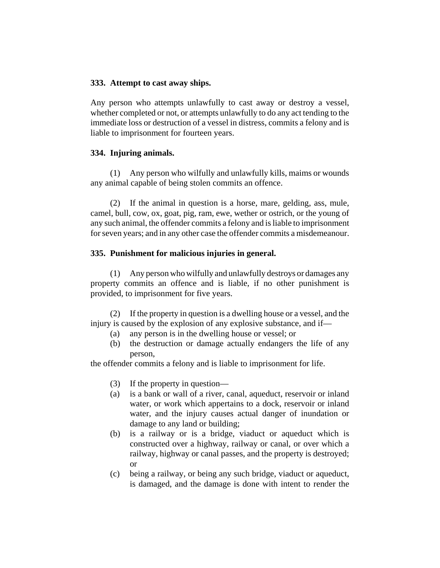#### **333. Attempt to cast away ships.**

Any person who attempts unlawfully to cast away or destroy a vessel, whether completed or not, or attempts unlawfully to do any act tending to the immediate loss or destruction of a vessel in distress, commits a felony and is liable to imprisonment for fourteen years.

#### **334. Injuring animals.**

(1) Any person who wilfully and unlawfully kills, maims or wounds any animal capable of being stolen commits an offence.

(2) If the animal in question is a horse, mare, gelding, ass, mule, camel, bull, cow, ox, goat, pig, ram, ewe, wether or ostrich, or the young of any such animal, the offender commits a felony and is liable to imprisonment for seven years; and in any other case the offender commits a misdemeanour.

#### **335. Punishment for malicious injuries in general.**

(1) Any person who wilfully and unlawfully destroys or damages any property commits an offence and is liable, if no other punishment is provided, to imprisonment for five years.

(2) If the property in question is a dwelling house or a vessel, and the injury is caused by the explosion of any explosive substance, and if—

- (a) any person is in the dwelling house or vessel; or
- (b) the destruction or damage actually endangers the life of any person,

the offender commits a felony and is liable to imprisonment for life.

- (3) If the property in question—
- (a) is a bank or wall of a river, canal, aqueduct, reservoir or inland water, or work which appertains to a dock, reservoir or inland water, and the injury causes actual danger of inundation or damage to any land or building;
- (b) is a railway or is a bridge, viaduct or aqueduct which is constructed over a highway, railway or canal, or over which a railway, highway or canal passes, and the property is destroyed; or
- (c) being a railway, or being any such bridge, viaduct or aqueduct, is damaged, and the damage is done with intent to render the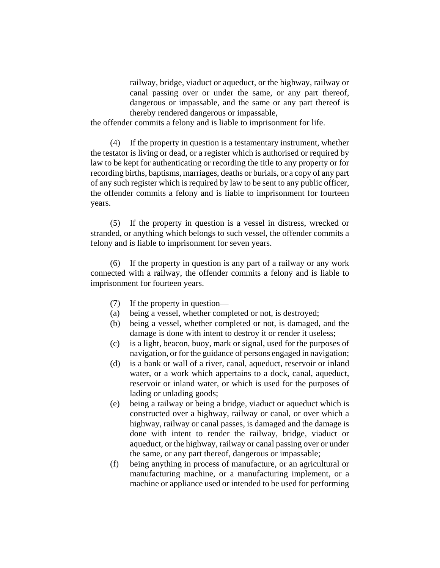railway, bridge, viaduct or aqueduct, or the highway, railway or canal passing over or under the same, or any part thereof, dangerous or impassable, and the same or any part thereof is thereby rendered dangerous or impassable,

the offender commits a felony and is liable to imprisonment for life.

(4) If the property in question is a testamentary instrument, whether the testator is living or dead, or a register which is authorised or required by law to be kept for authenticating or recording the title to any property or for recording births, baptisms, marriages, deaths or burials, or a copy of any part of any such register which is required by law to be sent to any public officer, the offender commits a felony and is liable to imprisonment for fourteen years.

(5) If the property in question is a vessel in distress, wrecked or stranded, or anything which belongs to such vessel, the offender commits a felony and is liable to imprisonment for seven years.

(6) If the property in question is any part of a railway or any work connected with a railway, the offender commits a felony and is liable to imprisonment for fourteen years.

- (7) If the property in question—
- (a) being a vessel, whether completed or not, is destroyed;
- (b) being a vessel, whether completed or not, is damaged, and the damage is done with intent to destroy it or render it useless;
- (c) is a light, beacon, buoy, mark or signal, used for the purposes of navigation, or for the guidance of persons engaged in navigation;
- (d) is a bank or wall of a river, canal, aqueduct, reservoir or inland water, or a work which appertains to a dock, canal, aqueduct, reservoir or inland water, or which is used for the purposes of lading or unlading goods;
- (e) being a railway or being a bridge, viaduct or aqueduct which is constructed over a highway, railway or canal, or over which a highway, railway or canal passes, is damaged and the damage is done with intent to render the railway, bridge, viaduct or aqueduct, or the highway, railway or canal passing over or under the same, or any part thereof, dangerous or impassable;
- (f) being anything in process of manufacture, or an agricultural or manufacturing machine, or a manufacturing implement, or a machine or appliance used or intended to be used for performing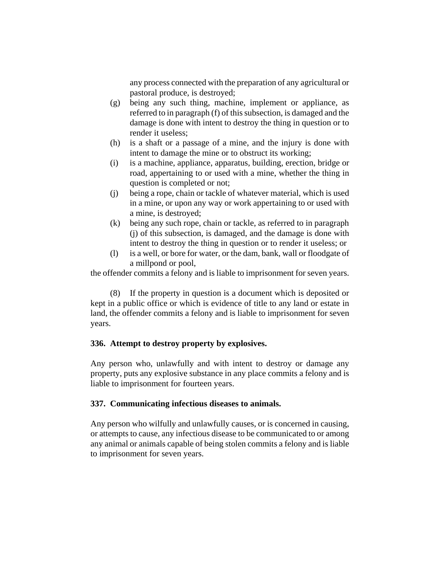any process connected with the preparation of any agricultural or pastoral produce, is destroyed;

- (g) being any such thing, machine, implement or appliance, as referred to in paragraph (f) of this subsection, is damaged and the damage is done with intent to destroy the thing in question or to render it useless;
- (h) is a shaft or a passage of a mine, and the injury is done with intent to damage the mine or to obstruct its working;
- (i) is a machine, appliance, apparatus, building, erection, bridge or road, appertaining to or used with a mine, whether the thing in question is completed or not;
- (j) being a rope, chain or tackle of whatever material, which is used in a mine, or upon any way or work appertaining to or used with a mine, is destroyed;
- (k) being any such rope, chain or tackle, as referred to in paragraph (j) of this subsection, is damaged, and the damage is done with intent to destroy the thing in question or to render it useless; or
- (l) is a well, or bore for water, or the dam, bank, wall or floodgate of a millpond or pool,

the offender commits a felony and is liable to imprisonment for seven years.

(8) If the property in question is a document which is deposited or kept in a public office or which is evidence of title to any land or estate in land, the offender commits a felony and is liable to imprisonment for seven years.

## **336. Attempt to destroy property by explosives.**

Any person who, unlawfully and with intent to destroy or damage any property, puts any explosive substance in any place commits a felony and is liable to imprisonment for fourteen years.

## **337. Communicating infectious diseases to animals.**

Any person who wilfully and unlawfully causes, or is concerned in causing, or attempts to cause, any infectious disease to be communicated to or among any animal or animals capable of being stolen commits a felony and is liable to imprisonment for seven years.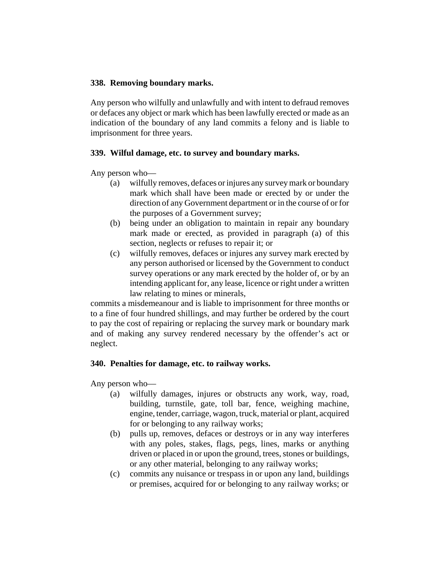### **338. Removing boundary marks.**

Any person who wilfully and unlawfully and with intent to defraud removes or defaces any object or mark which has been lawfully erected or made as an indication of the boundary of any land commits a felony and is liable to imprisonment for three years.

### **339. Wilful damage, etc. to survey and boundary marks.**

Any person who—

- (a) wilfully removes, defaces or injures any survey mark or boundary mark which shall have been made or erected by or under the direction of any Government department or in the course of or for the purposes of a Government survey;
- (b) being under an obligation to maintain in repair any boundary mark made or erected, as provided in paragraph (a) of this section, neglects or refuses to repair it; or
- (c) wilfully removes, defaces or injures any survey mark erected by any person authorised or licensed by the Government to conduct survey operations or any mark erected by the holder of, or by an intending applicant for, any lease, licence or right under a written law relating to mines or minerals,

commits a misdemeanour and is liable to imprisonment for three months or to a fine of four hundred shillings, and may further be ordered by the court to pay the cost of repairing or replacing the survey mark or boundary mark and of making any survey rendered necessary by the offender's act or neglect.

### **340. Penalties for damage, etc. to railway works.**

Any person who—

- (a) wilfully damages, injures or obstructs any work, way, road, building, turnstile, gate, toll bar, fence, weighing machine, engine, tender, carriage, wagon, truck, material or plant, acquired for or belonging to any railway works;
- (b) pulls up, removes, defaces or destroys or in any way interferes with any poles, stakes, flags, pegs, lines, marks or anything driven or placed in or upon the ground, trees, stones or buildings, or any other material, belonging to any railway works;
- (c) commits any nuisance or trespass in or upon any land, buildings or premises, acquired for or belonging to any railway works; or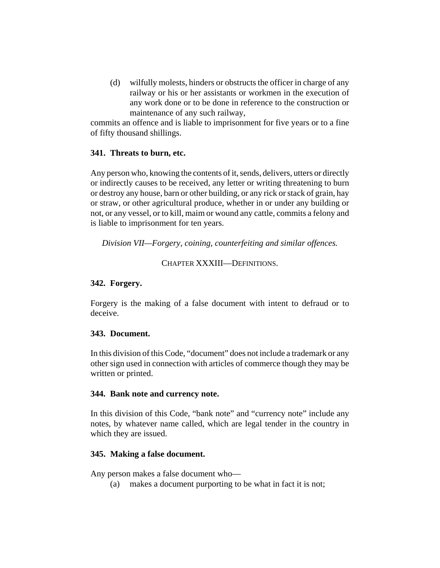(d) wilfully molests, hinders or obstructs the officer in charge of any railway or his or her assistants or workmen in the execution of any work done or to be done in reference to the construction or maintenance of any such railway,

commits an offence and is liable to imprisonment for five years or to a fine of fifty thousand shillings.

### **341. Threats to burn, etc.**

Any person who, knowing the contents of it, sends, delivers, utters or directly or indirectly causes to be received, any letter or writing threatening to burn or destroy any house, barn or other building, or any rick or stack of grain, hay or straw, or other agricultural produce, whether in or under any building or not, or any vessel, or to kill, maim or wound any cattle, commits a felony and is liable to imprisonment for ten years.

*Division VII—Forgery, coining, counterfeiting and similar offences.*

CHAPTER XXXIII—DEFINITIONS.

## **342. Forgery.**

Forgery is the making of a false document with intent to defraud or to deceive.

## **343. Document.**

In this division of this Code, "document" does not include a trademark or any other sign used in connection with articles of commerce though they may be written or printed.

### **344. Bank note and currency note.**

In this division of this Code, "bank note" and "currency note" include any notes, by whatever name called, which are legal tender in the country in which they are issued.

## **345. Making a false document.**

Any person makes a false document who—

(a) makes a document purporting to be what in fact it is not;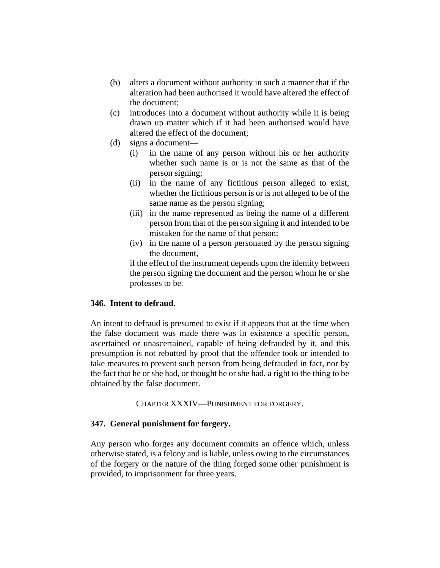- (b) alters a document without authority in such a manner that if the alteration had been authorised it would have altered the effect of the document;
- (c) introduces into a document without authority while it is being drawn up matter which if it had been authorised would have altered the effect of the document;
- (d) signs a document—
	- (i) in the name of any person without his or her authority whether such name is or is not the same as that of the person signing;
	- (ii) in the name of any fictitious person alleged to exist, whether the fictitious person is or is not alleged to be of the same name as the person signing;
	- (iii) in the name represented as being the name of a different person from that of the person signing it and intended to be mistaken for the name of that person;
	- (iv) in the name of a person personated by the person signing the document,

if the effect of the instrument depends upon the identity between the person signing the document and the person whom he or she professes to be.

### **346. Intent to defraud.**

An intent to defraud is presumed to exist if it appears that at the time when the false document was made there was in existence a specific person, ascertained or unascertained, capable of being defrauded by it, and this presumption is not rebutted by proof that the offender took or intended to take measures to prevent such person from being defrauded in fact, nor by the fact that he or she had, or thought he or she had, a right to the thing to be obtained by the false document.

#### CHAPTER XXXIV—PUNISHMENT FOR FORGERY.

### **347. General punishment for forgery.**

Any person who forges any document commits an offence which, unless otherwise stated, is a felony and is liable, unless owing to the circumstances of the forgery or the nature of the thing forged some other punishment is provided, to imprisonment for three years.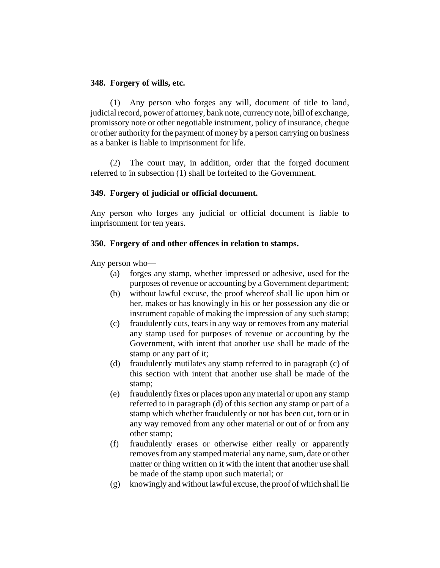#### **348. Forgery of wills, etc.**

(1) Any person who forges any will, document of title to land, judicial record, power of attorney, bank note, currency note, bill of exchange, promissory note or other negotiable instrument, policy of insurance, cheque or other authority for the payment of money by a person carrying on business as a banker is liable to imprisonment for life.

(2) The court may, in addition, order that the forged document referred to in subsection (1) shall be forfeited to the Government.

#### **349. Forgery of judicial or official document.**

Any person who forges any judicial or official document is liable to imprisonment for ten years.

#### **350. Forgery of and other offences in relation to stamps.**

Any person who—

- (a) forges any stamp, whether impressed or adhesive, used for the purposes of revenue or accounting by a Government department;
- (b) without lawful excuse, the proof whereof shall lie upon him or her, makes or has knowingly in his or her possession any die or instrument capable of making the impression of any such stamp;
- (c) fraudulently cuts, tears in any way or removes from any material any stamp used for purposes of revenue or accounting by the Government, with intent that another use shall be made of the stamp or any part of it;
- (d) fraudulently mutilates any stamp referred to in paragraph (c) of this section with intent that another use shall be made of the stamp;
- (e) fraudulently fixes or places upon any material or upon any stamp referred to in paragraph (d) of this section any stamp or part of a stamp which whether fraudulently or not has been cut, torn or in any way removed from any other material or out of or from any other stamp;
- (f) fraudulently erases or otherwise either really or apparently removes from any stamped material any name, sum, date or other matter or thing written on it with the intent that another use shall be made of the stamp upon such material; or
- (g) knowingly and without lawful excuse, the proof of which shall lie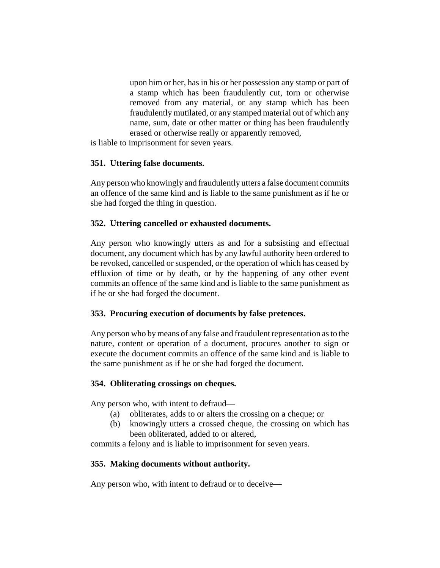upon him or her, has in his or her possession any stamp or part of a stamp which has been fraudulently cut, torn or otherwise removed from any material, or any stamp which has been fraudulently mutilated, or any stamped material out of which any name, sum, date or other matter or thing has been fraudulently erased or otherwise really or apparently removed,

is liable to imprisonment for seven years.

### **351. Uttering false documents.**

Any person who knowingly and fraudulently utters a false document commits an offence of the same kind and is liable to the same punishment as if he or she had forged the thing in question.

### **352. Uttering cancelled or exhausted documents.**

Any person who knowingly utters as and for a subsisting and effectual document, any document which has by any lawful authority been ordered to be revoked, cancelled or suspended, or the operation of which has ceased by effluxion of time or by death, or by the happening of any other event commits an offence of the same kind and is liable to the same punishment as if he or she had forged the document.

### **353. Procuring execution of documents by false pretences.**

Any person who by means of any false and fraudulent representation as to the nature, content or operation of a document, procures another to sign or execute the document commits an offence of the same kind and is liable to the same punishment as if he or she had forged the document.

### **354. Obliterating crossings on cheques.**

Any person who, with intent to defraud—

- (a) obliterates, adds to or alters the crossing on a cheque; or
- (b) knowingly utters a crossed cheque, the crossing on which has been obliterated, added to or altered,

commits a felony and is liable to imprisonment for seven years.

## **355. Making documents without authority.**

Any person who, with intent to defraud or to deceive—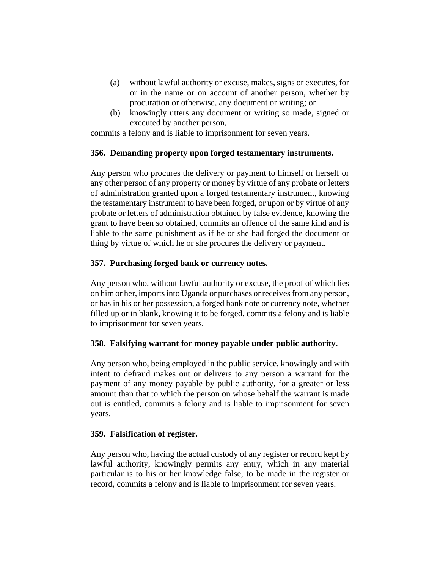- (a) without lawful authority or excuse, makes, signs or executes, for or in the name or on account of another person, whether by procuration or otherwise, any document or writing; or
- (b) knowingly utters any document or writing so made, signed or executed by another person,

commits a felony and is liable to imprisonment for seven years.

### **356. Demanding property upon forged testamentary instruments.**

Any person who procures the delivery or payment to himself or herself or any other person of any property or money by virtue of any probate or letters of administration granted upon a forged testamentary instrument, knowing the testamentary instrument to have been forged, or upon or by virtue of any probate or letters of administration obtained by false evidence, knowing the grant to have been so obtained, commits an offence of the same kind and is liable to the same punishment as if he or she had forged the document or thing by virtue of which he or she procures the delivery or payment.

### **357. Purchasing forged bank or currency notes.**

Any person who, without lawful authority or excuse, the proof of which lies on him or her, imports into Uganda or purchases or receives from any person, or has in his or her possession, a forged bank note or currency note, whether filled up or in blank, knowing it to be forged, commits a felony and is liable to imprisonment for seven years.

### **358. Falsifying warrant for money payable under public authority.**

Any person who, being employed in the public service, knowingly and with intent to defraud makes out or delivers to any person a warrant for the payment of any money payable by public authority, for a greater or less amount than that to which the person on whose behalf the warrant is made out is entitled, commits a felony and is liable to imprisonment for seven years.

### **359. Falsification of register.**

Any person who, having the actual custody of any register or record kept by lawful authority, knowingly permits any entry, which in any material particular is to his or her knowledge false, to be made in the register or record, commits a felony and is liable to imprisonment for seven years.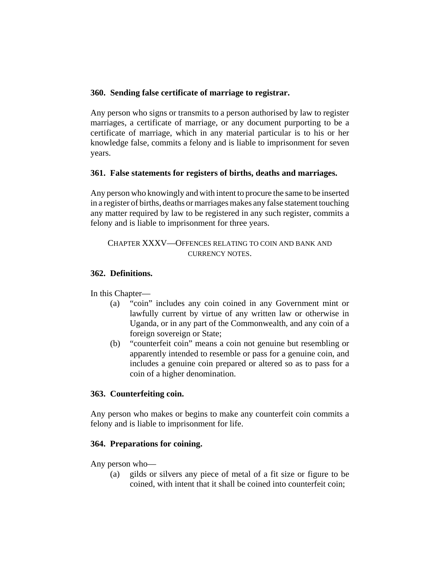### **360. Sending false certificate of marriage to registrar.**

Any person who signs or transmits to a person authorised by law to register marriages, a certificate of marriage, or any document purporting to be a certificate of marriage, which in any material particular is to his or her knowledge false, commits a felony and is liable to imprisonment for seven years.

## **361. False statements for registers of births, deaths and marriages.**

Any person who knowingly and with intent to procure the same to be inserted in a register of births, deaths or marriages makes any false statement touching any matter required by law to be registered in any such register, commits a felony and is liable to imprisonment for three years.

## CHAPTER XXXV—OFFENCES RELATING TO COIN AND BANK AND CURRENCY NOTES.

## **362. Definitions.**

In this Chapter—

- (a) "coin" includes any coin coined in any Government mint or lawfully current by virtue of any written law or otherwise in Uganda, or in any part of the Commonwealth, and any coin of a foreign sovereign or State;
- (b) "counterfeit coin" means a coin not genuine but resembling or apparently intended to resemble or pass for a genuine coin, and includes a genuine coin prepared or altered so as to pass for a coin of a higher denomination.

## **363. Counterfeiting coin.**

Any person who makes or begins to make any counterfeit coin commits a felony and is liable to imprisonment for life.

## **364. Preparations for coining.**

Any person who—

(a) gilds or silvers any piece of metal of a fit size or figure to be coined, with intent that it shall be coined into counterfeit coin;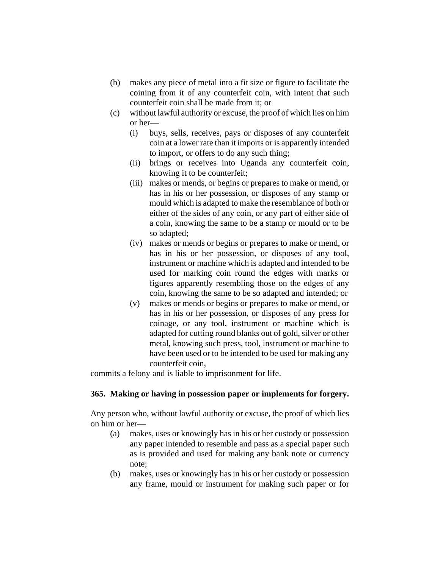- (b) makes any piece of metal into a fit size or figure to facilitate the coining from it of any counterfeit coin, with intent that such counterfeit coin shall be made from it; or
- (c) without lawful authority or excuse, the proof of which lies on him or her—
	- (i) buys, sells, receives, pays or disposes of any counterfeit coin at a lower rate than it imports or is apparently intended to import, or offers to do any such thing;
	- (ii) brings or receives into Uganda any counterfeit coin, knowing it to be counterfeit;
	- (iii) makes or mends, or begins or prepares to make or mend, or has in his or her possession, or disposes of any stamp or mould which is adapted to make the resemblance of both or either of the sides of any coin, or any part of either side of a coin, knowing the same to be a stamp or mould or to be so adapted;
	- (iv) makes or mends or begins or prepares to make or mend, or has in his or her possession, or disposes of any tool, instrument or machine which is adapted and intended to be used for marking coin round the edges with marks or figures apparently resembling those on the edges of any coin, knowing the same to be so adapted and intended; or
	- (v) makes or mends or begins or prepares to make or mend, or has in his or her possession, or disposes of any press for coinage, or any tool, instrument or machine which is adapted for cutting round blanks out of gold, silver or other metal, knowing such press, tool, instrument or machine to have been used or to be intended to be used for making any counterfeit coin,

commits a felony and is liable to imprisonment for life.

### **365. Making or having in possession paper or implements for forgery.**

Any person who, without lawful authority or excuse, the proof of which lies on him or her—

- (a) makes, uses or knowingly has in his or her custody or possession any paper intended to resemble and pass as a special paper such as is provided and used for making any bank note or currency note;
- (b) makes, uses or knowingly has in his or her custody or possession any frame, mould or instrument for making such paper or for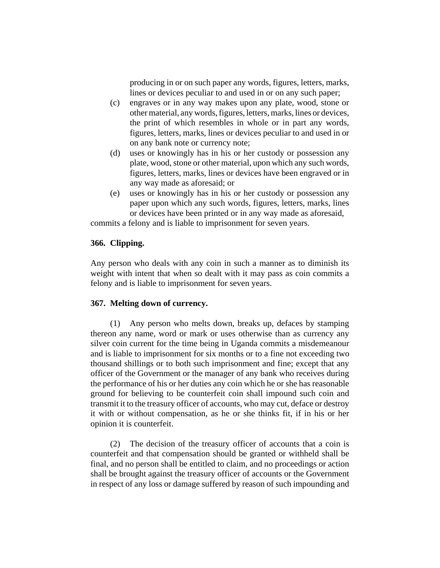producing in or on such paper any words, figures, letters, marks, lines or devices peculiar to and used in or on any such paper;

- (c) engraves or in any way makes upon any plate, wood, stone or other material, any words, figures, letters, marks, lines or devices, the print of which resembles in whole or in part any words, figures, letters, marks, lines or devices peculiar to and used in or on any bank note or currency note;
- (d) uses or knowingly has in his or her custody or possession any plate, wood, stone or other material, upon which any such words, figures, letters, marks, lines or devices have been engraved or in any way made as aforesaid; or
- (e) uses or knowingly has in his or her custody or possession any paper upon which any such words, figures, letters, marks, lines or devices have been printed or in any way made as aforesaid,

commits a felony and is liable to imprisonment for seven years.

#### **366. Clipping.**

Any person who deals with any coin in such a manner as to diminish its weight with intent that when so dealt with it may pass as coin commits a felony and is liable to imprisonment for seven years.

#### **367. Melting down of currency.**

(1) Any person who melts down, breaks up, defaces by stamping thereon any name, word or mark or uses otherwise than as currency any silver coin current for the time being in Uganda commits a misdemeanour and is liable to imprisonment for six months or to a fine not exceeding two thousand shillings or to both such imprisonment and fine; except that any officer of the Government or the manager of any bank who receives during the performance of his or her duties any coin which he or she has reasonable ground for believing to be counterfeit coin shall impound such coin and transmit it to the treasury officer of accounts, who may cut, deface or destroy it with or without compensation, as he or she thinks fit, if in his or her opinion it is counterfeit.

(2) The decision of the treasury officer of accounts that a coin is counterfeit and that compensation should be granted or withheld shall be final, and no person shall be entitled to claim, and no proceedings or action shall be brought against the treasury officer of accounts or the Government in respect of any loss or damage suffered by reason of such impounding and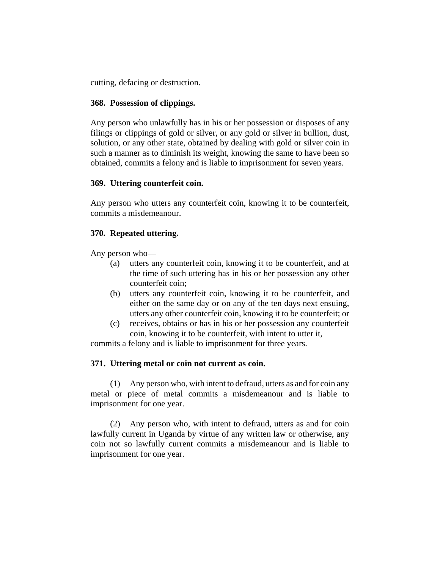cutting, defacing or destruction.

#### **368. Possession of clippings.**

Any person who unlawfully has in his or her possession or disposes of any filings or clippings of gold or silver, or any gold or silver in bullion, dust, solution, or any other state, obtained by dealing with gold or silver coin in such a manner as to diminish its weight, knowing the same to have been so obtained, commits a felony and is liable to imprisonment for seven years.

### **369. Uttering counterfeit coin.**

Any person who utters any counterfeit coin, knowing it to be counterfeit, commits a misdemeanour.

### **370. Repeated uttering.**

Any person who—

- (a) utters any counterfeit coin, knowing it to be counterfeit, and at the time of such uttering has in his or her possession any other counterfeit coin;
- (b) utters any counterfeit coin, knowing it to be counterfeit, and either on the same day or on any of the ten days next ensuing, utters any other counterfeit coin, knowing it to be counterfeit; or
- (c) receives, obtains or has in his or her possession any counterfeit coin, knowing it to be counterfeit, with intent to utter it,

commits a felony and is liable to imprisonment for three years.

### **371. Uttering metal or coin not current as coin.**

(1) Any person who, with intent to defraud, utters as and for coin any metal or piece of metal commits a misdemeanour and is liable to imprisonment for one year.

(2) Any person who, with intent to defraud, utters as and for coin lawfully current in Uganda by virtue of any written law or otherwise, any coin not so lawfully current commits a misdemeanour and is liable to imprisonment for one year.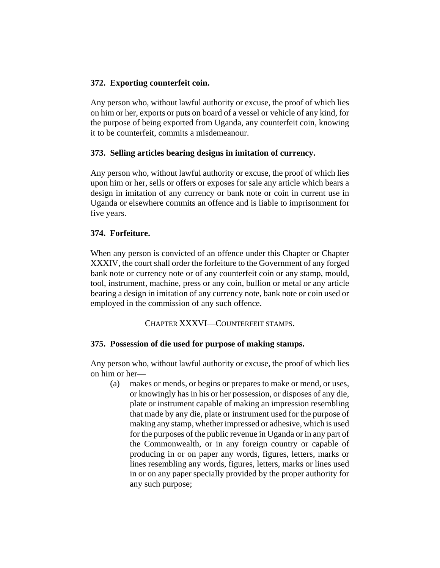## **372. Exporting counterfeit coin.**

Any person who, without lawful authority or excuse, the proof of which lies on him or her, exports or puts on board of a vessel or vehicle of any kind, for the purpose of being exported from Uganda, any counterfeit coin, knowing it to be counterfeit, commits a misdemeanour.

## **373. Selling articles bearing designs in imitation of currency.**

Any person who, without lawful authority or excuse, the proof of which lies upon him or her, sells or offers or exposes for sale any article which bears a design in imitation of any currency or bank note or coin in current use in Uganda or elsewhere commits an offence and is liable to imprisonment for five years.

# **374. Forfeiture.**

When any person is convicted of an offence under this Chapter or Chapter XXXIV, the court shall order the forfeiture to the Government of any forged bank note or currency note or of any counterfeit coin or any stamp, mould, tool, instrument, machine, press or any coin, bullion or metal or any article bearing a design in imitation of any currency note, bank note or coin used or employed in the commission of any such offence.

CHAPTER XXXVI—COUNTERFEIT STAMPS.

# **375. Possession of die used for purpose of making stamps.**

Any person who, without lawful authority or excuse, the proof of which lies on him or her—

(a) makes or mends, or begins or prepares to make or mend, or uses, or knowingly has in his or her possession, or disposes of any die, plate or instrument capable of making an impression resembling that made by any die, plate or instrument used for the purpose of making any stamp, whether impressed or adhesive, which is used for the purposes of the public revenue in Uganda or in any part of the Commonwealth, or in any foreign country or capable of producing in or on paper any words, figures, letters, marks or lines resembling any words, figures, letters, marks or lines used in or on any paper specially provided by the proper authority for any such purpose;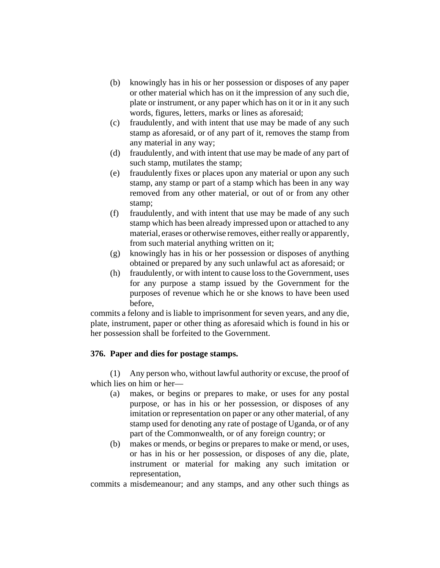- (b) knowingly has in his or her possession or disposes of any paper or other material which has on it the impression of any such die, plate or instrument, or any paper which has on it or in it any such words, figures, letters, marks or lines as aforesaid;
- (c) fraudulently, and with intent that use may be made of any such stamp as aforesaid, or of any part of it, removes the stamp from any material in any way;
- (d) fraudulently, and with intent that use may be made of any part of such stamp, mutilates the stamp;
- (e) fraudulently fixes or places upon any material or upon any such stamp, any stamp or part of a stamp which has been in any way removed from any other material, or out of or from any other stamp;
- (f) fraudulently, and with intent that use may be made of any such stamp which has been already impressed upon or attached to any material, erases or otherwise removes, either really or apparently, from such material anything written on it;
- (g) knowingly has in his or her possession or disposes of anything obtained or prepared by any such unlawful act as aforesaid; or
- (h) fraudulently, or with intent to cause loss to the Government, uses for any purpose a stamp issued by the Government for the purposes of revenue which he or she knows to have been used before,

commits a felony and is liable to imprisonment for seven years, and any die, plate, instrument, paper or other thing as aforesaid which is found in his or her possession shall be forfeited to the Government.

## **376. Paper and dies for postage stamps.**

(1) Any person who, without lawful authority or excuse, the proof of which lies on him or her—

- (a) makes, or begins or prepares to make, or uses for any postal purpose, or has in his or her possession, or disposes of any imitation or representation on paper or any other material, of any stamp used for denoting any rate of postage of Uganda, or of any part of the Commonwealth, or of any foreign country; or
- (b) makes or mends, or begins or prepares to make or mend, or uses, or has in his or her possession, or disposes of any die, plate, instrument or material for making any such imitation or representation,

commits a misdemeanour; and any stamps, and any other such things as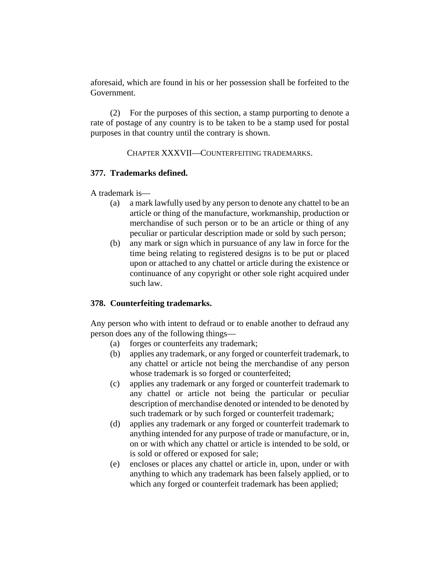aforesaid, which are found in his or her possession shall be forfeited to the Government.

(2) For the purposes of this section, a stamp purporting to denote a rate of postage of any country is to be taken to be a stamp used for postal purposes in that country until the contrary is shown.

#### CHAPTER XXXVII—COUNTERFEITING TRADEMARKS.

### **377. Trademarks defined.**

A trademark is—

- (a) a mark lawfully used by any person to denote any chattel to be an article or thing of the manufacture, workmanship, production or merchandise of such person or to be an article or thing of any peculiar or particular description made or sold by such person;
- (b) any mark or sign which in pursuance of any law in force for the time being relating to registered designs is to be put or placed upon or attached to any chattel or article during the existence or continuance of any copyright or other sole right acquired under such law.

### **378. Counterfeiting trademarks.**

Any person who with intent to defraud or to enable another to defraud any person does any of the following things—

- (a) forges or counterfeits any trademark;
- (b) applies any trademark, or any forged or counterfeit trademark, to any chattel or article not being the merchandise of any person whose trademark is so forged or counterfeited;
- (c) applies any trademark or any forged or counterfeit trademark to any chattel or article not being the particular or peculiar description of merchandise denoted or intended to be denoted by such trademark or by such forged or counterfeit trademark;
- (d) applies any trademark or any forged or counterfeit trademark to anything intended for any purpose of trade or manufacture, or in, on or with which any chattel or article is intended to be sold, or is sold or offered or exposed for sale;
- (e) encloses or places any chattel or article in, upon, under or with anything to which any trademark has been falsely applied, or to which any forged or counterfeit trademark has been applied;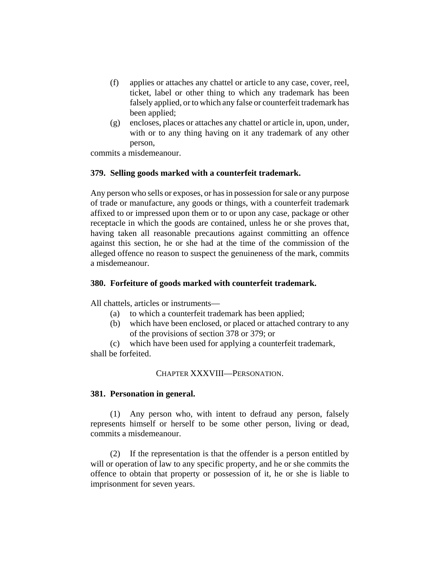- (f) applies or attaches any chattel or article to any case, cover, reel, ticket, label or other thing to which any trademark has been falsely applied, or to which any false or counterfeit trademark has been applied;
- (g) encloses, places or attaches any chattel or article in, upon, under, with or to any thing having on it any trademark of any other person,

commits a misdemeanour.

### **379. Selling goods marked with a counterfeit trademark.**

Any person who sells or exposes, or has in possession for sale or any purpose of trade or manufacture, any goods or things, with a counterfeit trademark affixed to or impressed upon them or to or upon any case, package or other receptacle in which the goods are contained, unless he or she proves that, having taken all reasonable precautions against committing an offence against this section, he or she had at the time of the commission of the alleged offence no reason to suspect the genuineness of the mark, commits a misdemeanour.

### **380. Forfeiture of goods marked with counterfeit trademark.**

All chattels, articles or instruments—

- (a) to which a counterfeit trademark has been applied;
- (b) which have been enclosed, or placed or attached contrary to any of the provisions of section 378 or 379; or

(c) which have been used for applying a counterfeit trademark, shall be forfeited.

### CHAPTER XXXVIII—PERSONATION.

### **381. Personation in general.**

(1) Any person who, with intent to defraud any person, falsely represents himself or herself to be some other person, living or dead, commits a misdemeanour.

(2) If the representation is that the offender is a person entitled by will or operation of law to any specific property, and he or she commits the offence to obtain that property or possession of it, he or she is liable to imprisonment for seven years.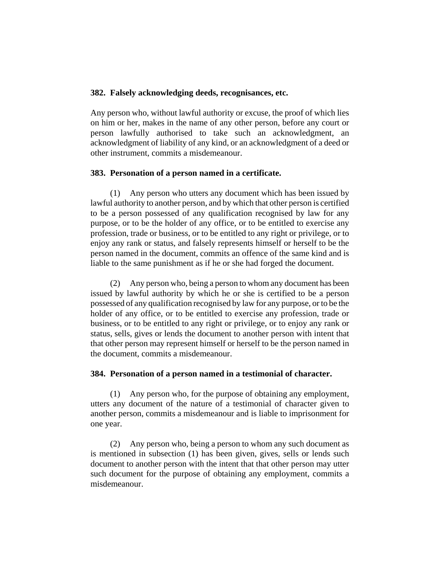### **382. Falsely acknowledging deeds, recognisances, etc.**

Any person who, without lawful authority or excuse, the proof of which lies on him or her, makes in the name of any other person, before any court or person lawfully authorised to take such an acknowledgment, an acknowledgment of liability of any kind, or an acknowledgment of a deed or other instrument, commits a misdemeanour.

### **383. Personation of a person named in a certificate.**

(1) Any person who utters any document which has been issued by lawful authority to another person, and by which that other person is certified to be a person possessed of any qualification recognised by law for any purpose, or to be the holder of any office, or to be entitled to exercise any profession, trade or business, or to be entitled to any right or privilege, or to enjoy any rank or status, and falsely represents himself or herself to be the person named in the document, commits an offence of the same kind and is liable to the same punishment as if he or she had forged the document.

(2) Any person who, being a person to whom any document has been issued by lawful authority by which he or she is certified to be a person possessed of any qualification recognised by law for any purpose, or to be the holder of any office, or to be entitled to exercise any profession, trade or business, or to be entitled to any right or privilege, or to enjoy any rank or status, sells, gives or lends the document to another person with intent that that other person may represent himself or herself to be the person named in the document, commits a misdemeanour.

#### **384. Personation of a person named in a testimonial of character.**

(1) Any person who, for the purpose of obtaining any employment, utters any document of the nature of a testimonial of character given to another person, commits a misdemeanour and is liable to imprisonment for one year.

(2) Any person who, being a person to whom any such document as is mentioned in subsection (1) has been given, gives, sells or lends such document to another person with the intent that that other person may utter such document for the purpose of obtaining any employment, commits a misdemeanour.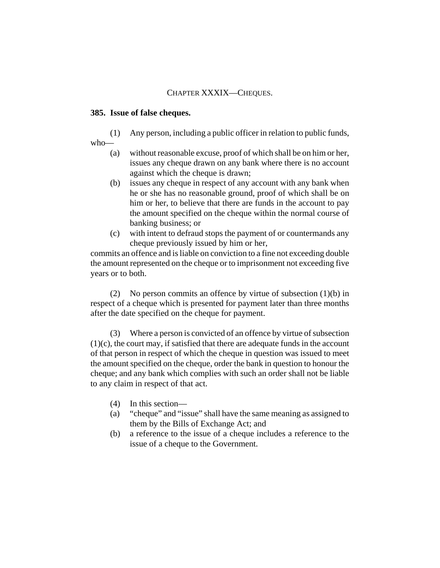# CHAPTER XXXIX—CHEQUES.

#### **385. Issue of false cheques.**

- (1) Any person, including a public officer in relation to public funds,
- who—
	- (a) without reasonable excuse, proof of which shall be on him or her, issues any cheque drawn on any bank where there is no account against which the cheque is drawn;
	- (b) issues any cheque in respect of any account with any bank when he or she has no reasonable ground, proof of which shall be on him or her, to believe that there are funds in the account to pay the amount specified on the cheque within the normal course of banking business; or
	- (c) with intent to defraud stops the payment of or countermands any cheque previously issued by him or her,

commits an offence and is liable on conviction to a fine not exceeding double the amount represented on the cheque or to imprisonment not exceeding five years or to both.

(2) No person commits an offence by virtue of subsection (1)(b) in respect of a cheque which is presented for payment later than three months after the date specified on the cheque for payment.

(3) Where a person is convicted of an offence by virtue of subsection (1)(c), the court may, if satisfied that there are adequate funds in the account of that person in respect of which the cheque in question was issued to meet the amount specified on the cheque, order the bank in question to honour the cheque; and any bank which complies with such an order shall not be liable to any claim in respect of that act.

- (4) In this section—
- (a) "cheque" and "issue" shall have the same meaning as assigned to them by the Bills of Exchange Act; and
- (b) a reference to the issue of a cheque includes a reference to the issue of a cheque to the Government.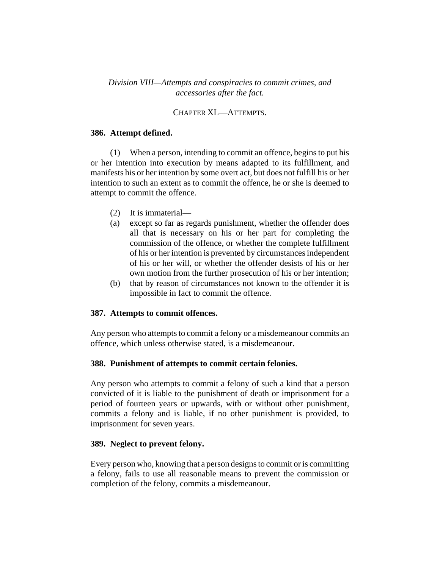# *Division VIII—Attempts and conspiracies to commit crimes, and accessories after the fact.*

# CHAPTER XL—ATTEMPTS.

## **386. Attempt defined.**

(1) When a person, intending to commit an offence, begins to put his or her intention into execution by means adapted to its fulfillment, and manifests his or her intention by some overt act, but does not fulfill his or her intention to such an extent as to commit the offence, he or she is deemed to attempt to commit the offence.

- (2) It is immaterial—
- (a) except so far as regards punishment, whether the offender does all that is necessary on his or her part for completing the commission of the offence, or whether the complete fulfillment of his or her intention is prevented by circumstances independent of his or her will, or whether the offender desists of his or her own motion from the further prosecution of his or her intention;
- (b) that by reason of circumstances not known to the offender it is impossible in fact to commit the offence.

# **387. Attempts to commit offences.**

Any person who attempts to commit a felony or a misdemeanour commits an offence, which unless otherwise stated, is a misdemeanour.

### **388. Punishment of attempts to commit certain felonies.**

Any person who attempts to commit a felony of such a kind that a person convicted of it is liable to the punishment of death or imprisonment for a period of fourteen years or upwards, with or without other punishment, commits a felony and is liable, if no other punishment is provided, to imprisonment for seven years.

## **389. Neglect to prevent felony.**

Every person who, knowing that a person designs to commit or is committing a felony, fails to use all reasonable means to prevent the commission or completion of the felony, commits a misdemeanour.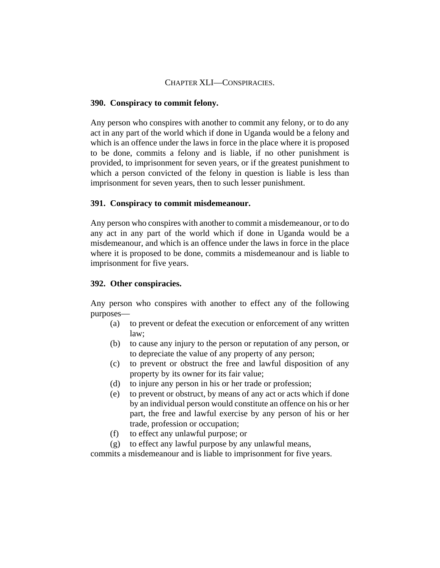# CHAPTER XLI—CONSPIRACIES.

### **390. Conspiracy to commit felony.**

Any person who conspires with another to commit any felony, or to do any act in any part of the world which if done in Uganda would be a felony and which is an offence under the laws in force in the place where it is proposed to be done, commits a felony and is liable, if no other punishment is provided, to imprisonment for seven years, or if the greatest punishment to which a person convicted of the felony in question is liable is less than imprisonment for seven years, then to such lesser punishment.

### **391. Conspiracy to commit misdemeanour.**

Any person who conspires with another to commit a misdemeanour, or to do any act in any part of the world which if done in Uganda would be a misdemeanour, and which is an offence under the laws in force in the place where it is proposed to be done, commits a misdemeanour and is liable to imprisonment for five years.

## **392. Other conspiracies.**

Any person who conspires with another to effect any of the following purposes—

- (a) to prevent or defeat the execution or enforcement of any written law;
- (b) to cause any injury to the person or reputation of any person, or to depreciate the value of any property of any person;
- (c) to prevent or obstruct the free and lawful disposition of any property by its owner for its fair value;
- (d) to injure any person in his or her trade or profession;
- (e) to prevent or obstruct, by means of any act or acts which if done by an individual person would constitute an offence on his or her part, the free and lawful exercise by any person of his or her trade, profession or occupation;
- (f) to effect any unlawful purpose; or
- (g) to effect any lawful purpose by any unlawful means,

commits a misdemeanour and is liable to imprisonment for five years.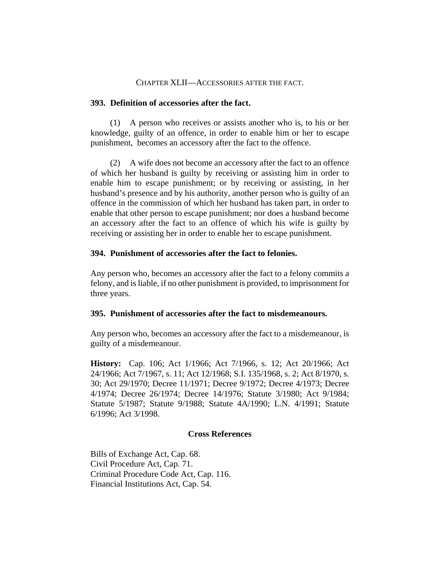#### CHAPTER XLII—ACCESSORIES AFTER THE FACT.

### **393. Definition of accessories after the fact.**

(1) A person who receives or assists another who is, to his or her knowledge, guilty of an offence, in order to enable him or her to escape punishment, becomes an accessory after the fact to the offence.

(2) A wife does not become an accessory after the fact to an offence of which her husband is guilty by receiving or assisting him in order to enable him to escape punishment; or by receiving or assisting, in her husband's presence and by his authority, another person who is guilty of an offence in the commission of which her husband has taken part, in order to enable that other person to escape punishment; nor does a husband become an accessory after the fact to an offence of which his wife is guilty by receiving or assisting her in order to enable her to escape punishment.

## **394. Punishment of accessories after the fact to felonies.**

Any person who, becomes an accessory after the fact to a felony commits a felony, and is liable, if no other punishment is provided, to imprisonment for three years.

### **395. Punishment of accessories after the fact to misdemeanours.**

Any person who, becomes an accessory after the fact to a misdemeanour, is guilty of a misdemeanour.

**History:** Cap. 106; Act 1/1966; Act 7/1966, s. 12; Act 20/1966; Act 24/1966; Act 7/1967, s. 11; Act 12/1968; S.I. 135/1968, s. 2; Act 8/1970, s. 30; Act 29/1970; Decree 11/1971; Decree 9/1972; Decree 4/1973; Decree 4/1974; Decree 26/1974; Decree 14/1976; Statute 3/1980; Act 9/1984; Statute 5/1987; Statute 9/1988; Statute 4A/1990; L.N. 4/1991; Statute 6/1996; Act 3/1998.

#### **Cross References**

Bills of Exchange Act, Cap. 68. Civil Procedure Act, Cap. 71. Criminal Procedure Code Act, Cap. 116. Financial Institutions Act, Cap. 54.